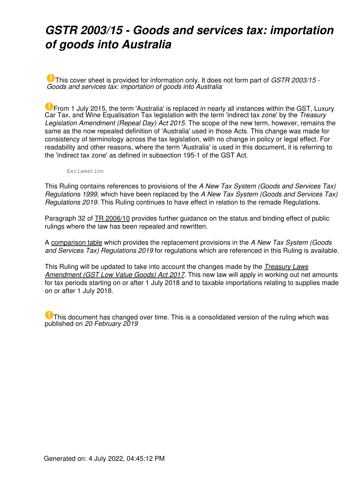## *GSTR 2003/15 - Goods and services tax: importation of goods into Australia*

This cover sheet is provided for information only. It does not form part of *GSTR 2003/15 - Goods and services tax: importation of goods into Australia*

**U** From 1 July 2015, the term 'Australia' is replaced in nearly all instances within the GST, Luxury Car Tax, and Wine Equalisation Tax legislation with the term 'indirect tax zone' by the *Treasury Legislation Amendment (Repeal Day) Act 2015*. The scope of the new term, however, remains the same as the now repealed definition of 'Australia' used in those Acts. This change was made for consistency of terminology across the tax legislation, with no change in policy or legal effect. For readability and other reasons, where the term 'Australia' is used in this document, it is referring to the 'indirect tax zone' as defined in subsection 195-1 of the GST Act.

Exclamation

This Ruling contains references to provisions of the *A New Tax System (Goods and Services Tax) Regulations 1999,* which have been replaced by the *A New Tax System (Goods and Services Tax) Regulations 2019.* This Ruling continues to have effect in relation to the remade Regulations.

Paragraph 32 of [TR 2006/10](https://www.ato.gov.au/law/view/document?LocID=TXR/TR200610/NAT/ATO) provides further guidance on the status and binding effect of public rulings where the law has been repealed and rewritten.

A [comparison table](https://www.ato.gov.au/law/view/document?LocID= GXR/find_regs) which provides the replacement provisions in the *A New Tax System (Goods and Services Tax) Regulations 2019* for regulations which are referenced in this Ruling is available.

This Ruling will be updated to take into account the changes made by the *[Treasury Laws](https://www.ato.gov.au/law/view/document?LocID=PAC/20170077/ATOTOC) [Amendment \(GST Low Value Goods\) Act 2017](https://www.ato.gov.au/law/view/document?LocID=PAC/20170077/ATOTOC)*. This new law will apply in working out net amounts for tax periods starting on or after 1 July 2018 and to taxable importations relating to supplies made on or after 1 July 2018.

**U** This document has changed over time. This is a consolidated version of the ruling which was published on *20 February 2019*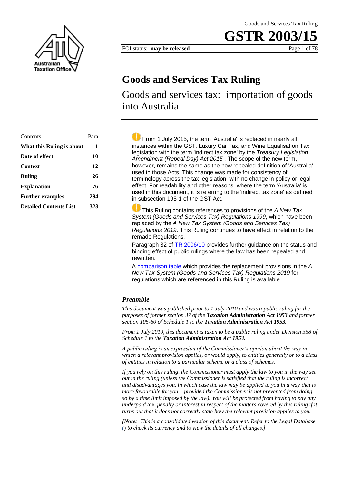

FOI status: **may be released** Page 1 of 78

## **Goods and Services Tax Ruling**

Goods and services tax: importation of goods into Australia

| Contents                      | Para |
|-------------------------------|------|
| What this Ruling is about     | 1    |
| Date of effect                | 10   |
| <b>Context</b>                | 12   |
| <b>Ruling</b>                 | 26   |
| <b>Explanation</b>            | 76   |
| <b>Further examples</b>       | 294  |
| <b>Detailed Contents List</b> | 323  |

 From 1 July 2015, the term 'Australia' is replaced in nearly all instances within the GST, Luxury Car Tax, and Wine Equalisation Tax legislation with the term 'indirect tax zone' by the *Treasury Legislation Amendment (Repeal Day) Act 2015* . The scope of the new term, however, remains the same as the now repealed definition of 'Australia' used in those Acts. This change was made for consistency of terminology across the tax legislation, with no change in policy or legal effect. For readability and other reasons, where the term 'Australia' is used in this document, it is referring to the 'indirect tax zone' as defined in subsection 195-1 of the GST Act.

 This Ruling contains references to provisions of the *A New Tax System (Goods and Services Tax) Regulations 1999*, which have been replaced by the *A New Tax System (Goods and Services Tax) Regulations 2019*. This Ruling continues to have effect in relation to the remade Regulations.

Paragraph 32 of TR 2006/10 provides further guidance on the status and binding effect of public rulings where the law has been repealed and rewritten.

A comparison table which provides the replacement provisions in the *A New Tax System (Goods and Services Tax) Regulations 2019* for regulations which are referenced in this Ruling is available.

### *Preamble*

*This document was published prior to 1 July 2010 and was a public ruling for the purposes of former section 37 of the Taxation Administration Act 1953 and former section 105-60 of Schedule 1 to the Taxation Administration Act 1953.*

*From 1 July 2010, this document is taken to be a public ruling under Division 358 of Schedule 1 to the Taxation Administration Act 1953.*

*A public ruling is an expression of the Commissioner's opinion about the way in which a relevant provision applies, or would apply, to entities generally or to a class of entities in relation to a particular scheme or a class of schemes.*

*If you rely on this ruling, the Commissioner must apply the law to you in the way set out in the ruling (unless the Commissioner is satisfied that the ruling is incorrect and disadvantages you, in which case the law may be applied to you in a way that is more favourable for you – provided the Commissioner is not prevented from doing so by a time limit imposed by the law). You will be protected from having to pay any underpaid tax, penalty or interest in respect of the matters covered by this ruling if it turns out that it does not correctly state how the relevant provision applies to you.*

*[Note: This is a consolidated version of this document. Refer to the Legal Database (*) *to check its currency and to view the details of all changes.]*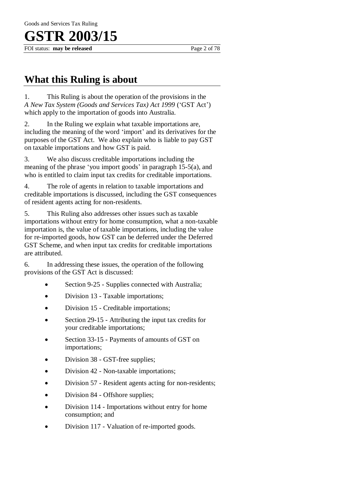FOI status: **may be released** Page 2 of 78

### **What this Ruling is about**

1. This Ruling is about the operation of the provisions in the *A New Tax System (Goods and Services Tax) Act 1999* ('GST Act') which apply to the importation of goods into Australia.

2. In the Ruling we explain what taxable importations are, including the meaning of the word 'import' and its derivatives for the purposes of the GST Act. We also explain who is liable to pay GST on taxable importations and how GST is paid.

3. We also discuss creditable importations including the meaning of the phrase 'you import goods' in paragraph 15-5(a), and who is entitled to claim input tax credits for creditable importations.

4. The role of agents in relation to taxable importations and creditable importations is discussed, including the GST consequences of resident agents acting for non-residents.

5. This Ruling also addresses other issues such as taxable importations without entry for home consumption, what a non-taxable importation is, the value of taxable importations, including the value for re-imported goods, how GST can be deferred under the Deferred GST Scheme, and when input tax credits for creditable importations are attributed.

6. In addressing these issues, the operation of the following provisions of the GST Act is discussed:

- Section 9-25 Supplies connected with Australia;
- Division 13 Taxable importations;
- Division 15 Creditable importations;
- Section 29-15 Attributing the input tax credits for your creditable importations;
- Section 33-15 Payments of amounts of GST on importations;
- Division 38 GST-free supplies;
- Division 42 Non-taxable importations;
- Division 57 Resident agents acting for non-residents;
- Division 84 Offshore supplies;
- Division 114 Importations without entry for home consumption; and
- Division 117 Valuation of re-imported goods.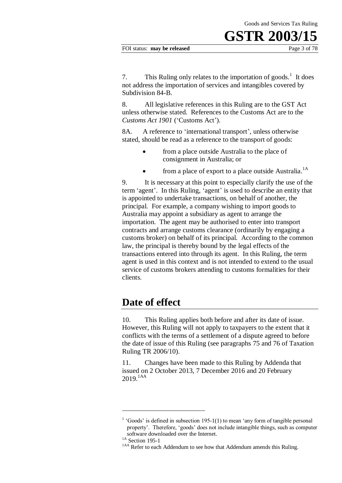7. This Ruling only relates to the importation of goods.<sup>1</sup> It does not address the importation of services and intangibles covered by Subdivision 84-B.

8. All legislative references in this Ruling are to the GST Act unless otherwise stated. References to the Customs Act are to the *Customs Act 1901* ('Customs Act')*.*

8A. A reference to 'international transport', unless otherwise stated, should be read as a reference to the transport of goods:

- from a place outside Australia to the place of consignment in Australia; or
- from a place of export to a place outside Australia.<sup>1A</sup>

9. It is necessary at this point to especially clarify the use of the term 'agent'. In this Ruling, 'agent' is used to describe an entity that is appointed to undertake transactions, on behalf of another, the principal. For example, a company wishing to import goods to Australia may appoint a subsidiary as agent to arrange the importation. The agent may be authorised to enter into transport contracts and arrange customs clearance (ordinarily by engaging a customs broker) on behalf of its principal. According to the common law, the principal is thereby bound by the legal effects of the transactions entered into through its agent. In this Ruling, the term agent is used in this context and is not intended to extend to the usual service of customs brokers attending to customs formalities for their clients.

### **Date of effect**

10. This Ruling applies both before and after its date of issue. However, this Ruling will not apply to taxpayers to the extent that it conflicts with the terms of a settlement of a dispute agreed to before the date of issue of this Ruling (see paragraphs 75 and 76 of Taxation Ruling TR 2006/10).

11. Changes have been made to this Ruling by Addenda that issued on 2 October 2013, 7 December 2016 and 20 February 2019.1AA

 $<sup>1</sup>$  'Goods' is defined in subsection 195-1(1) to mean 'any form of tangible personal</sup> property'. Therefore, 'goods' does not include intangible things, such as computer software downloaded over the Internet.

 $1A$  Section 195-1

<sup>&</sup>lt;sup>1AA</sup> Refer to each Addendum to see how that Addendum amends this Ruling.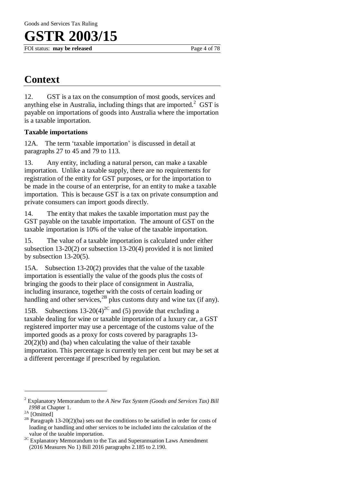FOI status: **may be released** Page 4 of 78

## **Context**

12. GST is a tax on the consumption of most goods, services and anything else in Australia, including things that are imported. $2$  GST is payable on importations of goods into Australia where the importation is a taxable importation.

### **Taxable importations**

12A. The term 'taxable importation' is discussed in detail at paragraphs 27 to 45 and 79 to 113.

13. Any entity, including a natural person, can make a taxable importation. Unlike a taxable supply, there are no requirements for registration of the entity for GST purposes, or for the importation to be made in the course of an enterprise, for an entity to make a taxable importation. This is because GST is a tax on private consumption and private consumers can import goods directly.

14. The entity that makes the taxable importation must pay the GST payable on the taxable importation. The amount of GST on the taxable importation is 10% of the value of the taxable importation.

15. The value of a taxable importation is calculated under either subsection 13-20(2) or subsection 13-20(4) provided it is not limited by subsection 13-20(5).

15A. Subsection 13-20(2) provides that the value of the taxable importation is essentially the value of the goods plus the costs of bringing the goods to their place of consignment in Australia, including insurance, together with the costs of certain loading or handling and other services,  $^{2B}$  plus customs duty and wine tax (if any).

15B. Subsections 13-20(4)<sup>2C</sup> and (5) provide that excluding a taxable dealing for wine or taxable importation of a luxury car, a GST registered importer may use a percentage of the customs value of the imported goods as a proxy for costs covered by paragraphs 13- 20(2)(b) and (ba) when calculating the value of their taxable importation. This percentage is currently ten per cent but may be set at a different percentage if prescribed by regulation.

<sup>2</sup> Explanatory Memorandum to the *A New Tax System (Goods and Services Tax) Bill 1998* at Chapter 1.

 $2A$  [Omitted]

 $2B$  Paragraph 13-20(2)(ba) sets out the conditions to be satisfied in order for costs of loading or handling and other services to be included into the calculation of the value of the taxable importation.

<sup>&</sup>lt;sup>2C</sup> Explanatory Memorandum to the Tax and Superannuation Laws Amendment (2016 Measures No 1) Bill 2016 paragraphs 2.185 to 2.190.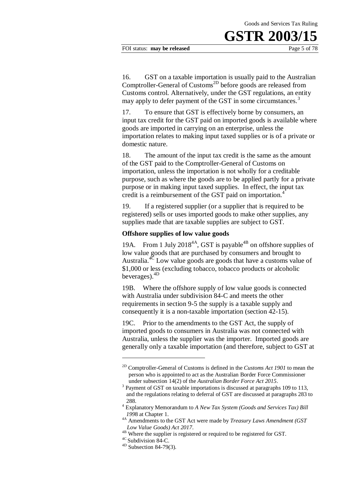FOI status: **may be released** Page 5 of 78

16. GST on a taxable importation is usually paid to the Australian Comptroller-General of Customs<sup>2D</sup> before goods are released from Customs control. Alternatively, under the GST regulations, an entity may apply to defer payment of the GST in some circumstances.<sup>3</sup>

17. To ensure that GST is effectively borne by consumers, an input tax credit for the GST paid on imported goods is available where goods are imported in carrying on an enterprise, unless the importation relates to making input taxed supplies or is of a private or domestic nature.

18. The amount of the input tax credit is the same as the amount of the GST paid to the Comptroller-General of Customs on importation, unless the importation is not wholly for a creditable purpose, such as where the goods are to be applied partly for a private purpose or in making input taxed supplies. In effect, the input tax credit is a reimbursement of the GST paid on importation.<sup>4</sup>

19. If a registered supplier (or a supplier that is required to be registered) sells or uses imported goods to make other supplies, any supplies made that are taxable supplies are subject to GST.

### **Offshore supplies of low value goods**

19A. From 1 July 2018<sup>4A</sup>, GST is payable<sup>4B</sup> on offshore supplies of low value goods that are purchased by consumers and brought to Australia.<sup>4 $\overline{c}$ </sup> Low value goods are goods that have a customs value of \$1,000 or less (excluding tobacco, tobacco products or alcoholic beverages).4D

19B. Where the offshore supply of low value goods is connected with Australia under subdivision 84-C and meets the other requirements in section 9-5 the supply is a taxable supply and consequently it is a non-taxable importation (section 42-15).

19C. Prior to the amendments to the GST Act, the supply of imported goods to consumers in Australia was not connected with Australia, unless the supplier was the importer. Imported goods are generally only a taxable importation (and therefore, subject to GST at

1

<sup>2</sup>D Comptroller-General of Customs is defined in the *Customs Act 1901* to mean the person who is appointed to act as the Australian Border Force Commissioner under subsection 14(2) of the *Australian Border Force Act 2015*.

<sup>&</sup>lt;sup>3</sup> Payment of GST on taxable importations is discussed at paragraphs 109 to 113, and the regulations relating to deferral of GST are discussed at paragraphs 283 to 288.

<sup>4</sup> Explanatory Memorandum to *A New Tax System (Goods and Services Tax) Bill 199*8 at Chapter 1.

<sup>4</sup>A Amendments to the GST Act were made by *Treasury Laws Amendment (GST Low Value Goods) Act 2017*.

<sup>&</sup>lt;sup>4B</sup> Where the supplier is registered or required to be registered for GST.

<sup>&</sup>lt;sup>4C</sup> Subdivision 84-C.

 $4D$  Subsection 84-79(3).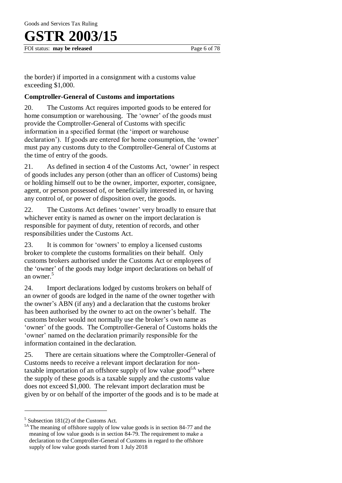# R 2003/15

FOI status: **may be released** Page 6 of 78

the border) if imported in a consignment with a customs value exceeding \$1,000.

### **Comptroller-General of Customs and importations**

20. The Customs Act requires imported goods to be entered for home consumption or warehousing. The 'owner' of the goods must provide the Comptroller-General of Customs with specific information in a specified format (the 'import or warehouse declaration'). If goods are entered for home consumption, the 'owner' must pay any customs duty to the Comptroller-General of Customs at the time of entry of the goods.

21. As defined in section 4 of the Customs Act, 'owner' in respect of goods includes any person (other than an officer of Customs) being or holding himself out to be the owner, importer, exporter, consignee, agent, or person possessed of, or beneficially interested in, or having any control of, or power of disposition over, the goods.

22. The Customs Act defines 'owner' very broadly to ensure that whichever entity is named as owner on the import declaration is responsible for payment of duty, retention of records, and other responsibilities under the Customs Act.

23. It is common for 'owners' to employ a licensed customs broker to complete the customs formalities on their behalf. Only customs brokers authorised under the Customs Act or employees of the 'owner' of the goods may lodge import declarations on behalf of an owner.<sup>5</sup>

24. Import declarations lodged by customs brokers on behalf of an owner of goods are lodged in the name of the owner together with the owner's ABN (if any) and a declaration that the customs broker has been authorised by the owner to act on the owner's behalf. The customs broker would not normally use the broker's own name as 'owner' of the goods. The Comptroller-General of Customs holds the 'owner' named on the declaration primarily responsible for the information contained in the declaration.

25. There are certain situations where the Comptroller-General of Customs needs to receive a relevant import declaration for nontaxable importation of an offshore supply of low value good<sup>5A</sup> where the supply of these goods is a taxable supply and the customs value does not exceed \$1,000. The relevant import declaration must be given by or on behalf of the importer of the goods and is to be made at

 $<sup>5</sup>$  Subsection 181(2) of the Customs Act.</sup>

<sup>&</sup>lt;sup>5A</sup> The meaning of offshore supply of low value goods is in section 84-77 and the meaning of low value goods is in section 84-79. The requirement to make a declaration to the Comptroller-General of Customs in regard to the offshore supply of low value goods started from 1 July 2018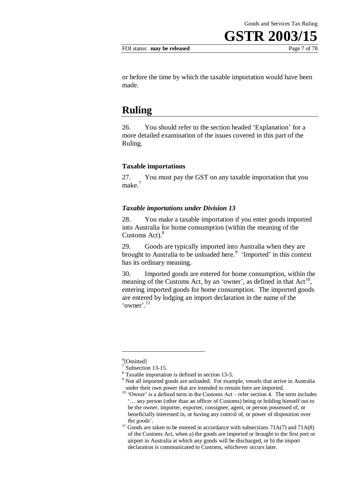or before the time by which the taxable importation would have been made.

### **Ruling**

26. You should refer to the section headed 'Explanation' for a more detailed examination of the issues covered in this part of the Ruling.

#### **Taxable importations**

27. You must pay the GST on any taxable importation that you make.<sup>7</sup>

#### *Taxable importations under Division 13*

28. You make a taxable importation if you enter goods imported into Australia for home consumption (within the meaning of the Customs Act).<sup>8</sup>

29. Goods are typically imported into Australia when they are brought to Australia to be unloaded here.<sup>9</sup> 'Imported' in this context has its ordinary meaning.

30. Imported goods are entered for home consumption, within the meaning of the Customs Act, by an 'owner', as defined in that  $Act^{10}$ , entering imported goods for home consumption. The imported goods are entered by lodging an import declaration in the name of the 'owner'.<sup>11</sup>

1

<sup>&</sup>lt;sup>6</sup>[Omitted]

<sup>7</sup> Subsection 13-15.

<sup>8</sup> Taxable importation is defined in section 13-5.

<sup>&</sup>lt;sup>9</sup> Not all imported goods are unloaded. For example, vessels that arrive in Australia under their own power that are intended to remain here are imported.

<sup>&</sup>lt;sup>10</sup> 'Owner' is a defined term in the Customs Act – refer section 4. The term includes '… any person (other than an officer of Customs) being or holding himself out to be the owner, importer, exporter, consignee, agent, or person possessed of, or beneficially interested in, or having any control of, or power of disposition over the goods'.

<sup>&</sup>lt;sup>11</sup> Goods are taken to be entered in accordance with subsections  $71A(7)$  and  $71A(8)$ of the Customs Act, when a) the goods are imported or brought to the first port or airport in Australia at which any goods will be discharged, or b) the import declaration is communicated to Customs, whichever occurs later.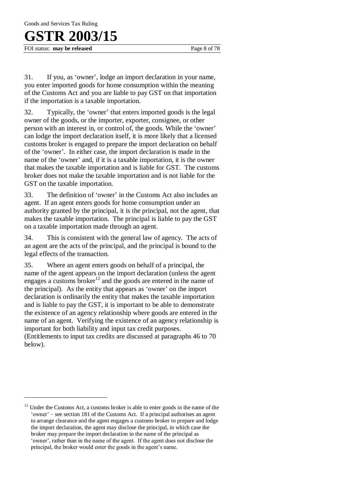FOI status: **may be released** Page 8 of 78

 $\overline{a}$ 

31. If you, as 'owner', lodge an import declaration in your name, you enter imported goods for home consumption within the meaning of the Customs Act and you are liable to pay GST on that importation if the importation is a taxable importation.

32. Typically, the 'owner' that enters imported goods is the legal owner of the goods, or the importer, exporter, consignee, or other person with an interest in, or control of, the goods. While the 'owner' can lodge the import declaration itself, it is more likely that a licensed customs broker is engaged to prepare the import declaration on behalf of the 'owner'. In either case, the import declaration is made in the name of the 'owner' and, if it is a taxable importation, it is the owner that makes the taxable importation and is liable for GST. The customs broker does not make the taxable importation and is not liable for the GST on the taxable importation.

33. The definition of 'owner' in the Customs Act also includes an agent. If an agent enters goods for home consumption under an authority granted by the principal, it is the principal, not the agent, that makes the taxable importation. The principal is liable to pay the GST on a taxable importation made through an agent.

34. This is consistent with the general law of agency. The acts of an agent are the acts of the principal, and the principal is bound to the legal effects of the transaction.

35. Where an agent enters goods on behalf of a principal, the name of the agent appears on the import declaration (unless the agent engages a customs broker<sup>12</sup> and the goods are entered in the name of the principal). As the entity that appears as 'owner' on the import declaration is ordinarily the entity that makes the taxable importation and is liable to pay the GST, it is important to be able to demonstrate the existence of an agency relationship where goods are entered in the name of an agent. Verifying the existence of an agency relationship is important for both liability and input tax credit purposes.

(Entitlements to input tax credits are discussed at paragraphs 46 to 70 below).

<sup>&</sup>lt;sup>12</sup> Under the Customs Act, a customs broker is able to enter goods in the name of the 'owner' – see section 181 of the Customs Act. If a principal authorises an agent to arrange clearance and the agent engages a customs broker to prepare and lodge the import declaration, the agent may disclose the principal, in which case the broker may prepare the import declaration in the name of the principal as 'owner', rather than in the name of the agent. If the agent does not disclose the principal, the broker would enter the goods in the agent's name.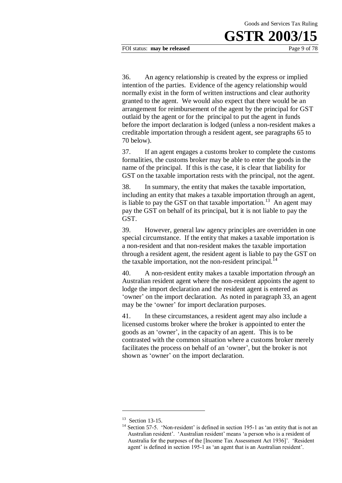FOI status: **may be released** Page 9 of 78

36. An agency relationship is created by the express or implied intention of the parties. Evidence of the agency relationship would normally exist in the form of written instructions and clear authority granted to the agent. We would also expect that there would be an arrangement for reimbursement of the agent by the principal for GST outlaid by the agent or for the principal to put the agent in funds before the import declaration is lodged (unless a non-resident makes a creditable importation through a resident agent, see paragraphs 65 to 70 below).

37. If an agent engages a customs broker to complete the customs formalities, the customs broker may be able to enter the goods in the name of the principal. If this is the case, it is clear that liability for GST on the taxable importation rests with the principal, not the agent.

38. In summary, the entity that makes the taxable importation, including an entity that makes a taxable importation through an agent, is liable to pay the GST on that taxable importation.<sup>13</sup> An agent may pay the GST on behalf of its principal, but it is not liable to pay the GST.

39. However, general law agency principles are overridden in one special circumstance. If the entity that makes a taxable importation is a non-resident and that non-resident makes the taxable importation through a resident agent, the resident agent is liable to pay the GST on the taxable importation, not the non-resident principal.<sup>14</sup>

40. A non-resident entity makes a taxable importation *through* an Australian resident agent where the non-resident appoints the agent to lodge the import declaration and the resident agent is entered as 'owner' on the import declaration. As noted in paragraph 33, an agent may be the 'owner' for import declaration purposes.

41. In these circumstances, a resident agent may also include a licensed customs broker where the broker is appointed to enter the goods as an 'owner', in the capacity of an agent. This is to be contrasted with the common situation where a customs broker merely facilitates the process on behalf of an 'owner', but the broker is not shown as 'owner' on the import declaration.

<sup>&</sup>lt;sup>13</sup> Section 13-15.

 $14$  Section 57-5. 'Non-resident' is defined in section 195-1 as 'an entity that is not an Australian resident'. 'Australian resident' means 'a person who is a resident of Australia for the purposes of the [Income Tax Assessment Act 1936]'. 'Resident agent' is defined in section 195-1 as 'an agent that is an Australian resident'.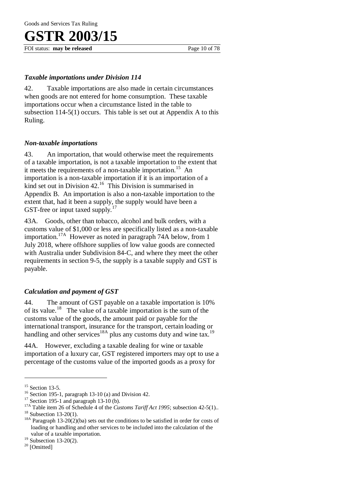FOI status: **may be released** Page 10 of 78

### *Taxable importations under Division 114*

42. Taxable importations are also made in certain circumstances when goods are not entered for home consumption. These taxable importations occur when a circumstance listed in the table to subsection 114-5(1) occurs. This table is set out at Appendix A to this Ruling.

### *Non-taxable importations*

43. An importation, that would otherwise meet the requirements of a taxable importation, is not a taxable importation to the extent that it meets the requirements of a non-taxable importation.<sup>15</sup> An importation is a non-taxable importation if it is an importation of a kind set out in Division 42.<sup>16</sup> This Division is summarised in Appendix B. An importation is also a non-taxable importation to the extent that, had it been a supply, the supply would have been a GST-free or input taxed supply.<sup>1</sup>

43A. Goods, other than tobacco, alcohol and bulk orders, with a customs value of \$1,000 or less are specifically listed as a non-taxable importation.17A However as noted in paragraph 74A below, from 1 July 2018, where offshore supplies of low value goods are connected with Australia under Subdivision 84-C, and where they meet the other requirements in section 9-5, the supply is a taxable supply and GST is payable.

### *Calculation and payment of GST*

44. The amount of GST payable on a taxable importation is 10% of its value.<sup>18</sup> The value of a taxable importation is the sum of the customs value of the goods, the amount paid or payable for the international transport, insurance for the transport, certain loading or handling and other services<sup>18A</sup> plus any customs duty and wine tax.<sup>19</sup>

44A. However, excluding a taxable dealing for wine or taxable importation of a luxury car, GST registered importers may opt to use a percentage of the customs value of the imported goods as a proxy for

<sup>&</sup>lt;sup>15</sup> Section 13-5.

<sup>&</sup>lt;sup>16</sup> Section 195-1, paragraph 13-10 (a) and Division 42.

 $17$  Section 195-1 and paragraph 13-10 (b).

<sup>&</sup>lt;sup>17A</sup> Table item 26 of Schedule 4 of the *Customs Tariff Act 1995*; subsection 42-5(1).  $18$  Subsection 13-20(1).

<sup>&</sup>lt;sup>18A</sup> Paragraph 13-20(2)(ba) sets out the conditions to be satisfied in order for costs of loading or handling and other services to be included into the calculation of the value of a taxable importation.

 $19$  Subsection 13-20(2).

<sup>&</sup>lt;sup>20</sup> [Omitted]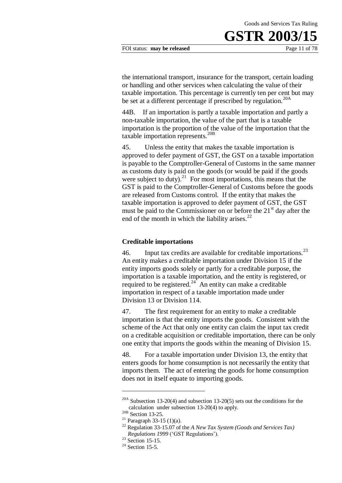#### FOI status: **may be released** Page 11 of 78

the international transport, insurance for the transport, certain loading or handling and other services when calculating the value of their taxable importation. This percentage is currently ten per cent but may be set at a different percentage if prescribed by regulation.<sup>20A</sup>

44B. If an importation is partly a taxable importation and partly a non-taxable importation, the value of the part that is a taxable importation is the proportion of the value of the importation that the taxable importation represents.<sup>20B</sup>

45. Unless the entity that makes the taxable importation is approved to defer payment of GST, the GST on a taxable importation is payable to the Comptroller-General of Customs in the same manner as customs duty is paid on the goods (or would be paid if the goods were subject to duty). $^{21}$  For most importations, this means that the GST is paid to the Comptroller-General of Customs before the goods are released from Customs control. If the entity that makes the taxable importation is approved to defer payment of GST, the GST must be paid to the Commissioner on or before the  $21<sup>st</sup>$  day after the end of the month in which the liability arises. $^{22}$ 

#### **Creditable importations**

46. Input tax credits are available for creditable importations.  $2<sup>3</sup>$ An entity makes a creditable importation under Division 15 if the entity imports goods solely or partly for a creditable purpose, the importation is a taxable importation, and the entity is registered, or required to be registered. $24$  An entity can make a creditable importation in respect of a taxable importation made under Division 13 or Division 114.

47. The first requirement for an entity to make a creditable importation is that the entity imports the goods. Consistent with the scheme of the Act that only one entity can claim the input tax credit on a creditable acquisition or creditable importation, there can be only one entity that imports the goods within the meaning of Division 15.

48. For a taxable importation under Division 13, the entity that enters goods for home consumption is not necessarily the entity that imports them. The act of entering the goods for home consumption does not in itself equate to importing goods.

<sup>20</sup>A Subsection 13-20(4) and subsection 13-20(5) sets out the conditions for the calculation under subsection 13-20(4) to apply.

 $20B$  Section 13-25.

<sup>&</sup>lt;sup>21</sup> Paragraph 33-15 (1)(a).

<sup>22</sup> Regulation 33-15.07 of the *A New Tax System (Goods and Services Tax) Regulations 1999* ('GST Regulations').

 $23$  Section 15-15.

 $24$  Section 15-5.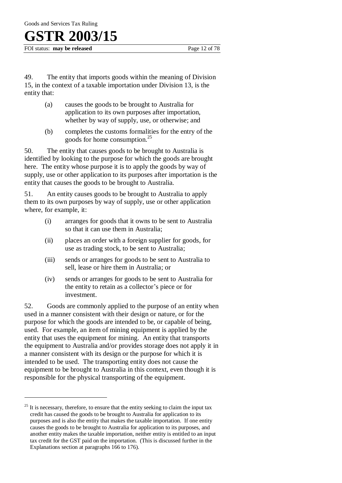FOI status: **may be released** Page 12 of 78

49. The entity that imports goods within the meaning of Division 15, in the context of a taxable importation under Division 13, is the entity that:

- (a) causes the goods to be brought to Australia for application to its own purposes after importation, whether by way of supply, use, or otherwise; and
- (b) completes the customs formalities for the entry of the goods for home consumption.<sup>25</sup>

50. The entity that causes goods to be brought to Australia is identified by looking to the purpose for which the goods are brought here. The entity whose purpose it is to apply the goods by way of supply, use or other application to its purposes after importation is the entity that causes the goods to be brought to Australia.

51. An entity causes goods to be brought to Australia to apply them to its own purposes by way of supply, use or other application where, for example, it:

- (i) arranges for goods that it owns to be sent to Australia so that it can use them in Australia;
- (ii) places an order with a foreign supplier for goods, for use as trading stock, to be sent to Australia;
- (iii) sends or arranges for goods to be sent to Australia to sell, lease or hire them in Australia; or
- (iv) sends or arranges for goods to be sent to Australia for the entity to retain as a collector's piece or for investment.

52. Goods are commonly applied to the purpose of an entity when used in a manner consistent with their design or nature, or for the purpose for which the goods are intended to be, or capable of being, used. For example, an item of mining equipment is applied by the entity that uses the equipment for mining. An entity that transports the equipment to Australia and/or provides storage does not apply it in a manner consistent with its design or the purpose for which it is intended to be used. The transporting entity does not cause the equipment to be brought to Australia in this context, even though it is responsible for the physical transporting of the equipment.

 $25$  It is necessary, therefore, to ensure that the entity seeking to claim the input tax credit has caused the goods to be brought to Australia for application to its purposes and is also the entity that makes the taxable importation. If one entity causes the goods to be brought to Australia for application to its purposes, and another entity makes the taxable importation, neither entity is entitled to an input tax credit for the GST paid on the importation. (This is discussed further in the Explanations section at paragraphs 166 to 176).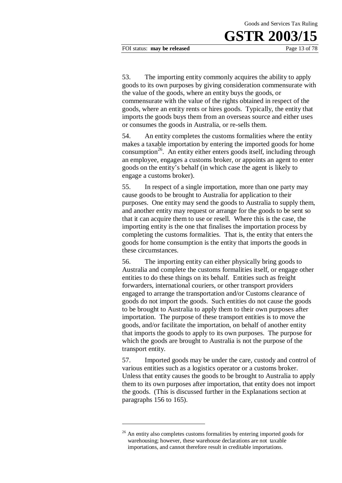FOI status: **may be released** Page 13 of 78

53. The importing entity commonly acquires the ability to apply goods to its own purposes by giving consideration commensurate with the value of the goods, where an entity buys the goods, or commensurate with the value of the rights obtained in respect of the goods, where an entity rents or hires goods. Typically, the entity that imports the goods buys them from an overseas source and either uses or consumes the goods in Australia, or re-sells them.

54. An entity completes the customs formalities where the entity makes a taxable importation by entering the imported goods for home consumption<sup>26</sup>. An entity either enters goods itself, including through an employee, engages a customs broker, or appoints an agent to enter goods on the entity's behalf (in which case the agent is likely to engage a customs broker).

55. In respect of a single importation, more than one party may cause goods to be brought to Australia for application to their purposes. One entity may send the goods to Australia to supply them, and another entity may request or arrange for the goods to be sent so that it can acquire them to use or resell. Where this is the case, the importing entity is the one that finalises the importation process by completing the customs formalities. That is, the entity that enters the goods for home consumption is the entity that imports the goods in these circumstances.

56. The importing entity can either physically bring goods to Australia and complete the customs formalities itself, or engage other entities to do these things on its behalf. Entities such as freight forwarders, international couriers, or other transport providers engaged to arrange the transportation and/or Customs clearance of goods do not import the goods. Such entities do not cause the goods to be brought to Australia to apply them to their own purposes after importation. The purpose of these transport entities is to move the goods, and/or facilitate the importation, on behalf of another entity that imports the goods to apply to its own purposes. The purpose for which the goods are brought to Australia is not the purpose of the transport entity.

57. Imported goods may be under the care, custody and control of various entities such as a logistics operator or a customs broker. Unless that entity causes the goods to be brought to Australia to apply them to its own purposes after importation, that entity does not import the goods. (This is discussed further in the Explanations section at paragraphs 156 to 165).

<sup>&</sup>lt;sup>26</sup> An entity also completes customs formalities by entering imported goods for warehousing; however, these warehouse declarations are not taxable importations, and cannot therefore result in creditable importations.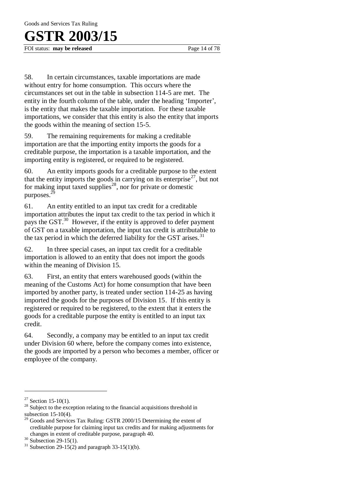FOI status: **may be released** Page 14 of 78

58. In certain circumstances, taxable importations are made without entry for home consumption. This occurs where the circumstances set out in the table in subsection 114-5 are met. The entity in the fourth column of the table, under the heading 'Importer', is the entity that makes the taxable importation. For these taxable importations, we consider that this entity is also the entity that imports the goods within the meaning of section 15-5.

59. The remaining requirements for making a creditable importation are that the importing entity imports the goods for a creditable purpose, the importation is a taxable importation, and the importing entity is registered, or required to be registered.

60. An entity imports goods for a creditable purpose to the extent that the entity imports the goods in carrying on its enterprise<sup>27</sup>, but not for making input taxed supplies<sup>28</sup>, nor for private or domestic purposes.<sup>29</sup>

61. An entity entitled to an input tax credit for a creditable importation attributes the input tax credit to the tax period in which it pays the GST.<sup>30</sup> However, if the entity is approved to defer payment of GST on a taxable importation, the input tax credit is attributable to the tax period in which the deferred liability for the GST arises.<sup>31</sup>

62. In three special cases, an input tax credit for a creditable importation is allowed to an entity that does not import the goods within the meaning of Division 15.

63. First, an entity that enters warehoused goods (within the meaning of the Customs Act) for home consumption that have been imported by another party, is treated under section 114-25 as having imported the goods for the purposes of Division 15. If this entity is registered or required to be registered, to the extent that it enters the goods for a creditable purpose the entity is entitled to an input tax credit.

64. Secondly, a company may be entitled to an input tax credit under Division 60 where, before the company comes into existence, the goods are imported by a person who becomes a member, officer or employee of the company.

 $27$  Section 15-10(1).

<sup>&</sup>lt;sup>28</sup> Subject to the exception relating to the financial acquisitions threshold in subsection 15-10(4).

<sup>&</sup>lt;sup>29</sup> Goods and Services Tax Ruling: GSTR 2000/15 Determining the extent of creditable purpose for claiming input tax credits and for making adjustments for changes in extent of creditable purpose, paragraph 40.

 $30$  Subsection 29-15(1).

<sup>&</sup>lt;sup>31</sup> Subsection 29-15(2) and paragraph 33-15(1)(b).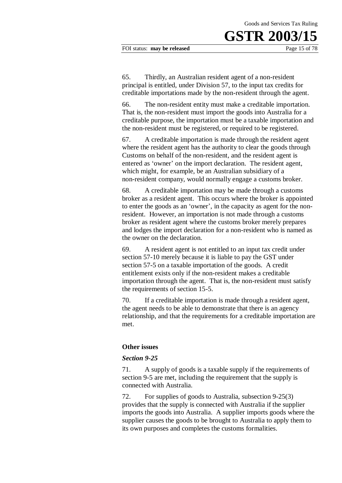#### FOI status: **may be released** Page 15 of 78

65. Thirdly, an Australian resident agent of a non-resident principal is entitled, under Division 57, to the input tax credits for creditable importations made by the non-resident through the agent.

66. The non-resident entity must make a creditable importation. That is, the non-resident must import the goods into Australia for a creditable purpose, the importation must be a taxable importation and the non-resident must be registered, or required to be registered.

67. A creditable importation is made through the resident agent where the resident agent has the authority to clear the goods through Customs on behalf of the non-resident, and the resident agent is entered as 'owner' on the import declaration. The resident agent, which might, for example, be an Australian subsidiary of a non-resident company, would normally engage a customs broker.

68. A creditable importation may be made through a customs broker as a resident agent. This occurs where the broker is appointed to enter the goods as an 'owner', in the capacity as agent for the nonresident. However, an importation is not made through a customs broker as resident agent where the customs broker merely prepares and lodges the import declaration for a non-resident who is named as the owner on the declaration.

69. A resident agent is not entitled to an input tax credit under section 57-10 merely because it is liable to pay the GST under section 57-5 on a taxable importation of the goods. A credit entitlement exists only if the non-resident makes a creditable importation through the agent. That is, the non-resident must satisfy the requirements of section 15-5.

70. If a creditable importation is made through a resident agent, the agent needs to be able to demonstrate that there is an agency relationship, and that the requirements for a creditable importation are met.

#### **Other issues**

#### *Section 9-25*

71. A supply of goods is a taxable supply if the requirements of section 9-5 are met, including the requirement that the supply is connected with Australia.

72. For supplies of goods to Australia, subsection 9-25(3) provides that the supply is connected with Australia if the supplier imports the goods into Australia. A supplier imports goods where the supplier causes the goods to be brought to Australia to apply them to its own purposes and completes the customs formalities.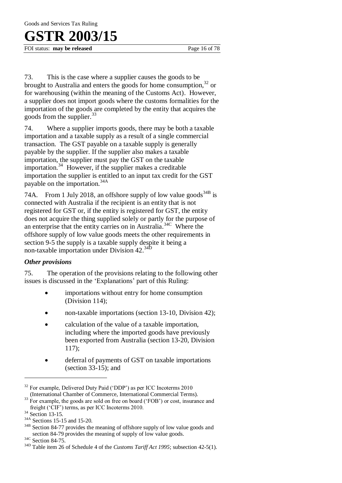FOI status: **may be released** Page 16 of 78

73. This is the case where a supplier causes the goods to be brought to Australia and enters the goods for home consumption,  $32$  or for warehousing (within the meaning of the Customs Act). However, a supplier does not import goods where the customs formalities for the importation of the goods are completed by the entity that acquires the goods from the supplier. $33$ 

74. Where a supplier imports goods, there may be both a taxable importation and a taxable supply as a result of a single commercial transaction. The GST payable on a taxable supply is generally payable by the supplier. If the supplier also makes a taxable importation, the supplier must pay the GST on the taxable importation.<sup>34</sup> However, if the supplier makes a creditable importation the supplier is entitled to an input tax credit for the GST payable on the importation.34A

74A. From 1 July 2018, an offshore supply of low value goods<sup>34B</sup> is connected with Australia if the recipient is an entity that is not registered for GST or, if the entity is registered for GST, the entity does not acquire the thing supplied solely or partly for the purpose of an enterprise that the entity carries on in Australia.34C Where the offshore supply of low value goods meets the other requirements in section 9-5 the supply is a taxable supply despite it being a non-taxable importation under Division 42.34D

### *Other provisions*

75. The operation of the provisions relating to the following other issues is discussed in the 'Explanations' part of this Ruling:

- importations without entry for home consumption (Division 114);
- non-taxable importations (section 13-10, Division 42);
- calculation of the value of a taxable importation, including where the imported goods have previously been exported from Australia (section 13-20, Division 117);
- deferral of payments of GST on taxable importations (section 33-15); and

<sup>&</sup>lt;sup>32</sup> For example, Delivered Duty Paid ('DDP') as per ICC Incoterms 2010 (International Chamber of Commerce, International Commercial Terms).

 $33$  For example, the goods are sold on free on board ('FOB') or cost, insurance and freight ('CIF') terms, as per ICC Incoterms 2010.

<sup>&</sup>lt;sup>34</sup> Section 13-15.

 $\frac{34A}{34B}$  Sections 15-15 and 15-20.

Section 84-77 provides the meaning of offshore supply of low value goods and section 84-79 provides the meaning of supply of low value goods.

<sup>&</sup>lt;sup>34C</sup> Section 84-75.

<sup>34</sup>D Table item 26 of Schedule 4 of the *Customs Tariff Act 1995*; subsection 42-5(1).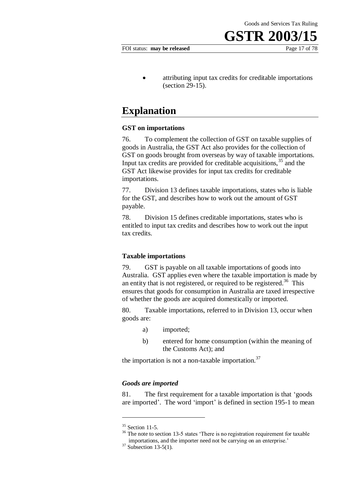#### FOI status: **may be released** Page 17 of 78

 attributing input tax credits for creditable importations (section 29-15).

### **Explanation**

#### **GST on importations**

76. To complement the collection of GST on taxable supplies of goods in Australia, the GST Act also provides for the collection of GST on goods brought from overseas by way of taxable importations. Input tax credits are provided for creditable acquisitions,  $35$  and the GST Act likewise provides for input tax credits for creditable importations.

77. Division 13 defines taxable importations, states who is liable for the GST, and describes how to work out the amount of GST payable.

78. Division 15 defines creditable importations, states who is entitled to input tax credits and describes how to work out the input tax credits.

#### **Taxable importations**

79. GST is payable on all taxable importations of goods into Australia. GST applies even where the taxable importation is made by an entity that is not registered, or required to be registered.<sup>36</sup> This ensures that goods for consumption in Australia are taxed irrespective of whether the goods are acquired domestically or imported.

80. Taxable importations, referred to in Division 13, occur when goods are:

- a) imported;
- b) entered for home consumption (within the meaning of the Customs Act); and

the importation is not a non-taxable importation.<sup>37</sup>

#### *Goods are imported*

81. The first requirement for a taxable importation is that 'goods are imported'. The word 'import' is defined in section 195-1 to mean

 $35$  Section 11-5.

<sup>&</sup>lt;sup>36</sup> The note to section 13-5 states 'There is no registration requirement for taxable importations, and the importer need not be carrying on an enterprise.'

 $37$  Subsection 13-5(1).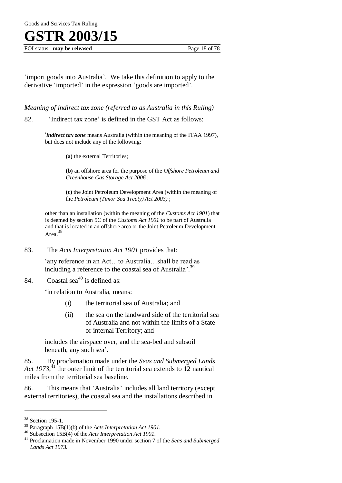FOI status: **may be released** Page 18 of 78

'import goods into Australia'. We take this definition to apply to the derivative 'imported' in the expression 'goods are imported'.

*Meaning of indirect tax zone (referred to as Australia in this Ruling)* 

82. 'Indirect tax zone' is defined in the GST Act as follows:

'*indirect tax zone* means Australia (within the meaning of the ITAA 1997), but does not include any of the following:

**(a)** the external Territories;

**(b)** an offshore area for the purpose of the *Offshore Petroleum and Greenhouse Gas Storage Act 2006* ;

**(c)** the Joint Petroleum Development Area (within the meaning of the *Petroleum (Timor Sea Treaty) Act 2003)* ;

other than an installation (within the meaning of the *Customs Act 1901*) that is deemed by section 5C of the *Customs Act 1901* to be part of Australia and that is located in an offshore area or the Joint Petroleum Development Area. 38

83. The *Acts Interpretation Act 1901* provides that:

'any reference in an Act…to Australia…shall be read as including a reference to the coastal sea of Australia'.<sup>39</sup>

### 84. Coastal sea<sup>40</sup> is defined as:

'in relation to Australia, means:

- (i) the territorial sea of Australia; and
- (ii) the sea on the landward side of the territorial sea of Australia and not within the limits of a State or internal Territory; and

includes the airspace over, and the sea-bed and subsoil beneath, any such sea'.

85. By proclamation made under the *Seas and Submerged Lands*  Act 1973,<sup>41</sup> the outer limit of the territorial sea extends to 12 nautical miles from the territorial sea baseline.

86. This means that 'Australia' includes all land territory (except external territories), the coastal sea and the installations described in

<sup>38</sup> Section 195-1.

<sup>39</sup> Paragraph 15B(1)(b) of the *Acts Interpretation Act 1901.*

<sup>40</sup> Subsection 15B(4) of the *Acts Interpretation Act 1901*.

<sup>41</sup> Proclamation made in November 1990 under section 7 of the *Seas and Submerged Lands Act 1973.*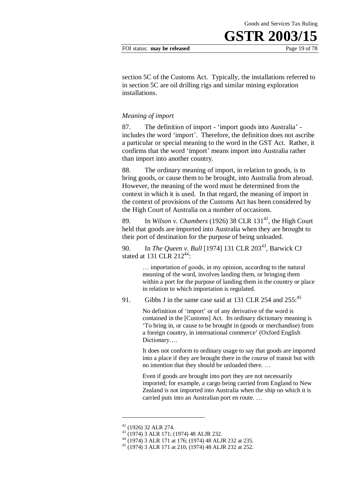#### FOI status: **may be released** Page 19 of 78

section 5C of the Customs Act. Typically, the installations referred to in section 5C are oil drilling rigs and similar mining exploration installations.

#### *Meaning of import*

87. The definition of import - 'import goods into Australia' includes the word 'import'. Therefore, the definition does not ascribe a particular or special meaning to the word in the GST Act. Rather, it confirms that the word 'import' means import into Australia rather than import into another country.

88. The ordinary meaning of import, in relation to goods, is to bring goods, or cause them to be brought, into Australia from abroad. However, the meaning of the word must be determined from the context in which it is used. In that regard, the meaning of import in the context of provisions of the Customs Act has been considered by the High Court of Australia on a number of occasions.

89. In *Wilson v. Chambers* (1926) 38 CLR 131<sup>42</sup>, the High Court held that goods are imported into Australia when they are brought to their port of destination for the purpose of being unloaded.

90. In *The Queen v. Bull* [1974] 131 CLR 203<sup>43</sup>, Barwick CJ stated at 131 CLR  $212^{44}$ :

> … importation of goods, in my opinion, according to the natural meaning of the word, involves landing them, or bringing them within a port for the purpose of landing them in the country or place in relation to which importation is regulated.

91. Gibbs J in the same case said at 131 CLR 254 and  $255:^{45}$ 

No definition of 'import' or of any derivative of the word is contained in the [Customs] Act. Its ordinary dictionary meaning is 'To bring in, or cause to be brought in (goods or merchandise) from a foreign country, in international commerce' (Oxford English Dictionary….

It does not conform to ordinary usage to say that goods are imported into a place if they are brought there in the course of transit but with no intention that they should be unloaded there. …

Even if goods are brought into port they are not necessarily imported; for example, a cargo being carried from England to New Zealand is not imported into Australia when the ship on which it is carried puts into an Australian port en route. …

 $42$  (1926) 32 ALR 274.

<sup>43</sup> (1974) 3 ALR 171; (1974) 48 ALJR 232.

<sup>44</sup> (1974) 3 ALR 171 at 176; (1974) 48 ALJR 232 at 235.

<sup>45</sup> (1974) 3 ALR 171 at 210; (1974) 48 ALJR 232 at 252.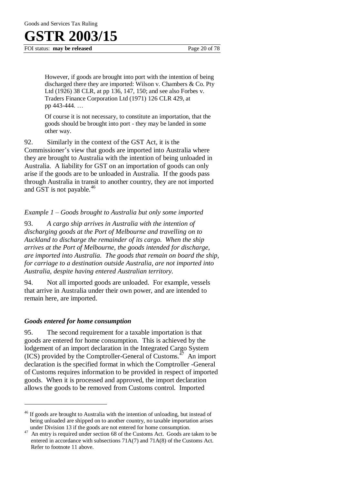FOI status: **may be released** Page 20 of 78

However, if goods are brought into port with the intention of being discharged there they are imported: Wilson v. Chambers & Co. Pty Ltd (1926) 38 CLR, at pp 136, 147, 150; and see also Forbes v. Traders Finance Corporation Ltd (1971) 126 CLR 429, at pp 443-444. …

Of course it is not necessary, to constitute an importation, that the goods should be brought into port - they may be landed in some other way.

92. Similarly in the context of the GST Act, it is the Commissioner's view that goods are imported into Australia where they are brought to Australia with the intention of being unloaded in Australia. A liability for GST on an importation of goods can only arise if the goods are to be unloaded in Australia. If the goods pass through Australia in transit to another country, they are not imported and GST is not payable.<sup>46</sup>

### *Example 1 – Goods brought to Australia but only some imported*

93. *A cargo ship arrives in Australia with the intention of discharging goods at the Port of Melbourne and travelling on to Auckland to discharge the remainder of its cargo. When the ship arrives at the Port of Melbourne, the goods intended for discharge, are imported into Australia. The goods that remain on board the ship, for carriage to a destination outside Australia, are not imported into Australia, despite having entered Australian territory.*

94. Not all imported goods are unloaded. For example, vessels that arrive in Australia under their own power, and are intended to remain here, are imported.

### *Goods entered for home consumption*

 $\overline{a}$ 

95. The second requirement for a taxable importation is that goods are entered for home consumption. This is achieved by the lodgement of an import declaration in the Integrated Cargo System  $(ICS)$  provided by the Comptroller-General of Customs.<sup>47</sup> An import declaration is the specified format in which the Comptroller -General of Customs requires information to be provided in respect of imported goods. When it is processed and approved, the import declaration allows the goods to be removed from Customs control. Imported

<sup>&</sup>lt;sup>46</sup> If goods are brought to Australia with the intention of unloading, but instead of being unloaded are shipped on to another country, no taxable importation arises under Division 13 if the goods are not entered for home consumption.

<sup>&</sup>lt;sup>47</sup> An entry is required under section 68 of the Customs Act. Goods are taken to be entered in accordance with subsections 71A(7) and 71A(8) of the Customs Act. Refer to footnote 11 above.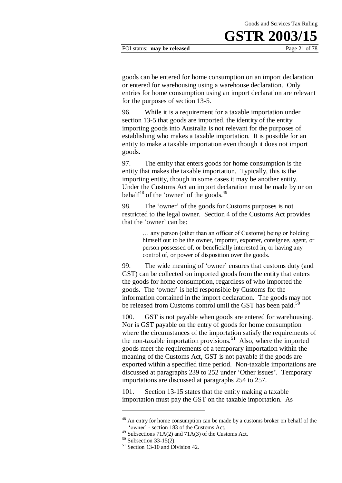#### FOI status: **may be released** Page 21 of 78

goods can be entered for home consumption on an import declaration or entered for warehousing using a warehouse declaration. Only entries for home consumption using an import declaration are relevant for the purposes of section 13-5.

96. While it is a requirement for a taxable importation under section 13-5 that goods are imported, the identity of the entity importing goods into Australia is not relevant for the purposes of establishing who makes a taxable importation. It is possible for an entity to make a taxable importation even though it does not import goods.

97. The entity that enters goods for home consumption is the entity that makes the taxable importation. Typically, this is the importing entity, though in some cases it may be another entity. Under the Customs Act an import declaration must be made by or on behalf $48$  of the 'owner' of the goods. $49$ 

98. The 'owner' of the goods for Customs purposes is not restricted to the legal owner. Section 4 of the Customs Act provides that the 'owner' can be:

> … any person (other than an officer of Customs) being or holding himself out to be the owner, importer, exporter, consignee, agent, or person possessed of, or beneficially interested in, or having any control of, or power of disposition over the goods.

99. The wide meaning of 'owner' ensures that customs duty (and GST) can be collected on imported goods from the entity that enters the goods for home consumption, regardless of who imported the goods. The 'owner' is held responsible by Customs for the information contained in the import declaration. The goods may not be released from Customs control until the GST has been paid. $50$ 

100. GST is not payable when goods are entered for warehousing. Nor is GST payable on the entry of goods for home consumption where the circumstances of the importation satisfy the requirements of the non-taxable importation provisions.<sup>51</sup> Also, where the imported goods meet the requirements of a temporary importation within the meaning of the Customs Act, GST is not payable if the goods are exported within a specified time period. Non-taxable importations are discussed at paragraphs 239 to 252 under 'Other issues'. Temporary importations are discussed at paragraphs 254 to 257.

101. Section 13-15 states that the entity making a taxable importation must pay the GST on the taxable importation. As

<sup>&</sup>lt;sup>48</sup> An entry for home consumption can be made by a customs broker on behalf of the 'owner' - section 183 of the Customs Act*.*

 $^{49}$  Subsections 71A(2) and 71A(3) of the Customs Act.

 $50$  Subsection 33-15(2).

<sup>51</sup> Section 13-10 and Division 42.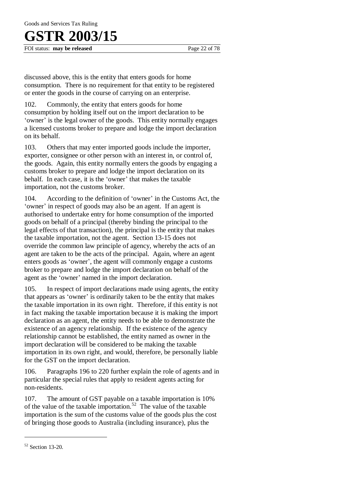FOI status: **may be released** Page 22 of 78

discussed above, this is the entity that enters goods for home consumption. There is no requirement for that entity to be registered or enter the goods in the course of carrying on an enterprise.

102. Commonly, the entity that enters goods for home consumption by holding itself out on the import declaration to be 'owner' is the legal owner of the goods. This entity normally engages a licensed customs broker to prepare and lodge the import declaration on its behalf.

103. Others that may enter imported goods include the importer, exporter, consignee or other person with an interest in, or control of, the goods. Again, this entity normally enters the goods by engaging a customs broker to prepare and lodge the import declaration on its behalf. In each case, it is the 'owner' that makes the taxable importation, not the customs broker.

104. According to the definition of 'owner' in the Customs Act, the 'owner' in respect of goods may also be an agent. If an agent is authorised to undertake entry for home consumption of the imported goods on behalf of a principal (thereby binding the principal to the legal effects of that transaction), the principal is the entity that makes the taxable importation, not the agent. Section 13-15 does not override the common law principle of agency, whereby the acts of an agent are taken to be the acts of the principal. Again, where an agent enters goods as 'owner', the agent will commonly engage a customs broker to prepare and lodge the import declaration on behalf of the agent as the 'owner' named in the import declaration.

105. In respect of import declarations made using agents, the entity that appears as 'owner' is ordinarily taken to be the entity that makes the taxable importation in its own right. Therefore, if this entity is not in fact making the taxable importation because it is making the import declaration as an agent, the entity needs to be able to demonstrate the existence of an agency relationship. If the existence of the agency relationship cannot be established, the entity named as owner in the import declaration will be considered to be making the taxable importation in its own right, and would, therefore, be personally liable for the GST on the import declaration.

106. Paragraphs 196 to 220 further explain the role of agents and in particular the special rules that apply to resident agents acting for non-residents.

107. The amount of GST payable on a taxable importation is 10% of the value of the taxable importation.<sup>52</sup> The value of the taxable importation is the sum of the customs value of the goods plus the cost of bringing those goods to Australia (including insurance), plus the

<sup>52</sup> Section 13-20.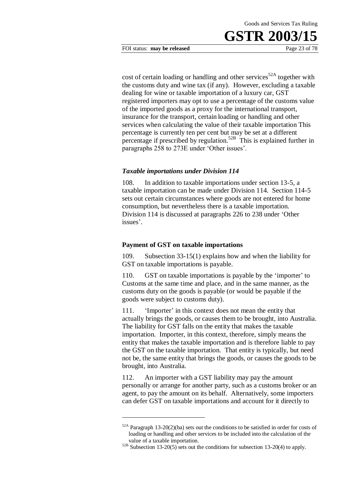#### FOI status: **may be released** Page 23 of 78

cost of certain loading or handling and other services<sup>52A</sup> together with the customs duty and wine tax (if any). However, excluding a taxable dealing for wine or taxable importation of a luxury car, GST registered importers may opt to use a percentage of the customs value of the imported goods as a proxy for the international transport, insurance for the transport, certain loading or handling and other services when calculating the value of their taxable importation This percentage is currently ten per cent but may be set at a different percentage if prescribed by regulation.<sup>52B</sup> This is explained further in paragraphs 258 to 273E under 'Other issues'.

#### *Taxable importations under Division 114*

108. In addition to taxable importations under section 13-5, a taxable importation can be made under Division 114. Section 114-5 sets out certain circumstances where goods are not entered for home consumption, but nevertheless there is a taxable importation. Division 114 is discussed at paragraphs 226 to 238 under 'Other issues'.

#### **Payment of GST on taxable importations**

<u>.</u>

109. Subsection 33-15(1) explains how and when the liability for GST on taxable importations is payable.

110. GST on taxable importations is payable by the 'importer' to Customs at the same time and place, and in the same manner, as the customs duty on the goods is payable (or would be payable if the goods were subject to customs duty).

111. 'Importer' in this context does not mean the entity that actually brings the goods, or causes them to be brought, into Australia. The liability for GST falls on the entity that makes the taxable importation. Importer, in this context, therefore, simply means the entity that makes the taxable importation and is therefore liable to pay the GST on the taxable importation. That entity is typically, but need not be, the same entity that brings the goods, or causes the goods to be brought, into Australia.

112. An importer with a GST liability may pay the amount personally or arrange for another party, such as a customs broker or an agent, to pay the amount on its behalf. Alternatively, some importers can defer GST on taxable importations and account for it directly to

<sup>52</sup>A Paragraph 13-20(2)(ba) sets out the conditions to be satisfied in order for costs of loading or handling and other services to be included into the calculation of the value of a taxable importation.

 $52B$  Subsection 13-20(5) sets out the conditions for subsection 13-20(4) to apply.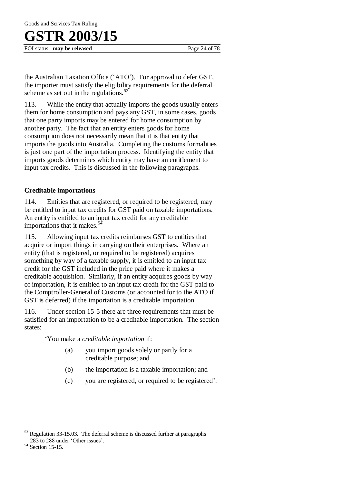FOI status: **may be released** Page 24 of 78

the Australian Taxation Office ('ATO'). For approval to defer GST, the importer must satisfy the eligibility requirements for the deferral scheme as set out in the regulations. $53$ 

113. While the entity that actually imports the goods usually enters them for home consumption and pays any GST, in some cases, goods that one party imports may be entered for home consumption by another party. The fact that an entity enters goods for home consumption does not necessarily mean that it is that entity that imports the goods into Australia. Completing the customs formalities is just one part of the importation process. Identifying the entity that imports goods determines which entity may have an entitlement to input tax credits. This is discussed in the following paragraphs.

### **Creditable importations**

114. Entities that are registered, or required to be registered, may be entitled to input tax credits for GST paid on taxable importations. An entity is entitled to an input tax credit for any creditable importations that it makes. $5$ 

115. Allowing input tax credits reimburses GST to entities that acquire or import things in carrying on their enterprises. Where an entity (that is registered, or required to be registered) acquires something by way of a taxable supply, it is entitled to an input tax credit for the GST included in the price paid where it makes a creditable acquisition. Similarly, if an entity acquires goods by way of importation, it is entitled to an input tax credit for the GST paid to the Comptroller-General of Customs (or accounted for to the ATO if GST is deferred) if the importation is a creditable importation.

116. Under section 15-5 there are three requirements that must be satisfied for an importation to be a creditable importation. The section states:

'You make a *creditable importation* if:

- (a) you import goods solely or partly for a creditable purpose; and
- (b) the importation is a taxable importation; and
- (c) you are registered, or required to be registered'.

<sup>&</sup>lt;sup>53</sup> Regulation 33-15.03. The deferral scheme is discussed further at paragraphs 283 to 288 under 'Other issues'.

<sup>54</sup> Section 15-15.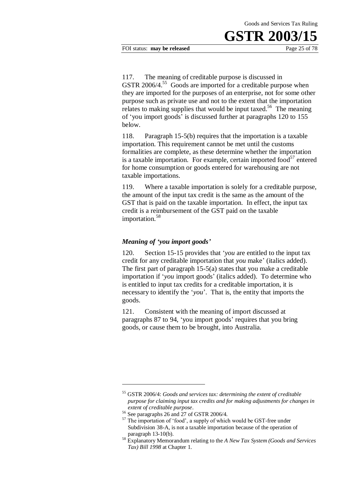FOI status: **may be released** Page 25 of 78

117. The meaning of creditable purpose is discussed in GSTR 2006/4.<sup>55</sup> Goods are imported for a creditable purpose when they are imported for the purposes of an enterprise, not for some other purpose such as private use and not to the extent that the importation relates to making supplies that would be input taxed.<sup>56</sup> The meaning of 'you import goods' is discussed further at paragraphs 120 to 155 below.

118. Paragraph 15-5(b) requires that the importation is a taxable importation. This requirement cannot be met until the customs formalities are complete, as these determine whether the importation is a taxable importation. For example, certain imported food $^{57}$  entered for home consumption or goods entered for warehousing are not taxable importations.

119. Where a taxable importation is solely for a creditable purpose, the amount of the input tax credit is the same as the amount of the GST that is paid on the taxable importation. In effect, the input tax credit is a reimbursement of the GST paid on the taxable importation.<sup>58</sup>

### *Meaning of 'you import goods'*

120. Section 15-15 provides that '*you* are entitled to the input tax credit for any creditable importation that *you* make' (italics added). The first part of paragraph 15-5(a) states that you make a creditable importation if '*you* import goods' (italics added). To determine who is entitled to input tax credits for a creditable importation, it is necessary to identify the '*you*'. That is, the entity that imports the goods.

121. Consistent with the meaning of import discussed at paragraphs 87 to 94, 'you import goods' requires that you bring goods, or cause them to be brought, into Australia.

<sup>55</sup> GSTR 2006/4: *Goods and services tax: determining the extent of creditable purpose for claiming input tax credits and for making adjustments for changes in extent of creditable purpose*.

<sup>&</sup>lt;sup>56</sup> See paragraphs 26 and 27 of GSTR 2006/4.

<sup>&</sup>lt;sup>57</sup> The importation of 'food', a supply of which would be GST-free under Subdivision 38-A, is not a taxable importation because of the operation of paragraph 13-10(b).

<sup>58</sup> Explanatory Memorandum relating to the *A New Tax System (Goods and Services Tax) Bill 1998* at Chapter 1.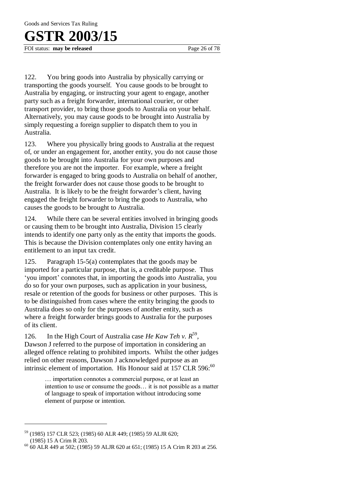FOI status: **may be released** Page 26 of 78

122. You bring goods into Australia by physically carrying or transporting the goods yourself. You cause goods to be brought to Australia by engaging, or instructing your agent to engage, another party such as a freight forwarder, international courier, or other transport provider, to bring those goods to Australia on your behalf. Alternatively, you may cause goods to be brought into Australia by simply requesting a foreign supplier to dispatch them to you in Australia.

123. Where you physically bring goods to Australia at the request of, or under an engagement for, another entity, you do not cause those goods to be brought into Australia for your own purposes and therefore you are not the importer. For example, where a freight forwarder is engaged to bring goods to Australia on behalf of another, the freight forwarder does not cause those goods to be brought to Australia. It is likely to be the freight forwarder's client, having engaged the freight forwarder to bring the goods to Australia, who causes the goods to be brought to Australia.

124. While there can be several entities involved in bringing goods or causing them to be brought into Australia, Division 15 clearly intends to identify one party only as the entity that imports the goods. This is because the Division contemplates only one entity having an entitlement to an input tax credit.

125. Paragraph 15-5(a) contemplates that the goods may be imported for a particular purpose, that is, a creditable purpose. Thus 'you import' connotes that, in importing the goods into Australia, you do so for your own purposes, such as application in your business, resale or retention of the goods for business or other purposes. This is to be distinguished from cases where the entity bringing the goods to Australia does so only for the purposes of another entity, such as where a freight forwarder brings goods to Australia for the purposes of its client.

126. In the High Court of Australia case *He Kaw Teh v. R*<sup>59</sup>, Dawson J referred to the purpose of importation in considering an alleged offence relating to prohibited imports. Whilst the other judges relied on other reasons, Dawson J acknowledged purpose as an intrinsic element of importation. His Honour said at  $157$  CLR 596: $^{60}$ 

> … importation connotes a commercial purpose, or at least an intention to use or consume the goods… it is not possible as a matter of language to speak of importation without introducing some element of purpose or intention.

<sup>59</sup> (1985) 157 CLR 523; (1985) 60 ALR 449; (1985) 59 ALJR 620; (1985) 15 A Crim R 203.

 $^{60}$  60 ALR 449 at 502; (1985) 59 ALJR 620 at 651; (1985) 15 A Crim R 203 at 256.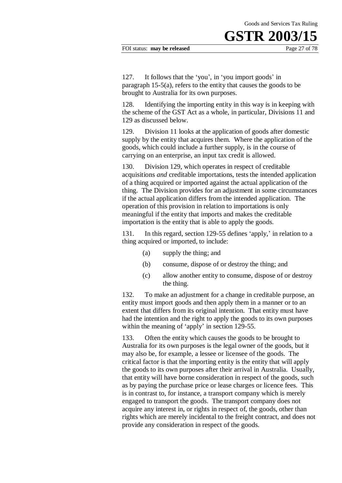127. It follows that the 'you', in 'you import goods' in paragraph 15-5(a), refers to the entity that causes the goods to be brought to Australia for its own purposes.

128. Identifying the importing entity in this way is in keeping with the scheme of the GST Act as a whole, in particular, Divisions 11 and 129 as discussed below.

129. Division 11 looks at the application of goods after domestic supply by the entity that acquires them. Where the application of the goods, which could include a further supply, is in the course of carrying on an enterprise, an input tax credit is allowed.

130. Division 129, which operates in respect of creditable acquisitions *and* creditable importations, tests the intended application of a thing acquired or imported against the actual application of the thing. The Division provides for an adjustment in some circumstances if the actual application differs from the intended application. The operation of this provision in relation to importations is only meaningful if the entity that imports and makes the creditable importation is the entity that is able to apply the goods.

131. In this regard, section 129-55 defines 'apply,' in relation to a thing acquired or imported, to include:

- (a) supply the thing; and
- (b) consume, dispose of or destroy the thing; and
- (c) allow another entity to consume, dispose of or destroy the thing.

132. To make an adjustment for a change in creditable purpose, an entity must import goods and then apply them in a manner or to an extent that differs from its original intention. That entity must have had the intention and the right to apply the goods to its own purposes within the meaning of 'apply' in section 129-55.

133. Often the entity which causes the goods to be brought to Australia for its own purposes is the legal owner of the goods, but it may also be, for example, a lessee or licensee of the goods. The critical factor is that the importing entity is the entity that will apply the goods to its own purposes after their arrival in Australia. Usually, that entity will have borne consideration in respect of the goods, such as by paying the purchase price or lease charges or licence fees. This is in contrast to, for instance, a transport company which is merely engaged to transport the goods. The transport company does not acquire any interest in, or rights in respect of, the goods, other than rights which are merely incidental to the freight contract, and does not provide any consideration in respect of the goods.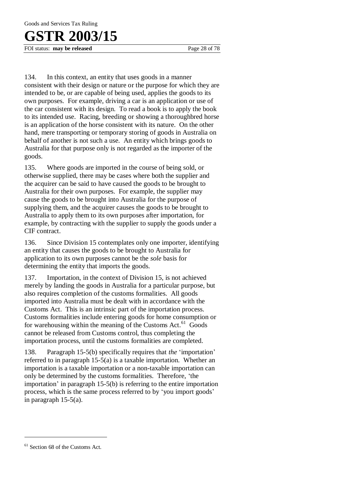# **R 2003/15**

FOI status: **may be released** Page 28 of 78

134. In this context, an entity that uses goods in a manner consistent with their design or nature or the purpose for which they are intended to be, or are capable of being used, applies the goods to its own purposes. For example, driving a car is an application or use of the car consistent with its design. To read a book is to apply the book to its intended use. Racing, breeding or showing a thoroughbred horse is an application of the horse consistent with its nature. On the other hand, mere transporting or temporary storing of goods in Australia on behalf of another is not such a use. An entity which brings goods to Australia for that purpose only is not regarded as the importer of the goods.

135. Where goods are imported in the course of being sold, or otherwise supplied, there may be cases where both the supplier and the acquirer can be said to have caused the goods to be brought to Australia for their own purposes. For example, the supplier may cause the goods to be brought into Australia for the purpose of supplying them, and the acquirer causes the goods to be brought to Australia to apply them to its own purposes after importation, for example, by contracting with the supplier to supply the goods under a CIF contract.

136. Since Division 15 contemplates only one importer, identifying an entity that causes the goods to be brought to Australia for application to its own purposes cannot be the *sole* basis for determining the entity that imports the goods.

137. Importation, in the context of Division 15, is not achieved merely by landing the goods in Australia for a particular purpose, but also requires completion of the customs formalities. All goods imported into Australia must be dealt with in accordance with the Customs Act. This is an intrinsic part of the importation process. Customs formalities include entering goods for home consumption or for warehousing within the meaning of the Customs Act.<sup>61</sup> Goods cannot be released from Customs control, thus completing the importation process, until the customs formalities are completed.

138. Paragraph 15-5(b) specifically requires that *the* 'importation' referred to in paragraph 15-5(a) is a taxable importation. Whether an importation is a taxable importation or a non-taxable importation can only be determined by the customs formalities. Therefore, 'the importation' in paragraph 15-5(b) is referring to the entire importation process, which is the same process referred to by 'you import goods' in paragraph 15-5(a).

<sup>&</sup>lt;sup>61</sup> Section 68 of the Customs Act.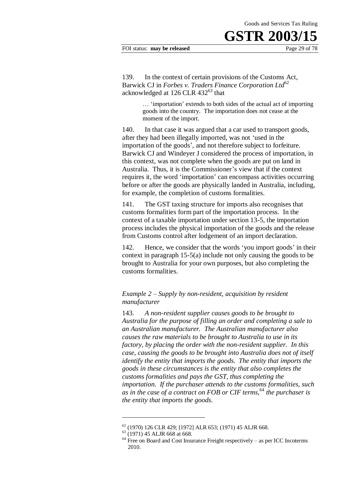#### FOI status: **may be released** Page 29 of 78

139. In the context of certain provisions of the Customs Act, Barwick CJ in *Forbes v. Traders Finance Corporation Ltd*<sup>62</sup> acknowledged at 126 CLR  $432^{63}$  that

> … 'importation' extends to both sides of the actual act of importing goods into the country. The importation does not cease at the moment of the import.

140. In that case it was argued that a car used to transport goods, after they had been illegally imported, was not 'used in the importation of the goods', and not therefore subject to forfeiture. Barwick CJ and Windeyer J considered the process of importation, in this context, was not complete when the goods are put on land in Australia. Thus, it is the Commissioner's view that if the context requires it, the word 'importation' can encompass activities occurring before or after the goods are physically landed in Australia, including, for example, the completion of customs formalities.

141. The GST taxing structure for imports also recognises that customs formalities form part of the importation process. In the context of a taxable importation under section 13-5, the importation process includes the physical importation of the goods and the release from Customs control after lodgement of an import declaration.

142. Hence, we consider that the words 'you import goods' in their context in paragraph 15-5(a) include not only causing the goods to be brought to Australia for your own purposes, but also completing the customs formalities.

### *Example 2 – Supply by non-resident, acquisition by resident manufacturer*

143. *A non-resident supplier causes goods to be brought to Australia for the purpose of filling an order and completing a sale to an Australian manufacturer. The Australian manufacturer also causes the raw materials to be brought to Australia to use in its factory, by placing the order with the non-resident supplier. In this case, causing the goods to be brought into Australia does not of itself identify the entity that imports the goods. The entity that imports the goods in these circumstances is the entity that also completes the customs formalities and pays the GST, thus completing the importation. If the purchaser attends to the customs formalities, such as in the case of a contract on FOB or CIF terms,*<sup>64</sup> *the purchaser is the entity that imports the goods.*

<sup>62</sup> (1970) 126 CLR 429; [1972] ALR 653; (1971) 45 ALJR 668.

<sup>63</sup> (1971) 45 ALJR 668 at 668.

 $64$  Free on Board and Cost Insurance Freight respectively – as per ICC Incoterms 2010.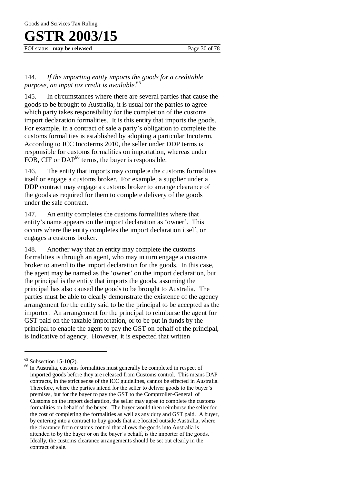FOI status: **may be released** Page 30 of 78

### 144. *If the importing entity imports the goods for a creditable purpose, an input tax credit is available.*<sup>65</sup>

145. In circumstances where there are several parties that cause the goods to be brought to Australia, it is usual for the parties to agree which party takes responsibility for the completion of the customs import declaration formalities. It is this entity that imports the goods. For example, in a contract of sale a party's obligation to complete the customs formalities is established by adopting a particular Incoterm. According to ICC Incoterms 2010, the seller under DDP terms is responsible for customs formalities on importation, whereas under FOB, CIF or DAP<sup>66</sup> terms, the buyer is responsible.

146. The entity that imports may complete the customs formalities itself or engage a customs broker. For example, a supplier under a DDP contract may engage a customs broker to arrange clearance of the goods as required for them to complete delivery of the goods under the sale contract.

147. An entity completes the customs formalities where that entity's name appears on the import declaration as 'owner'. This occurs where the entity completes the import declaration itself, or engages a customs broker.

148. Another way that an entity may complete the customs formalities is through an agent, who may in turn engage a customs broker to attend to the import declaration for the goods. In this case, the agent may be named as the 'owner' on the import declaration, but the principal is the entity that imports the goods, assuming the principal has also caused the goods to be brought to Australia. The parties must be able to clearly demonstrate the existence of the agency arrangement for the entity said to be the principal to be accepted as the importer. An arrangement for the principal to reimburse the agent for GST paid on the taxable importation, or to be put in funds by the principal to enable the agent to pay the GST on behalf of the principal, is indicative of agency. However, it is expected that written

 $65$  Subsection 15-10(2).

<sup>&</sup>lt;sup>66</sup> In Australia, customs formalities must generally be completed in respect of imported goods before they are released from Customs control. This means DAP contracts, in the strict sense of the ICC guidelines, cannot be effected in Australia. Therefore, where the parties intend for the seller to deliver goods to the buyer's premises, but for the buyer to pay the GST to the Comptroller-General of Customs on the import declaration, the seller may agree to complete the customs formalities on behalf of the buyer. The buyer would then reimburse the seller for the cost of completing the formalities as well as any duty and GST paid. A buyer, by entering into a contract to buy goods that are located outside Australia, where the clearance from customs control that allows the goods into Australia is attended to by the buyer or on the buyer's behalf, is the importer of the goods. Ideally, the customs clearance arrangements should be set out clearly in the contract of sale.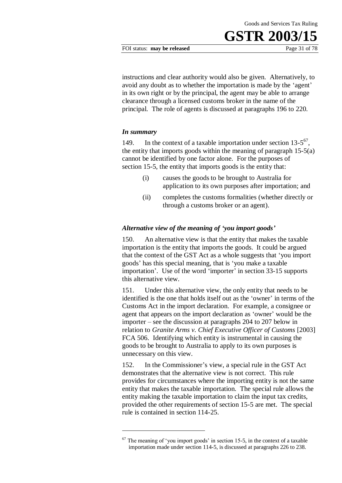#### FOI status: **may be released** Page 31 of 78

instructions and clear authority would also be given. Alternatively, to avoid any doubt as to whether the importation is made by the 'agent' in its own right or by the principal, the agent may be able to arrange clearance through a licensed customs broker in the name of the principal. The role of agents is discussed at paragraphs 196 to 220.

#### *In summary*

1

149. In the context of a taxable importation under section  $13-5^{67}$ , the entity that imports goods within the meaning of paragraph 15-5(a) cannot be identified by one factor alone. For the purposes of section 15-5, the entity that imports goods is the entity that:

- (i) causes the goods to be brought to Australia for application to its own purposes after importation; and
- (ii) completes the customs formalities (whether directly or through a customs broker or an agent).

#### *Alternative view of the meaning of 'you import goods'*

150. An alternative view is that the entity that makes the taxable importation is the entity that imports the goods. It could be argued that the context of the GST Act as a whole suggests that 'you import goods' has this special meaning, that is 'you make a taxable importation'. Use of the word 'importer' in section 33-15 supports this alternative view.

151. Under this alternative view, the only entity that needs to be identified is the one that holds itself out as the 'owner' in terms of the Customs Act in the import declaration. For example, a consignee or agent that appears on the import declaration as 'owner' would be the importer – see the discussion at paragraphs 204 to 207 below in relation to *Granite Arms v. Chief Executive Officer of Customs* [2003] FCA 506. Identifying which entity is instrumental in causing the goods to be brought to Australia to apply to its own purposes is unnecessary on this view.

152. In the Commissioner's view, a special rule in the GST Act demonstrates that the alternative view is not correct. This rule provides for circumstances where the importing entity is not the same entity that makes the taxable importation. The special rule allows the entity making the taxable importation to claim the input tax credits, provided the other requirements of section 15-5 are met. The special rule is contained in section 114-25.

 $67$  The meaning of 'you import goods' in section 15-5, in the context of a taxable importation made under section 114-5, is discussed at paragraphs 226 to 238.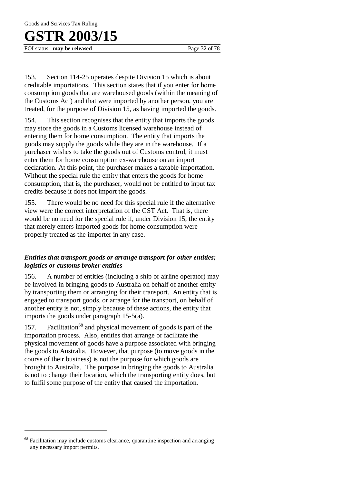FOI status: **may be released** Page 32 of 78

153. Section 114-25 operates despite Division 15 which is about creditable importations. This section states that if you enter for home consumption goods that are warehoused goods (within the meaning of the Customs Act) and that were imported by another person, you are treated, for the purpose of Division 15, as having imported the goods.

154. This section recognises that the entity that imports the goods may store the goods in a Customs licensed warehouse instead of entering them for home consumption. The entity that imports the goods may supply the goods while they are in the warehouse. If a purchaser wishes to take the goods out of Customs control, it must enter them for home consumption ex-warehouse on an import declaration. At this point, the purchaser makes a taxable importation. Without the special rule the entity that enters the goods for home consumption, that is, the purchaser, would not be entitled to input tax credits because it does not import the goods.

155. There would be no need for this special rule if the alternative view were the correct interpretation of the GST Act. That is, there would be no need for the special rule if, under Division 15, the entity that merely enters imported goods for home consumption were properly treated as the importer in any case.

### *Entities that transport goods or arrange transport for other entities; logistics or customs broker entities*

156. A number of entities (including a ship or airline operator) may be involved in bringing goods to Australia on behalf of another entity by transporting them or arranging for their transport. An entity that is engaged to transport goods, or arrange for the transport, on behalf of another entity is not, simply because of these actions, the entity that imports the goods under paragraph 15-5(a).

157. Facilitation<sup>68</sup> and physical movement of goods is part of the importation process. Also, entities that arrange or facilitate the physical movement of goods have a purpose associated with bringing the goods to Australia. However, that purpose (to move goods in the course of their business) is not the purpose for which goods are brought to Australia. The purpose in bringing the goods to Australia is not to change their location, which the transporting entity does, but to fulfil some purpose of the entity that caused the importation.

<sup>&</sup>lt;sup>68</sup> Facilitation may include customs clearance, quarantine inspection and arranging any necessary import permits.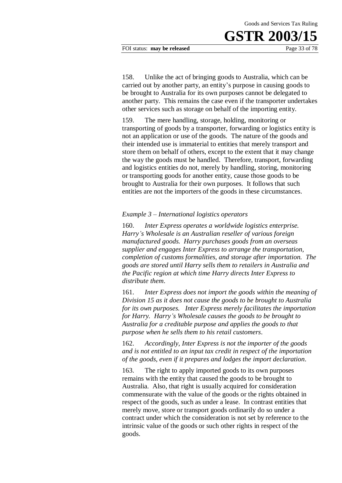FOI status: **may be released** Page 33 of 78

158. Unlike the act of bringing goods to Australia, which can be carried out by another party, an entity's purpose in causing goods to be brought to Australia for its own purposes cannot be delegated to another party. This remains the case even if the transporter undertakes other services such as storage on behalf of the importing entity.

159. The mere handling, storage, holding, monitoring or transporting of goods by a transporter, forwarding or logistics entity is not an application or use of the goods. The nature of the goods and their intended use is immaterial to entities that merely transport and store them on behalf of others, except to the extent that it may change the way the goods must be handled. Therefore, transport, forwarding and logistics entities do not, merely by handling, storing, monitoring or transporting goods for another entity, cause those goods to be brought to Australia for their own purposes. It follows that such entities are not the importers of the goods in these circumstances.

### *Example 3 – International logistics operators*

160. *Inter Express operates a worldwide logistics enterprise. Harry's Wholesale is an Australian reseller of various foreign manufactured goods. Harry purchases goods from an overseas supplier and engages Inter Express to arrange the transportation, completion of customs formalities, and storage after importation. The goods are stored until Harry sells them to retailers in Australia and the Pacific region at which time Harry directs Inter Express to distribute them*.

161. *Inter Express does not import the goods within the meaning of Division 15 as it does not cause the goods to be brought to Australia for its own purposes. Inter Express merely facilitates the importation for Harry. Harry's Wholesale causes the goods to be brought to Australia for a creditable purpose and applies the goods to that purpose when he sells them to his retail customers*.

162. *Accordingly, Inter Express is not the importer of the goods and is not entitled to an input tax credit in respect of the importation of the goods, even if it prepares and lodges the import declaration*.

163. The right to apply imported goods to its own purposes remains with the entity that caused the goods to be brought to Australia. Also, that right is usually acquired for consideration commensurate with the value of the goods or the rights obtained in respect of the goods, such as under a lease. In contrast entities that merely move, store or transport goods ordinarily do so under a contract under which the consideration is not set by reference to the intrinsic value of the goods or such other rights in respect of the goods.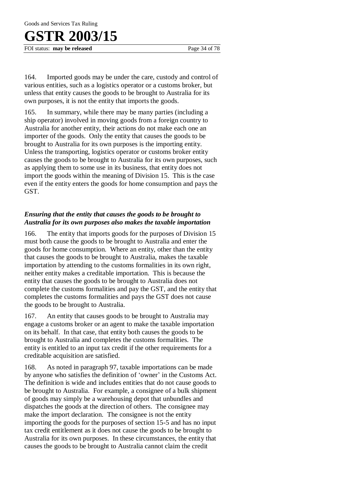## **R 2003/15**

FOI status: **may be released** Page 34 of 78

164. Imported goods may be under the care, custody and control of various entities, such as a logistics operator or a customs broker, but unless that entity causes the goods to be brought to Australia for its own purposes, it is not the entity that imports the goods.

165. In summary, while there may be many parties (including a ship operator) involved in moving goods from a foreign country to Australia for another entity, their actions do not make each one an importer of the goods. Only the entity that causes the goods to be brought to Australia for its own purposes is the importing entity. Unless the transporting, logistics operator or customs broker entity causes the goods to be brought to Australia for its own purposes, such as applying them to some use in its business, that entity does not import the goods within the meaning of Division 15. This is the case even if the entity enters the goods for home consumption and pays the GST.

### *Ensuring that the entity that causes the goods to be brought to Australia for its own purposes also makes the taxable importation*

166. The entity that imports goods for the purposes of Division 15 must both cause the goods to be brought to Australia and enter the goods for home consumption. Where an entity, other than the entity that causes the goods to be brought to Australia, makes the taxable importation by attending to the customs formalities in its own right, neither entity makes a creditable importation. This is because the entity that causes the goods to be brought to Australia does not complete the customs formalities and pay the GST, and the entity that completes the customs formalities and pays the GST does not cause the goods to be brought to Australia.

167. An entity that causes goods to be brought to Australia may engage a customs broker or an agent to make the taxable importation on its behalf. In that case, that entity both causes the goods to be brought to Australia and completes the customs formalities. The entity is entitled to an input tax credit if the other requirements for a creditable acquisition are satisfied.

168. As noted in paragraph 97, taxable importations can be made by anyone who satisfies the definition of 'owner' in the Customs Act. The definition is wide and includes entities that do not cause goods to be brought to Australia. For example, a consignee of a bulk shipment of goods may simply be a warehousing depot that unbundles and dispatches the goods at the direction of others. The consignee may make the import declaration. The consignee is not the entity importing the goods for the purposes of section 15-5 and has no input tax credit entitlement as it does not cause the goods to be brought to Australia for its own purposes. In these circumstances, the entity that causes the goods to be brought to Australia cannot claim the credit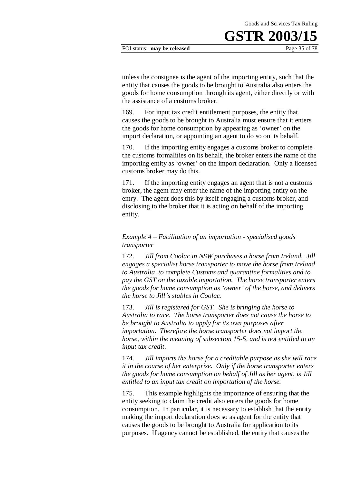#### FOI status: **may be released** Page 35 of 78

unless the consignee is the agent of the importing entity, such that the entity that causes the goods to be brought to Australia also enters the goods for home consumption through its agent, either directly or with the assistance of a customs broker.

169. For input tax credit entitlement purposes, the entity that causes the goods to be brought to Australia must ensure that it enters the goods for home consumption by appearing as 'owner' on the import declaration, or appointing an agent to do so on its behalf.

170. If the importing entity engages a customs broker to complete the customs formalities on its behalf, the broker enters the name of the importing entity as 'owner' on the import declaration. Only a licensed customs broker may do this.

171. If the importing entity engages an agent that is not a customs broker, the agent may enter the name of the importing entity on the entry. The agent does this by itself engaging a customs broker, and disclosing to the broker that it is acting on behalf of the importing entity.

### *Example 4 – Facilitation of an importation - specialised goods transporter*

172. *Jill from Coolac in NSW purchases a horse from Ireland. Jill engages a specialist horse transporter to move the horse from Ireland to Australia, to complete Customs and quarantine formalities and to pay the GST on the taxable importation. The horse transporter enters the goods for home consumption as 'owner' of the horse, and delivers the horse to Jill's stables in Coolac*.

173. *Jill is registered for GST. She is bringing the horse to Australia to race. The horse transporter does not cause the horse to be brought to Australia to apply for its own purposes after importation. Therefore the horse transporter does not import the horse, within the meaning of subsection 15-5, and is not entitled to an input tax credit*.

174. *Jill imports the horse for a creditable purpose as she will race it in the course of her enterprise. Only if the horse transporter enters the goods for home consumption on behalf of Jill as her agent, is Jill entitled to an input tax credit on importation of the horse.*

175. This example highlights the importance of ensuring that the entity seeking to claim the credit also enters the goods for home consumption. In particular, it is necessary to establish that the entity making the import declaration does so as agent for the entity that causes the goods to be brought to Australia for application to its purposes. If agency cannot be established, the entity that causes the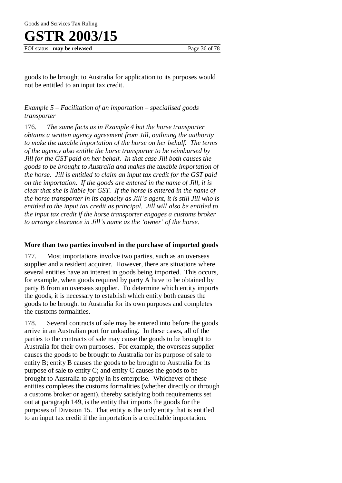FOI status: **may be released** Page 36 of 78

goods to be brought to Australia for application to its purposes would not be entitled to an input tax credit.

### *Example 5 – Facilitation of an importation – specialised goods transporter*

176. *The same facts as in Example 4 but the horse transporter obtains a written agency agreement from Jill, outlining the authority to make the taxable importation of the horse on her behalf. The terms of the agency also entitle the horse transporter to be reimbursed by Jill for the GST paid on her behalf. In that case Jill both causes the goods to be brought to Australia and makes the taxable importation of the horse. Jill is entitled to claim an input tax credit for the GST paid on the importation. If the goods are entered in the name of Jill, it is clear that she is liable for GST. If the horse is entered in the name of the horse transporter in its capacity as Jill's agent, it is still Jill who is entitled to the input tax credit as principal. Jill will also be entitled to the input tax credit if the horse transporter engages a customs broker to arrange clearance in Jill's name as the 'owner' of the horse*.

### **More than two parties involved in the purchase of imported goods**

177. Most importations involve two parties, such as an overseas supplier and a resident acquirer. However, there are situations where several entities have an interest in goods being imported. This occurs, for example, when goods required by party A have to be obtained by party B from an overseas supplier. To determine which entity imports the goods, it is necessary to establish which entity both causes the goods to be brought to Australia for its own purposes and completes the customs formalities.

178. Several contracts of sale may be entered into before the goods arrive in an Australian port for unloading. In these cases, all of the parties to the contracts of sale may cause the goods to be brought to Australia for their own purposes. For example, the overseas supplier causes the goods to be brought to Australia for its purpose of sale to entity B; entity B causes the goods to be brought to Australia for its purpose of sale to entity C; and entity C causes the goods to be brought to Australia to apply in its enterprise. Whichever of these entities completes the customs formalities (whether directly or through a customs broker or agent), thereby satisfying both requirements set out at paragraph 149, is the entity that imports the goods for the purposes of Division 15. That entity is the only entity that is entitled to an input tax credit if the importation is a creditable importation.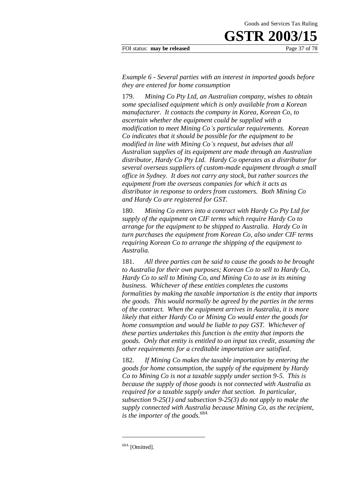#### FOI status: **may be released** Page 37 of 78

*Example 6 - Several parties with an interest in imported goods before they are entered for home consumption* 

179. *Mining Co Pty Ltd, an Australian company, wishes to obtain some specialised equipment which is only available from a Korean manufacturer. It contacts the company in Korea, Korean Co, to ascertain whether the equipment could be supplied with a modification to meet Mining Co's particular requirements. Korean Co indicates that it should be possible for the equipment to be modified in line with Mining Co's request, but advises that all Australian supplies of its equipment are made through an Australian distributor, Hardy Co Pty Ltd. Hardy Co operates as a distributor for several overseas suppliers of custom-made equipment through a small office in Sydney. It does not carry any stock, but rather sources the equipment from the overseas companies for which it acts as distributor in response to orders from customers. Both Mining Co and Hardy Co are registered for GST.* 

180. *Mining Co enters into a contract with Hardy Co Pty Ltd for supply of the equipment on CIF terms which require Hardy Co to arrange for the equipment to be shipped to Australia. Hardy Co in turn purchases the equipment from Korean Co, also under CIF terms requiring Korean Co to arrange the shipping of the equipment to Australia.*

181. *All three parties can be said to cause the goods to be brought to Australia for their own purposes; Korean Co to sell to Hardy Co, Hardy Co to sell to Mining Co, and Mining Co to use in its mining business. Whichever of these entities completes the customs formalities by making the taxable importation is the entity that imports the goods.**This would normally be agreed by the parties in the terms of the contract. When the equipment arrives in Australia, it is more likely that either Hardy Co or Mining Co would enter the goods for home consumption and would be liable to pay GST. Whichever of these parties undertakes this function is the entity that imports the goods. Only that entity is entitled to an input tax credit, assuming the other requirements for a creditable importation are satisfied*.

182. *If Mining Co makes the taxable importation by entering the goods for home consumption, the supply of the equipment by Hardy Co to Mining Co is not a taxable supply under section 9-5. This is because the supply of those goods is not connected with Australia as required for a taxable supply under that section. In particular, subsection 9-25(1) and subsection 9-25(3) do not apply to make the supply connected with Australia because Mining Co, as the recipient, is the importer of the goods.68A* 

<sup>&</sup>lt;sup>68A</sup> [Omitted].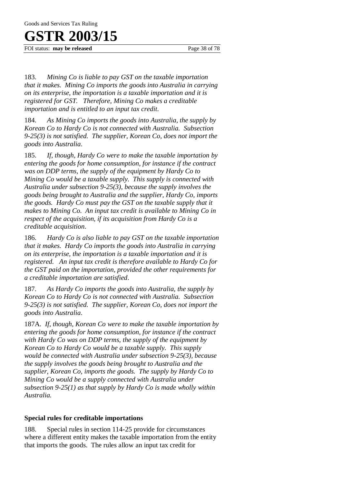FOI status: **may be released** Page 38 of 78

183. *Mining Co is liable to pay GST on the taxable importation that it makes. Mining Co imports the goods into Australia in carrying on its enterprise, the importation is a taxable importation and it is registered for GST. Therefore, Mining Co makes a creditable importation and is entitled to an input tax credit.* 

184. *As Mining Co imports the goods into Australia, the supply by Korean Co to Hardy Co is not connected with Australia. Subsection 9-25(3) is not satisfied. The supplier, Korean Co, does not import the goods into Australia*.

185. *If, though, Hardy Co were to make the taxable importation by entering the goods for home consumption, for instance if the contract was on DDP terms, the supply of the equipment by Hardy Co to Mining Co would be a taxable supply. This supply is connected with Australia under subsection 9-25(3), because the supply involves the goods being brought to Australia and the supplier, Hardy Co, imports the goods. Hardy Co must pay the GST on the taxable supply that it makes to Mining Co. An input tax credit is available to Mining Co in respect of the acquisition, if its acquisition from Hardy Co is a creditable acquisition*.

186. *Hardy Co is also liable to pay GST on the taxable importation that it makes. Hardy Co imports the goods into Australia in carrying on its enterprise, the importation is a taxable importation and it is registered. An input tax credit is therefore available to Hardy Co for the GST paid on the importation, provided the other requirements for a creditable importation are satisfied*.

187. *As Hardy Co imports the goods into Australia, the supply by Korean Co to Hardy Co is not connected with Australia. Subsection 9-25(3) is not satisfied. The supplier, Korean Co, does not import the goods into Australia*.

187A. *If, though, Korean Co were to make the taxable importation by entering the goods for home consumption, for instance if the contract with Hardy Co was on DDP terms, the supply of the equipment by Korean Co to Hardy Co would be a taxable supply. This supply would be connected with Australia under subsection 9-25(3), because the supply involves the goods being brought to Australia and the supplier, Korean Co, imports the goods. The supply by Hardy Co to Mining Co would be a supply connected with Australia under subsection 9-25(1) as that supply by Hardy Co is made wholly within Australia.* 

### **Special rules for creditable importations**

188. Special rules in section 114-25 provide for circumstances where a different entity makes the taxable importation from the entity that imports the goods. The rules allow an input tax credit for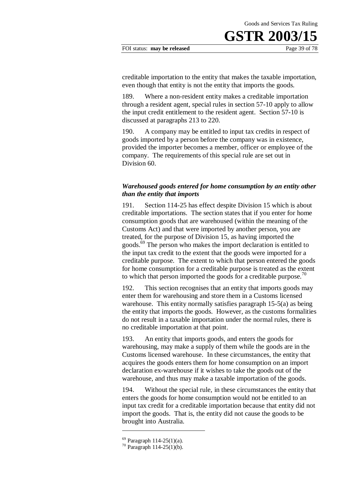#### FOI status: **may be released** Page 39 of 78

creditable importation to the entity that makes the taxable importation, even though that entity is not the entity that imports the goods.

189. Where a non-resident entity makes a creditable importation through a resident agent, special rules in section 57-10 apply to allow the input credit entitlement to the resident agent. Section 57-10 is discussed at paragraphs 213 to 220.

190. A company may be entitled to input tax credits in respect of goods imported by a person before the company was in existence, provided the importer becomes a member, officer or employee of the company. The requirements of this special rule are set out in Division 60.

### *Warehoused goods entered for home consumption by an entity other than the entity that imports*

191. Section 114-25 has effect despite Division 15 which is about creditable importations. The section states that if you enter for home consumption goods that are warehoused (within the meaning of the Customs Act) and that were imported by another person, you are treated, for the purpose of Division 15, as having imported the goods.<sup>69</sup> The person who makes the import declaration is entitled to the input tax credit to the extent that the goods were imported for a creditable purpose. The extent to which that person entered the goods for home consumption for a creditable purpose is treated as the extent to which that person imported the goods for a creditable purpose.<sup>70</sup>

192. This section recognises that an entity that imports goods may enter them for warehousing and store them in a Customs licensed warehouse. This entity normally satisfies paragraph 15-5(a) as being the entity that imports the goods. However, as the customs formalities do not result in a taxable importation under the normal rules, there is no creditable importation at that point.

193. An entity that imports goods, and enters the goods for warehousing, may make a supply of them while the goods are in the Customs licensed warehouse. In these circumstances, the entity that acquires the goods enters them for home consumption on an import declaration ex-warehouse if it wishes to take the goods out of the warehouse, and thus may make a taxable importation of the goods.

194. Without the special rule, in these circumstances the entity that enters the goods for home consumption would not be entitled to an input tax credit for a creditable importation because that entity did not import the goods. That is, the entity did not cause the goods to be brought into Australia.

 $69$  Paragraph 114-25(1)(a).

<sup>70</sup> Paragraph 114-25(1)(b).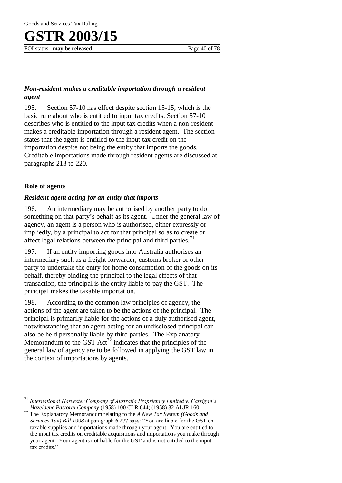FOI status: **may be released** Page 40 of 78

### *Non-resident makes a creditable importation through a resident agent*

195. Section 57-10 has effect despite section 15-15, which is the basic rule about who is entitled to input tax credits. Section 57-10 describes who is entitled to the input tax credits when a non-resident makes a creditable importation through a resident agent. The section states that the agent is entitled to the input tax credit on the importation despite not being the entity that imports the goods. Creditable importations made through resident agents are discussed at paragraphs 213 to 220.

### **Role of agents**

 $\overline{a}$ 

### *Resident agent acting for an entity that imports*

196. An intermediary may be authorised by another party to do something on that party's behalf as its agent. Under the general law of agency, an agent is a person who is authorised, either expressly or impliedly, by a principal to act for that principal so as to create or affect legal relations between the principal and third parties.<sup>71</sup>

197. If an entity importing goods into Australia authorises an intermediary such as a freight forwarder, customs broker or other party to undertake the entry for home consumption of the goods on its behalf, thereby binding the principal to the legal effects of that transaction, the principal is the entity liable to pay the GST. The principal makes the taxable importation.

198. According to the common law principles of agency, the actions of the agent are taken to be the actions of the principal. The principal is primarily liable for the actions of a duly authorised agent, notwithstanding that an agent acting for an undisclosed principal can also be held personally liable by third parties. The Explanatory Memorandum to the GST  $Act^{72}$  indicates that the principles of the general law of agency are to be followed in applying the GST law in the context of importations by agents.

<sup>71</sup> *International Harvester Company of Australia Proprietary Limited v. Carrigan's Hazeldene Pastoral Company* (1958) 100 CLR 644; (1958) 32 ALJR 160*.*

<sup>72</sup> The Explanatory Memorandum relating to the *A New Tax System (Goods and Services Tax) Bill 1998* at paragraph 6.277 says: "You are liable for the GST on taxable supplies and importations made through your agent. You are entitled to the input tax credits on creditable acquisitions and importations you make through your agent. Your agent is not liable for the GST and is not entitled to the input tax credits."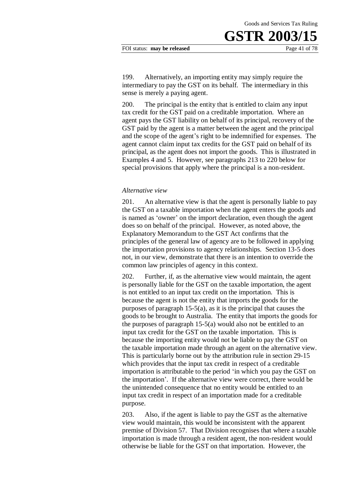FOI status: **may be released** Page 41 of 78

199. Alternatively, an importing entity may simply require the intermediary to pay the GST on its behalf. The intermediary in this sense is merely a paying agent.

200. The principal is the entity that is entitled to claim any input tax credit for the GST paid on a creditable importation. Where an agent pays the GST liability on behalf of its principal, recovery of the GST paid by the agent is a matter between the agent and the principal and the scope of the agent's right to be indemnified for expenses. The agent cannot claim input tax credits for the GST paid on behalf of its principal, as the agent does not import the goods. This is illustrated in Examples 4 and 5. However, see paragraphs 213 to 220 below for special provisions that apply where the principal is a non-resident.

#### *Alternative view*

201. An alternative view is that the agent is personally liable to pay the GST on a taxable importation when the agent enters the goods and is named as 'owner' on the import declaration, even though the agent does so on behalf of the principal. However, as noted above, the Explanatory Memorandum to the GST Act confirms that the principles of the general law of agency are to be followed in applying the importation provisions to agency relationships. Section 13-5 does not, in our view, demonstrate that there is an intention to override the common law principles of agency in this context.

202. Further, if, as the alternative view would maintain, the agent is personally liable for the GST on the taxable importation, the agent is not entitled to an input tax credit on the importation. This is because the agent is not the entity that imports the goods for the purposes of paragraph 15-5(a), as it is the principal that causes the goods to be brought to Australia. The entity that imports the goods for the purposes of paragraph 15-5(a) would also not be entitled to an input tax credit for the GST on the taxable importation. This is because the importing entity would not be liable to pay the GST on the taxable importation made through an agent on the alternative view. This is particularly borne out by the attribution rule in section 29-15 which provides that the input tax credit in respect of a creditable importation is attributable to the period 'in which you pay the GST on the importation'. If the alternative view were correct, there would be the unintended consequence that no entity would be entitled to an input tax credit in respect of an importation made for a creditable purpose.

203. Also, if the agent is liable to pay the GST as the alternative view would maintain, this would be inconsistent with the apparent premise of Division 57. That Division recognises that where a taxable importation is made through a resident agent, the non-resident would otherwise be liable for the GST on that importation. However, the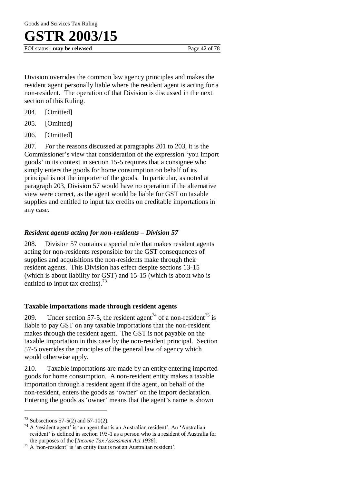FOI status: **may be released** Page 42 of 78

Division overrides the common law agency principles and makes the resident agent personally liable where the resident agent is acting for a non-resident. The operation of that Division is discussed in the next section of this Ruling.

- 204. [Omitted]
- 205. [Omitted]
- 206. [Omitted]

207. For the reasons discussed at paragraphs 201 to 203, it is the Commissioner's view that consideration of the expression 'you import goods' in its context in section 15-5 requires that a consignee who simply enters the goods for home consumption on behalf of its principal is not the importer of the goods. In particular, as noted at paragraph 203, Division 57 would have no operation if the alternative view were correct, as the agent would be liable for GST on taxable supplies and entitled to input tax credits on creditable importations in any case.

### *Resident agents acting for non-residents – Division 57*

208. Division 57 contains a special rule that makes resident agents acting for non-residents responsible for the GST consequences of supplies and acquisitions the non-residents make through their resident agents. This Division has effect despite sections 13-15 (which is about liability for GST) and 15-15 (which is about who is entitled to input tax credits).<sup>73</sup>

### **Taxable importations made through resident agents**

209. Under section 57-5, the resident agent<sup>74</sup> of a non-resident<sup>75</sup> is liable to pay GST on any taxable importations that the non-resident makes through the resident agent. The GST is not payable on the taxable importation in this case by the non-resident principal. Section 57-5 overrides the principles of the general law of agency which would otherwise apply.

210. Taxable importations are made by an entity entering imported goods for home consumption. A non-resident entity makes a taxable importation through a resident agent if the agent, on behalf of the non-resident, enters the goods as 'owner' on the import declaration. Entering the goods as 'owner' means that the agent's name is shown

 $73$  Subsections 57-5(2) and 57-10(2).

 $74$  A 'resident agent' is 'an agent that is an Australian resident'. An 'Australian resident' is defined in section 195-1 as a person who is a resident of Australia for the purposes of the [*Income Tax Assessment Act 1936*].

 $75$  A 'non-resident' is 'an entity that is not an Australian resident'.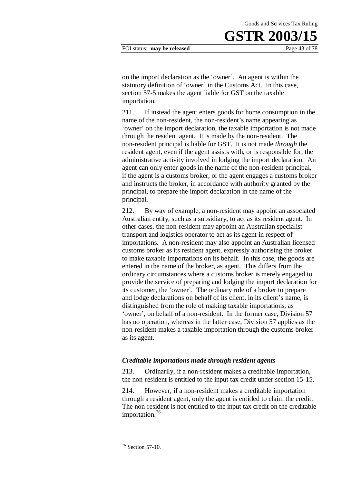on the import declaration as the 'owner'. An agent is within the statutory definition of 'owner' in the Customs Act. In this case, section 57-5 makes the agent liable for GST on the taxable importation.

211. If instead the agent enters goods for home consumption in the name of the non-resident, the non-resident's name appearing as 'owner' on the import declaration, the taxable importation is not made through the resident agent. It is made by the non-resident. The non-resident principal is liable for GST. It is not made *through* the resident agent, even if the agent assists with, or is responsible for, the administrative activity involved in lodging the import declaration. An agent can only enter goods in the name of the non-resident principal, if the agent is a customs broker, or the agent engages a customs broker and instructs the broker, in accordance with authority granted by the principal, to prepare the import declaration in the name of the principal.

212. By way of example, a non-resident may appoint an associated Australian entity, such as a subsidiary, to act as its resident agent. In other cases, the non-resident may appoint an Australian specialist transport and logistics operator to act as its agent in respect of importations. A non-resident may also appoint an Australian licensed customs broker as its resident agent, expressly authorising the broker to make taxable importations on its behalf. In this case, the goods are entered in the name of the broker, as agent. This differs from the ordinary circumstances where a customs broker is merely engaged to provide the service of preparing and lodging the import declaration for its customer, the 'owner'. The ordinary role of a broker to prepare and lodge declarations on behalf of its client, in its client's name, is distinguished from the role of making taxable importations, as 'owner', on behalf of a non-resident. In the former case, Division 57 has no operation, whereas in the latter case, Division 57 applies as the non-resident makes a taxable importation through the customs broker as its agent.

#### *Creditable importations made through resident agents*

213. Ordinarily, if a non-resident makes a creditable importation, the non-resident is entitled to the input tax credit under section 15-15.

214. However, if a non-resident makes a creditable importation through a resident agent, only the agent is entitled to claim the credit. The non-resident is not entitled to the input tax credit on the creditable importation.<sup>76</sup>

<sup>76</sup> Section 57-10.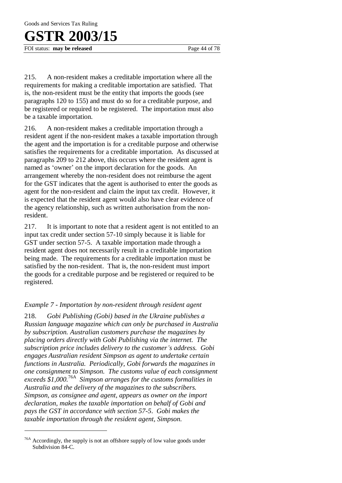FOI status: **may be released** Page 44 of 78

215. A non-resident makes a creditable importation where all the requirements for making a creditable importation are satisfied. That is, the non-resident must be the entity that imports the goods (see paragraphs 120 to 155) and must do so for a creditable purpose, and be registered or required to be registered. The importation must also be a taxable importation.

216. A non-resident makes a creditable importation through a resident agent if the non-resident makes a taxable importation through the agent and the importation is for a creditable purpose and otherwise satisfies the requirements for a creditable importation. As discussed at paragraphs 209 to 212 above, this occurs where the resident agent is named as 'owner' on the import declaration for the goods. An arrangement whereby the non-resident does not reimburse the agent for the GST indicates that the agent is authorised to enter the goods as agent for the non-resident and claim the input tax credit. However, it is expected that the resident agent would also have clear evidence of the agency relationship, such as written authorisation from the nonresident.

217. It is important to note that a resident agent is not entitled to an input tax credit under section 57-10 simply because it is liable for GST under section 57-5. A taxable importation made through a resident agent does not necessarily result in a creditable importation being made. The requirements for a creditable importation must be satisfied by the non-resident. That is, the non-resident must import the goods for a creditable purpose and be registered or required to be registered.

### *Example 7 - Importation by non-resident through resident agent*

218. *Gobi Publishing (Gobi) based in the Ukraine publishes a Russian language magazine which can only be purchased in Australia by subscription. Australian customers purchase the magazines by placing orders directly with Gobi Publishing via the internet. The subscription price includes delivery to the customer's address. Gobi engages Australian resident Simpson as agent to undertake certain functions in Australia. Periodically, Gobi forwards the magazines in one consignment to Simpson. The customs value of each consignment exceeds \$1,000.*76A  *Simpson arranges for the customs formalities in Australia and the delivery of the magazines to the subscribers. Simpson, as consignee and agent, appears as owner on the import declaration, makes the taxable importation on behalf of Gobi and pays the GST in accordance with section 57-5*. *Gobi makes the taxable importation through the resident agent, Simpson.*

<sup>&</sup>lt;sup>76A</sup> Accordingly, the supply is not an offshore supply of low value goods under Subdivision 84-C.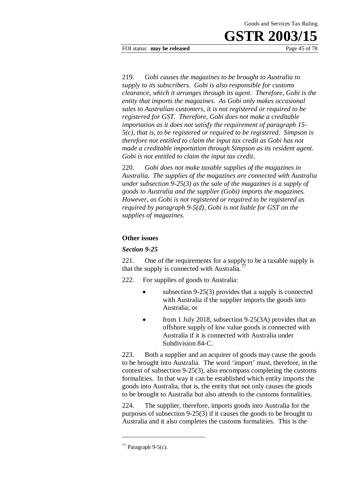FOI status: **may be released** Page 45 of 78

219. *Gobi causes the magazines to be brought to Australia to supply to its subscribers. Gobi is also responsible for customs clearance, which it arranges through its agent. Therefore, Gobi is the entity that imports the magazines. As Gobi only makes occasional sales to Australian customers, it is not registered or required to be registered for GST. Therefore, Gobi does not make a creditable importation as it does not satisfy the requirement of paragraph 15- 5(c), that is, to be registered or required to be registered. Simpson is therefore not entitled to claim the input tax credit as Gobi has not made a creditable importation through Simpson as its resident agent. Gobi is not entitled to claim the input tax credit*.

220. *Gobi does not make taxable supplies of the magazines in Australia. The supplies of the magazines are connected with Australia under subsection 9-25(3) as the sale of the magazines is a supply of goods to Australia and the supplier (Gobi) imports the magazines. However, as Gobi is not registered or required to be registered as required by paragraph 9-5(d), Gobi is not liable for GST on the supplies of magazines.* 

#### **Other issues**

#### *Section 9-25*

221. One of the requirements for a supply to be a taxable supply is that the supply is connected with Australia.<sup>77</sup>

222. For supplies of goods to Australia:

- subsection 9-25(3) provides that a supply is connected with Australia if the supplier imports the goods into Australia; or
- from 1 July 2018, subsection 9-25(3A) provides that an offshore supply of low value goods is connected with Australia if it is connected with Australia under Subdivision 84-C.

223. Both a supplier and an acquirer of goods may cause the goods to be brought into Australia. The word 'import' must, therefore, in the context of subsection 9-25(3), also encompass completing the customs formalities. In that way it can be established which entity imports the goods into Australia, that is, the entity that not only causes the goods to be brought to Australia but also attends to the customs formalities.

224. The supplier, therefore, imports goods into Australia for the purposes of subsection 9-25(3) if it causes the goods to be brought to Australia and it also completes the customs formalities. This is the

 $77$  Paragraph 9-5(c).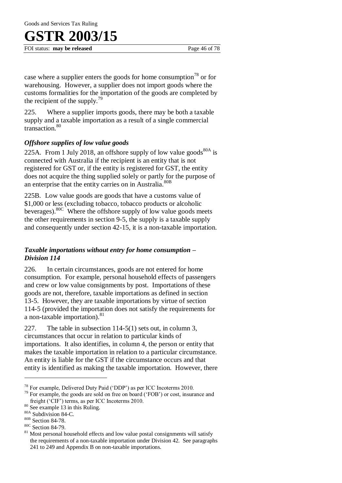FOI status: **may be released** Page 46 of 78

case where a supplier enters the goods for home consumption<sup>78</sup> or for warehousing. However, a supplier does not import goods where the customs formalities for the importation of the goods are completed by the recipient of the supply.<sup>79</sup>

225. Where a supplier imports goods, there may be both a taxable supply and a taxable importation as a result of a single commercial transaction<sup>80</sup>

### *Offshore supplies of low value goods*

225A. From 1 July 2018, an offshore supply of low value goods<sup>80A</sup> is connected with Australia if the recipient is an entity that is not registered for GST or, if the entity is registered for GST, the entity does not acquire the thing supplied solely or partly for the purpose of an enterprise that the entity carries on in Australia.<sup>80B</sup>

225B. Low value goods are goods that have a customs value of \$1,000 or less (excluding tobacco, tobacco products or alcoholic beverages).80C Where the offshore supply of low value goods meets the other requirements in section 9-5, the supply is a taxable supply and consequently under section 42-15, it is a non-taxable importation.

### *Taxable importations without entry for home consumption – Division 114*

226. In certain circumstances, goods are not entered for home consumption. For example, personal household effects of passengers and crew or low value consignments by post. Importations of these goods are not, therefore, taxable importations as defined in section 13-5. However, they are taxable importations by virtue of section 114-5 (provided the importation does not satisfy the requirements for a non-taxable importation). $81$ 

227. The table in subsection 114-5(1) sets out, in column 3, circumstances that occur in relation to particular kinds of importations. It also identifies, in column 4, the person or entity that makes the taxable importation in relation to a particular circumstance. An entity is liable for the GST if the circumstance occurs and that entity is identified as making the taxable importation. However, there

<sup>78</sup> For example, Delivered Duty Paid ('DDP') as per ICC Incoterms 2010.

 $79$  For example, the goods are sold on free on board ('FOB') or cost, insurance and freight ('CIF') terms, as per ICC Incoterms 2010.

 $80$  See example 13 in this Ruling.

<sup>80</sup>A Subdivision 84-C.

<sup>80</sup>B Section 84-78.

<sup>80</sup>C Section 84-79.

 $81$  Most personal household effects and low value postal consignments will satisfy the requirements of a non-taxable importation under Division 42. See paragraphs 241 to 249 and Appendix B on non-taxable importations.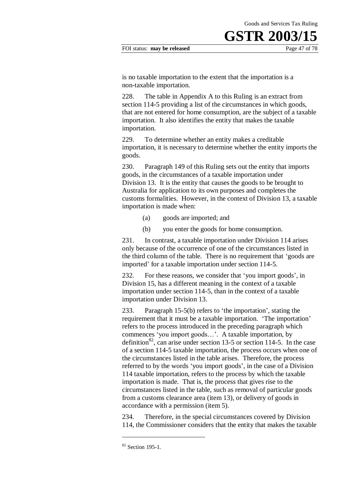#### FOI status: **may be released** Page 47 of 78

is no taxable importation to the extent that the importation is a non-taxable importation.

228. The table in Appendix A to this Ruling is an extract from section 114-5 providing a list of the circumstances in which goods, that are not entered for home consumption, are the subject of a taxable importation. It also identifies the entity that makes the taxable importation.

229. To determine whether an entity makes a creditable importation, it is necessary to determine whether the entity imports the goods.

230. Paragraph 149 of this Ruling sets out the entity that imports goods, in the circumstances of a taxable importation under Division 13. It is the entity that causes the goods to be brought to Australia for application to its own purposes and completes the customs formalities. However, in the context of Division 13, a taxable importation is made when:

- (a) goods are imported; and
- (b) you enter the goods for home consumption.

231. In contrast, a taxable importation under Division 114 arises only because of the occurrence of one of the circumstances listed in the third column of the table. There is no requirement that 'goods are imported' for a taxable importation under section 114-5.

232. For these reasons, we consider that 'you import goods', in Division 15, has a different meaning in the context of a taxable importation under section 114-5, than in the context of a taxable importation under Division 13.

233. Paragraph 15-5(b) refers to 'the importation', stating the requirement that it must be a taxable importation. 'The importation' refers to the process introduced in the preceding paragraph which commences 'you import goods…'. A taxable importation, by definition<sup>82</sup>, can arise under section 13-5 or section 114-5. In the case of a section 114-5 taxable importation, the process occurs when one of the circumstances listed in the table arises. Therefore, the process referred to by the words 'you import goods', in the case of a Division 114 taxable importation, refers to the process by which the taxable importation is made. That is, the process that gives rise to the circumstances listed in the table, such as removal of particular goods from a customs clearance area (item 13), or delivery of goods in accordance with a permission (item 5).

234. Therefore, in the special circumstances covered by Division 114, the Commissioner considers that the entity that makes the taxable

<sup>82</sup> Section 195-1.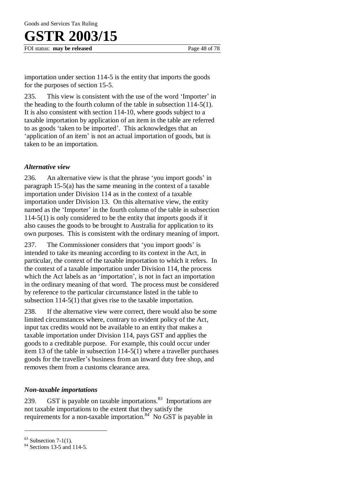# R 2003/15

FOI status: **may be released** Page 48 of 78

importation under section 114-5 is the entity that imports the goods for the purposes of section 15-5.

235. This view is consistent with the use of the word 'Importer' in the heading to the fourth column of the table in subsection 114-5(1). It is also consistent with section 114-10, where goods subject to a taxable importation by application of an item in the table are referred to as goods 'taken to be imported'. This acknowledges that an 'application of an item' is not an actual importation of goods, but is taken to be an importation.

### *Alternative view*

236. An alternative view is that the phrase 'you import goods' in paragraph 15-5(a) has the same meaning in the context of a taxable importation under Division 114 as in the context of a taxable importation under Division 13. On this alternative view, the entity named as the 'Importer' in the fourth column of the table in subsection 114-5(1) is only considered to be the entity that imports goods if it also causes the goods to be brought to Australia for application to its own purposes. This is consistent with the ordinary meaning of import.

237. The Commissioner considers that 'you import goods' is intended to take its meaning according to its context in the Act, in particular, the context of the taxable importation to which it refers. In the context of a taxable importation under Division 114, the process which the Act labels as an 'importation', is not in fact an importation in the ordinary meaning of that word. The process must be considered by reference to the particular circumstance listed in the table to subsection 114-5(1) that gives rise to the taxable importation.

238. If the alternative view were correct, there would also be some limited circumstances where, contrary to evident policy of the Act, input tax credits would not be available to an entity that makes a taxable importation under Division 114, pays GST and applies the goods to a creditable purpose. For example, this could occur under item 13 of the table in subsection 114-5(1) where a traveller purchases goods for the traveller's business from an inward duty free shop, and removes them from a customs clearance area.

### *Non-taxable importations*

239.  $\sigma$  GST is payable on taxable importations.<sup>83</sup> Importations are not taxable importations to the extent that they satisfy the requirements for a non-taxable importation.<sup>84</sup> No GST is payable in

 $83$  Subsection 7-1(1).

<sup>84</sup> Sections 13-5 and 114-5.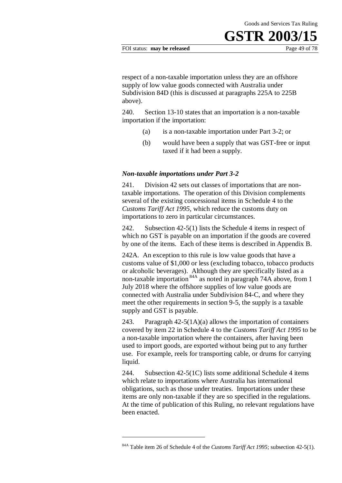#### FOI status: **may be released** Page 49 of 78

respect of a non-taxable importation unless they are an offshore supply of low value goods connected with Australia under Subdivision 84D (this is discussed at paragraphs 225A to 225B above).

240. Section 13-10 states that an importation is a non-taxable importation if the importation:

- (a) is a non-taxable importation under Part 3-2; or
- (b) would have been a supply that was GST-free or input taxed if it had been a supply.

#### *Non-taxable importations under Part 3-2*

241. Division 42 sets out classes of importations that are nontaxable importations. The operation of this Division complements several of the existing concessional items in Schedule 4 to the *Customs Tariff Act 1995,* which reduce the customs duty on importations to zero in particular circumstances.

242. Subsection 42-5(1) lists the Schedule 4 items in respect of which no GST is payable on an importation if the goods are covered by one of the items. Each of these items is described in Appendix B.

242A. An exception to this rule is low value goods that have a customs value of \$1,000 or less (excluding tobacco, tobacco products or alcoholic beverages). Although they are specifically listed as a non-taxable importation 84A as noted in paragraph 74A above, from 1 July 2018 where the offshore supplies of low value goods are connected with Australia under Subdivision 84-C, and where they meet the other requirements in section 9-5, the supply is a taxable supply and GST is payable.

243. Paragraph  $42-5(1A)(a)$  allows the importation of containers covered by item 22 in Schedule 4 to the *Customs Tariff Act 1995* to be a non-taxable importation where the containers, after having been used to import goods, are exported without being put to any further use. For example, reels for transporting cable, or drums for carrying liquid.

244. Subsection 42-5(1C) lists some additional Schedule 4 items which relate to importations where Australia has international obligations, such as those under treaties. Importations under these items are only non-taxable if they are so specified in the regulations. At the time of publication of this Ruling, no relevant regulations have been enacted.

<sup>84</sup>A Table item 26 of Schedule 4 of the *Customs Tariff Act 1995*; subsection 42-5(1).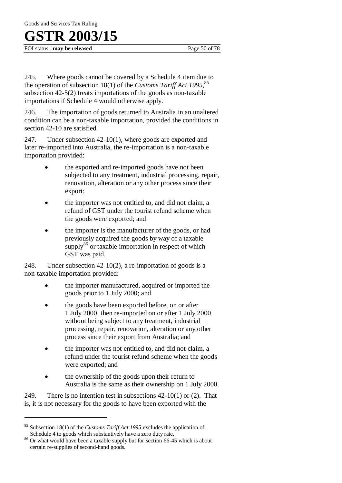FOI status: **may be released** Page 50 of 78

245. Where goods cannot be covered by a Schedule 4 item due to the operation of subsection 18(1) of the *Customs Tariff Act 1995*, 85 subsection 42-5(2) treats importations of the goods as non-taxable importations if Schedule 4 would otherwise apply.

246. The importation of goods returned to Australia in an unaltered condition can be a non-taxable importation, provided the conditions in section 42-10 are satisfied.

247. Under subsection 42-10(1), where goods are exported and later re-imported into Australia, the re-importation is a non-taxable importation provided:

- the exported and re-imported goods have not been subjected to any treatment, industrial processing, repair, renovation, alteration or any other process since their export;
- the importer was not entitled to, and did not claim, a refund of GST under the tourist refund scheme when the goods were exported; and
- the importer is the manufacturer of the goods, or had previously acquired the goods by way of a taxable  $\text{supply}^{86}$  or taxable importation in respect of which GST was paid.

248. Under subsection 42-10(2), a re-importation of goods is a non-taxable importation provided:

- the importer manufactured, acquired or imported the goods prior to 1 July 2000; and
- the goods have been exported before, on or after 1 July 2000, then re-imported on or after 1 July 2000 without being subject to any treatment, industrial processing, repair, renovation, alteration or any other process since their export from Australia; and
- the importer was not entitled to, and did not claim, a refund under the tourist refund scheme when the goods were exported; and
- the ownership of the goods upon their return to Australia is the same as their ownership on 1 July 2000.

249. There is no intention test in subsections  $42-10(1)$  or  $(2)$ . That is, it is not necessary for the goods to have been exported with the

<sup>85</sup> Subsection 18(1) of the *Customs Tariff Act 1995* excludes the application of Schedule 4 to goods which substantively have a zero duty rate.

<sup>&</sup>lt;sup>86</sup> Or what would have been a taxable supply but for section 66-45 which is about certain re-supplies of second-hand goods.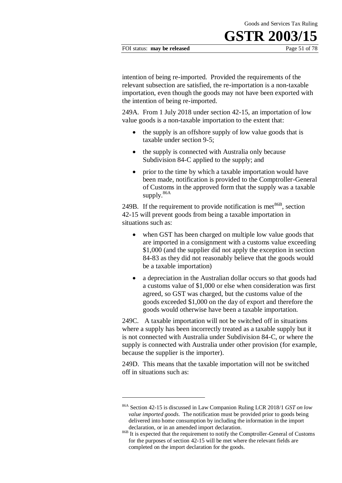#### FOI status: **may be released** Page 51 of 78

intention of being re-imported. Provided the requirements of the relevant subsection are satisfied, the re-importation is a non-taxable importation, even though the goods may not have been exported with the intention of being re-imported.

249A. From 1 July 2018 under section 42-15, an importation of low value goods is a non-taxable importation to the extent that:

- the supply is an offshore supply of low value goods that is taxable under section 9-5;
- the supply is connected with Australia only because Subdivision 84-C applied to the supply; and
- prior to the time by which a taxable importation would have been made, notification is provided to the Comptroller-General of Customs in the approved form that the supply was a taxable supply.<sup>86A</sup>

249B. If the requirement to provide notification is met<sup>86B</sup>, section 42-15 will prevent goods from being a taxable importation in situations such as:

- when GST has been charged on multiple low value goods that are imported in a consignment with a customs value exceeding \$1,000 (and the supplier did not apply the exception in section 84-83 as they did not reasonably believe that the goods would be a taxable importation)
- a depreciation in the Australian dollar occurs so that goods had a customs value of \$1,000 or else when consideration was first agreed, so GST was charged, but the customs value of the goods exceeded \$1,000 on the day of export and therefore the goods would otherwise have been a taxable importation.

249C. A taxable importation will not be switched off in situations where a supply has been incorrectly treated as a taxable supply but it is not connected with Australia under Subdivision 84-C, or where the supply is connected with Australia under other provision (for example, because the supplier is the importer).

249D. This means that the taxable importation will not be switched off in situations such as:

<sup>86</sup>A Section 42-15 is discussed in Law Companion Ruling LCR 2018/1 *GST on low value imported goods*. The notification must be provided prior to goods being delivered into home consumption by including the information in the import declaration, or in an amended import declaration.

<sup>&</sup>lt;sup>86B</sup> It is expected that the requirement to notify the Comptroller-General of Customs for the purposes of section 42-15 will be met where the relevant fields are completed on the import declaration for the goods.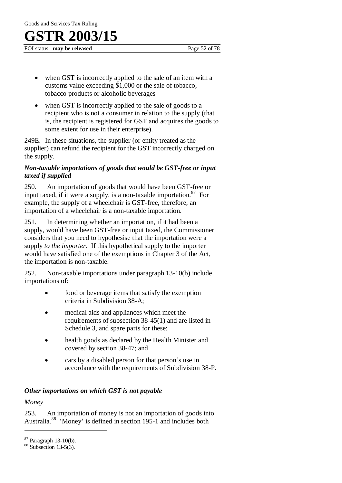FOI status: **may be released** Page 52 of 78

- when GST is incorrectly applied to the sale of an item with a customs value exceeding \$1,000 or the sale of tobacco, tobacco products or alcoholic beverages
- when GST is incorrectly applied to the sale of goods to a recipient who is not a consumer in relation to the supply (that is, the recipient is registered for GST and acquires the goods to some extent for use in their enterprise).

249E. In these situations, the supplier (or entity treated as the supplier) can refund the recipient for the GST incorrectly charged on the supply.

### *Non-taxable importations of goods that would be GST-free or input taxed if supplied*

250. An importation of goods that would have been GST-free or input taxed, if it were a supply, is a non-taxable importation.  $87$  For example, the supply of a wheelchair is GST-free, therefore, an importation of a wheelchair is a non-taxable importation.

251. In determining whether an importation, if it had been a supply, would have been GST-free or input taxed, the Commissioner considers that you need to hypothesise that the importation were a supply *to the importer*. If this hypothetical supply to the importer would have satisfied one of the exemptions in Chapter 3 of the Act, the importation is non-taxable.

252. Non-taxable importations under paragraph 13-10(b) include importations of:

- food or beverage items that satisfy the exemption criteria in Subdivision 38-A;
- medical aids and appliances which meet the requirements of subsection 38-45(1) and are listed in Schedule 3, and spare parts for these;
- health goods as declared by the Health Minister and covered by section 38-47; and
- cars by a disabled person for that person's use in accordance with the requirements of Subdivision 38-P.

### *Other importations on which GST is not payable*

*Money* 

 $\overline{a}$ 

253. An importation of money is not an importation of goods into Australia.<sup>88</sup> 'Money' is defined in section 195-1 and includes both

<sup>87</sup> Paragraph 13-10(b).

 $88$  Subsection 13-5(3).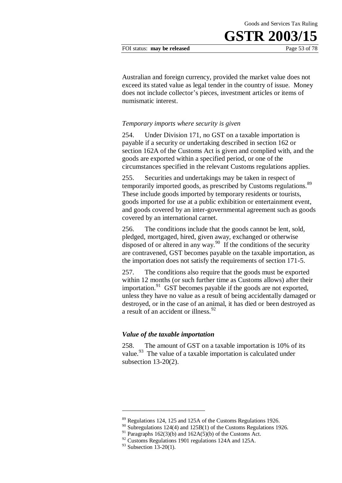Australian and foreign currency, provided the market value does not exceed its stated value as legal tender in the country of issue. Money does not include collector's pieces, investment articles or items of numismatic interest.

#### *Temporary imports where security is given*

254. Under Division 171, no GST on a taxable importation is payable if a security or undertaking described in section 162 or section 162A of the Customs Act is given and complied with, and the goods are exported within a specified period, or one of the circumstances specified in the relevant Customs regulations applies.

255. Securities and undertakings may be taken in respect of temporarily imported goods, as prescribed by Customs regulations.<sup>89</sup> These include goods imported by temporary residents or tourists, goods imported for use at a public exhibition or entertainment event, and goods covered by an inter-governmental agreement such as goods covered by an international carnet.

256. The conditions include that the goods cannot be lent, sold, pledged, mortgaged, hired, given away, exchanged or otherwise disposed of or altered in any way.<sup>90</sup> If the conditions of the security are contravened, GST becomes payable on the taxable importation, as the importation does not satisfy the requirements of section 171-5.

257. The conditions also require that the goods must be exported within 12 months (or such further time as Customs allows) after their importation.<sup>91</sup> GST becomes payable if the goods are not exported, unless they have no value as a result of being accidentally damaged or destroyed, or in the case of an animal, it has died or been destroyed as a result of an accident or illness.<sup>92</sup>

#### *Value of the taxable importation*

258. The amount of GST on a taxable importation is 10% of its value.<sup>93</sup> The value of a taxable importation is calculated under subsection 13-20(2).

<u>.</u>

<sup>&</sup>lt;sup>89</sup> Regulations 124, 125 and 125A of the Customs Regulations 1926.

 $90$  Subregulations 124(4) and 125B(1) of the Customs Regulations 1926.

 $91$  Paragraphs 162(3)(b) and 162A(5)(b) of the Customs Act.

 $92$  Customs Regulations 1901 regulations 124A and 125A.

 $93$  Subsection 13-20(1).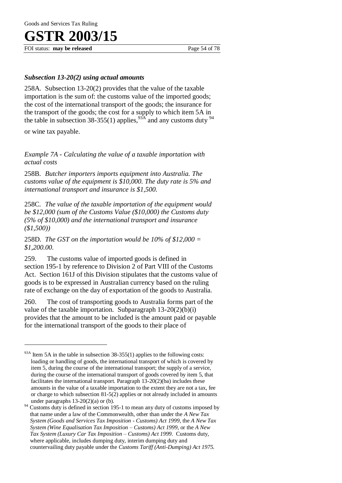FOI status: **may be released** Page 54 of 78

### *Subsection 13-20(2) using actual amounts*

258A. Subsection 13-20(2) provides that the value of the taxable importation is the sum of: the customs value of the imported goods; the cost of the international transport of the goods; the insurance for the transport of the goods; the cost for a supply to which item 5A in the table in subsection 38-355(1) applies,  $93A$  and any customs duty  $94$ 

or wine tax payable.

 $\overline{a}$ 

*Example 7A - Calculating the value of a taxable importation with actual costs* 

258B. *Butcher importers imports equipment into Australia. The customs value of the equipment is \$10,000. The duty rate is 5% and international transport and insurance is \$1,500.* 

258C. *The value of the taxable importation of the equipment would be \$12,000 (sum of the Customs Value (\$10,000) the Customs duty (5% of \$10,000) and the international transport and insurance (\$1,500))* 

258D. *The GST on the importation would be 10% of \$12,000 = \$1,200.00*.

259. The customs value of imported goods is defined in section 195-1 by reference to Division 2 of Part VIII of the Customs Act. Section 161J of this Division stipulates that the customs value of goods is to be expressed in Australian currency based on the ruling rate of exchange on the day of exportation of the goods to Australia.

260. The cost of transporting goods to Australia forms part of the value of the taxable importation. Subparagraph  $13-20(2)(b)(i)$ provides that the amount to be included is the amount paid or payable for the international transport of the goods to their place of

 $93A$  Item 5A in the table in subsection 38-355(1) applies to the following costs: loading or handling of goods, the international transport of which is covered by item 5, during the course of the international transport; the supply of a service, during the course of the international transport of goods covered by item 5, that facilitates the international transport. Paragraph 13-20(2)(ba) includes these amounts in the value of a taxable importation to the extent they are not a tax, fee or charge to which subsection 81-5(2) applies or not already included in amounts under paragraphs  $13-20(2)(a)$  or (b).

Customs duty is defined in section 195-1 to mean any duty of customs imposed by that name under a law of the Commonwealth, other than under the *A New Tax System (Goods and Services Tax Imposition - Customs) Act 1999,* the *A New Tax System (Wine Equalisation Tax Imposition – Customs) Act 1999,* or the *A New Tax System (Luxury Car Tax Imposition – Customs) Act 1999*. Customs duty, where applicable, includes dumping duty, interim dumping duty and countervailing duty payable under the *Customs Tariff (Anti-Dumping) Act 1975.*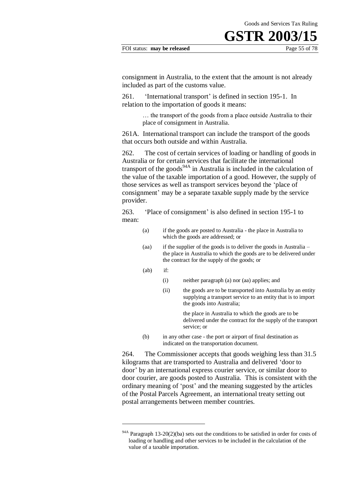#### FOI status: **may be released** Page 55 of 78

consignment in Australia, to the extent that the amount is not already included as part of the customs value.

261. 'International transport' is defined in section 195-1. In relation to the importation of goods it means:

> … the transport of the goods from a place outside Australia to their place of consignment in Australia.

261A. International transport can include the transport of the goods that occurs both outside and within Australia.

262. The cost of certain services of loading or handling of goods in Australia or for certain services that facilitate the international transport of the goods<sup>94A</sup> in Australia is included in the calculation of the value of the taxable importation of a good. However, the supply of those services as well as transport services beyond the 'place of consignment' may be a separate taxable supply made by the service provider.

263. 'Place of consignment' is also defined in section 195-1 to mean:

- (a) if the goods are posted to Australia the place in Australia to which the goods are addressed; or
- (aa) if the supplier of the goods is to deliver the goods in Australia the place in Australia to which the goods are to be delivered under the contract for the supply of the goods; or
- (ab) if:

<u>.</u>

- (i) neither paragraph (a) nor (aa) applies; and
- (ii) the goods are to be transported into Australia by an entity supplying a transport service to an entity that is to import the goods into Australia;

the place in Australia to which the goods are to be delivered under the contract for the supply of the transport service; or

(b) in any other case - the port or airport of final destination as indicated on the transportation document.

264. The Commissioner accepts that goods weighing less than 31.5 kilograms that are transported to Australia and delivered 'door to door' by an international express courier service, or similar door to door courier, are goods posted to Australia. This is consistent with the ordinary meaning of 'post' and the meaning suggested by the articles of the Postal Parcels Agreement, an international treaty setting out postal arrangements between member countries.

<sup>94</sup>A Paragraph 13-20(2)(ba) sets out the conditions to be satisfied in order for costs of loading or handling and other services to be included in the calculation of the value of a taxable importation.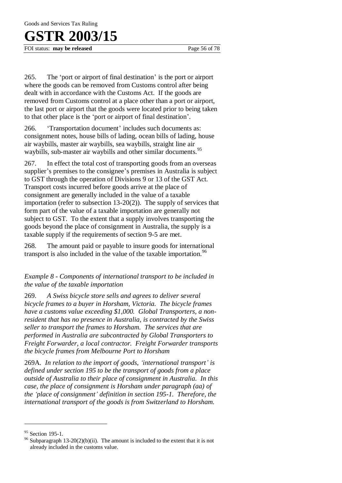FOI status: **may be released** Page 56 of 78

265. The 'port or airport of final destination' is the port or airport where the goods can be removed from Customs control after being dealt with in accordance with the Customs Act. If the goods are removed from Customs control at a place other than a port or airport, the last port or airport that the goods were located prior to being taken to that other place is the 'port or airport of final destination'.

266. 'Transportation document' includes such documents as: consignment notes, house bills of lading, ocean bills of lading, house air waybills, master air waybills, sea waybills, straight line air waybills, sub-master air waybills and other similar documents.<sup>95</sup>

267. In effect the total cost of transporting goods from an overseas supplier's premises to the consignee's premises in Australia is subject to GST through the operation of Divisions 9 or 13 of the GST Act. Transport costs incurred before goods arrive at the place of consignment are generally included in the value of a taxable importation (refer to subsection 13-20(2)). The supply of services that form part of the value of a taxable importation are generally not subject to GST. To the extent that a supply involves transporting the goods beyond the place of consignment in Australia, the supply is a taxable supply if the requirements of section 9-5 are met.

268. The amount paid or payable to insure goods for international transport is also included in the value of the taxable importation.<sup>96</sup>

*Example 8 - Components of international transport to be included in the value of the taxable importation* 

269. *A Swiss bicycle store sells and agrees to deliver several bicycle frames to a buyer in Horsham, Victoria. The bicycle frames have a customs value exceeding \$1,000. Global Transporters, a nonresident that has no presence in Australia, is contracted by the Swiss seller to transport the frames to Horsham. The services that are performed in Australia are subcontracted by Global Transporters to Freight Forwarder, a local contractor. Freight Forwarder transports the bicycle frames from Melbourne Port to Horsham*

269A. *In relation to the import of goods, 'international transport' is defined under section 195 to be the transport of goods from a place outside of Australia to their place of consignment in Australia. In this case, the place of consignment is Horsham under paragraph (aa) of the 'place of consignment' definition in section 195-1. Therefore, the international transport of the goods is from Switzerland to Horsham.* 

<sup>&</sup>lt;sup>95</sup> Section 195-1.

<sup>&</sup>lt;sup>96</sup> Subparagraph 13-20(2)(b)(ii). The amount is included to the extent that it is not already included in the customs value.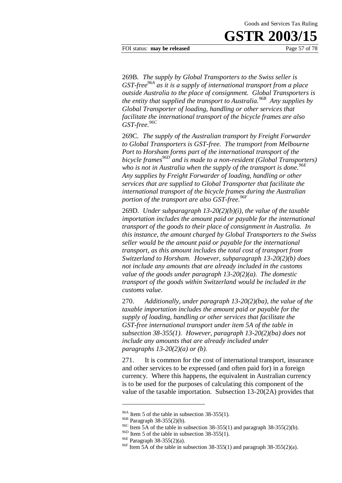FOI status: **may be released** Page 57 of 78

269B*. The supply by Global Transporters to the Swiss seller is GST-free96A as it is a supply of international transport from a place outside Australia to the place of consignment. Global Transporters is the entity that supplied the transport to Australia.96B Any supplies by Global Transporter of loading, handling or other services that facilitate the international transport of the bicycle frames are also GST-free.96C*

269C. *The supply of the Australian transport by Freight Forwarder to Global Transporters is GST-free. The transport from Melbourne Port to Horsham forms part of the international transport of the bicycle frames96D and is made to a non-resident (Global Transporters)*  who is not in Australia when the supply of the transport is done.<sup>96E</sup> *Any supplies by Freight Forwarder of loading, handling or other services that are supplied to Global Transporter that facilitate the international transport of the bicycle frames during the Australian portion of the transport are also GST-free.*<sup>96*F*</sup>

269D. *Under subparagraph 13-20(2)(b)(i), the value of the taxable importation includes the amount paid or payable for the international transport of the goods to their place of consignment in Australia. In this instance, the amount charged by Global Transporters to the Swiss seller would be the amount paid or payable for the international transport, as this amount includes the total cost of transport from Switzerland to Horsham. However, subparagraph 13-20(2)(b) does not include any amounts that are already included in the customs value of the goods under paragraph 13-20(2)(a). The domestic transport of the goods within Switzerland would be included in the customs value*.

270. *Additionally, under paragraph 13-20(2)(ba), the value of the taxable importation includes the amount paid or payable for the supply of loading, handling or other services that facilitate the GST-free international transport under item 5A of the table in subsection 38-355(1). However, paragraph 13-20(2)(ba) does not include any amounts that are already included under paragraphs 13-20(2)(a) or (b).*

271. It is common for the cost of international transport, insurance and other services to be expressed (and often paid for) in a foreign currency. Where this happens, the equivalent in Australian currency is to be used for the purposes of calculating this component of the value of the taxable importation. Subsection 13-20(2A) provides that

 $96A$  Item 5 of the table in subsection 38-355(1).

<sup>96</sup>B Paragraph 38-355(2)(b).

<sup>&</sup>lt;sup>96C</sup> Item 5A of the table in subsection 38-355(1) and paragraph 38-355(2)(b).

 $96D$  Item 5 of the table in subsection 38-355(1).

<sup>96</sup>E Paragraph 38-355(2)(a).

<sup>&</sup>lt;sup>96F</sup> Item 5A of the table in subsection 38-355(1) and paragraph 38-355(2)(a).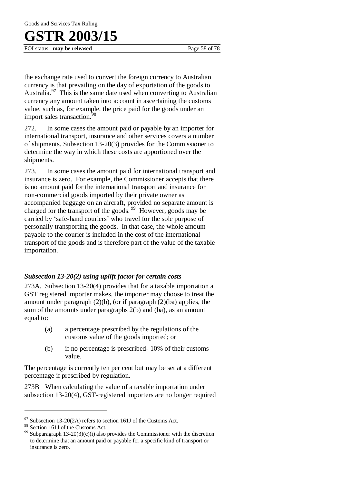FOI status: **may be released** Page 58 of 78

the exchange rate used to convert the foreign currency to Australian currency is that prevailing on the day of exportation of the goods to Australia.<sup>97</sup> This is the same date used when converting to Australian currency any amount taken into account in ascertaining the customs value, such as, for example, the price paid for the goods under an import sales transaction.<sup>98</sup>

272. In some cases the amount paid or payable by an importer for international transport, insurance and other services covers a number of shipments. Subsection 13-20(3) provides for the Commissioner to determine the way in which these costs are apportioned over the shipments.

273. In some cases the amount paid for international transport and insurance is zero. For example, the Commissioner accepts that there is no amount paid for the international transport and insurance for non-commercial goods imported by their private owner as accompanied baggage on an aircraft, provided no separate amount is charged for the transport of the goods.<sup>99</sup> However, goods may be carried by 'safe-hand couriers' who travel for the sole purpose of personally transporting the goods. In that case, the whole amount payable to the courier is included in the cost of the international transport of the goods and is therefore part of the value of the taxable importation.

### *Subsection 13-20(2) using uplift factor for certain costs*

273A. Subsection 13-20(4) provides that for a taxable importation a GST registered importer makes, the importer may choose to treat the amount under paragraph  $(2)(b)$ , (or if paragraph  $(2)(ba)$  applies, the sum of the amounts under paragraphs 2(b) and (ba), as an amount equal to:

- (a) a percentage prescribed by the regulations of the customs value of the goods imported; or
- (b) if no percentage is prescribed- 10% of their customs value.

The percentage is currently ten per cent but may be set at a different percentage if prescribed by regulation.

273B When calculating the value of a taxable importation under subsection 13-20(4), GST-registered importers are no longer required

 $97$  Subsection 13-20(2A) refers to section 161J of the Customs Act.

<sup>98</sup> Section 161J of the Customs Act.

<sup>&</sup>lt;sup>99</sup> Subparagraph 13-20(3)(c)(i) also provides the Commissioner with the discretion to determine that an amount paid or payable for a specific kind of transport or insurance is zero.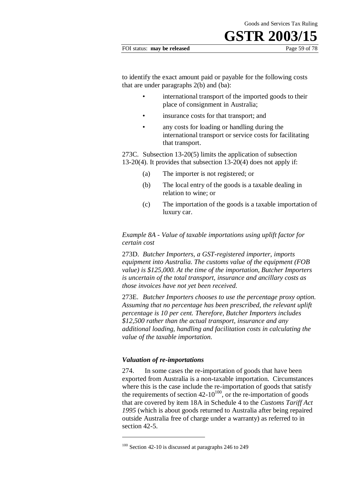#### FOI status: **may be released** Page 59 of 78

to identify the exact amount paid or payable for the following costs that are under paragraphs 2(b) and (ba):

- international transport of the imported goods to their place of consignment in Australia;
- insurance costs for that transport; and
- any costs for loading or handling during the international transport or service costs for facilitating that transport.

273C. Subsection 13-20(5) limits the application of subsection 13-20(4). It provides that subsection 13-20(4) does not apply if:

- (a) The importer is not registered; or
- (b) The local entry of the goods is a taxable dealing in relation to wine; or
- (c) The importation of the goods is a taxable importation of luxury car.

*Example 8A - Value of taxable importations using uplift factor for certain cost* 

273D. *Butcher Importers, a GST-registered importer, imports equipment into Australia. The customs value of the equipment (FOB value) is \$125,000. At the time of the importation, Butcher Importers is uncertain of the total transport, insurance and ancillary costs as those invoices have not yet been received.* 

273E. *Butcher Importers chooses to use the percentage proxy option. Assuming that no percentage has been prescribed, the relevant uplift percentage is 10 per cent. Therefore, Butcher Importers includes \$12,500 rather than the actual transport, insurance and any additional loading, handling and facilitation costs in calculating the value of the taxable importation.*

#### *Valuation of re-importations*

1

274. In some cases the re-importation of goods that have been exported from Australia is a non-taxable importation. Circumstances where this is the case include the re-importation of goods that satisfy the requirements of section  $42-10^{100}$ , or the re-importation of goods that are covered by item 18A in Schedule 4 to the *Customs Tariff Act 1995* (which is about goods returned to Australia after being repaired outside Australia free of charge under a warranty) as referred to in section 42-5.

<sup>&</sup>lt;sup>100</sup> Section 42-10 is discussed at paragraphs 246 to 249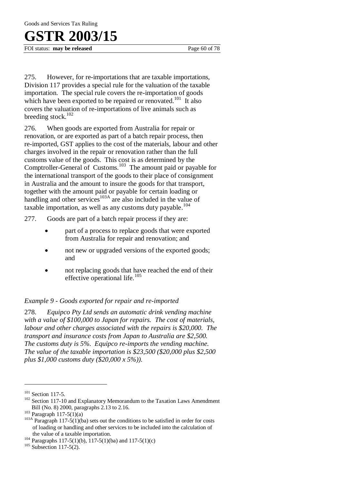Goods and Services Tax Ruling

## **GSTR 2003/15**

FOI status: **may be released** Page 60 of 78

275. However, for re-importations that are taxable importations, Division 117 provides a special rule for the valuation of the taxable importation. The special rule covers the re-importation of goods which have been exported to be repaired or renovated.<sup>101</sup> It also covers the valuation of re-importations of live animals such as breeding stock.<sup>102</sup>

276. When goods are exported from Australia for repair or renovation, or are exported as part of a batch repair process, then re-imported, GST applies to the cost of the materials, labour and other charges involved in the repair or renovation rather than the full customs value of the goods. This cost is as determined by the Comptroller-General of Customs.<sup>103</sup> The amount paid or payable for the international transport of the goods to their place of consignment in Australia and the amount to insure the goods for that transport, together with the amount paid or payable for certain loading or handling and other services<sup>103A</sup> are also included in the value of taxable importation, as well as any customs duty payable.<sup>104</sup>

277. Goods are part of a batch repair process if they are:

- part of a process to replace goods that were exported from Australia for repair and renovation; and
- not new or upgraded versions of the exported goods; and
- not replacing goods that have reached the end of their effective operational life. $105$

### *Example 9 - Goods exported for repair and re-imported*

278. *Equipco Pty Ltd sends an automatic drink vending machine with a value of \$100,000 to Japan for repairs. The cost of materials, labour and other charges associated with the repairs is \$20,000. The transport and insurance costs from Japan to Australia are \$2,500. The customs duty is 5%. Equipco re-imports the vending machine. The value of the taxable importation is \$23,500 (\$20,000 plus \$2,500 plus \$1,000 customs duty (\$20,000 x 5%)).*

<sup>&</sup>lt;sup>101</sup> Section 117-5.

<sup>&</sup>lt;sup>102</sup> Section 117-10 and Explanatory Memorandum to the Taxation Laws Amendment Bill (No. 8) 2000, paragraphs 2.13 to 2.16.

 $103$  Paragraph 117-5(1)(a)

<sup>&</sup>lt;sup>103A</sup> Paragraph 117-5(1)(ba) sets out the conditions to be satisfied in order for costs of loading or handling and other services to be included into the calculation of the value of a taxable importation.

<sup>&</sup>lt;sup>104</sup> Paragraphs 117-5(1)(b), 117-5(1)(ba) and 117-5(1)(c)

 $105$  Subsection 117-5(2).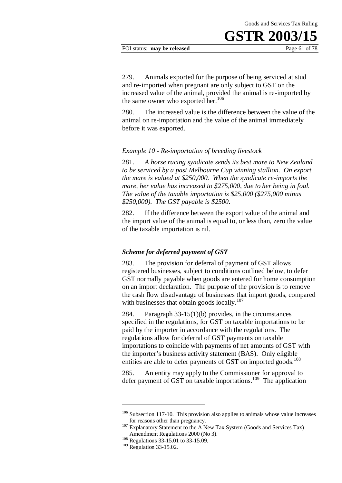#### FOI status: **may be released** Page 61 of 78

279. Animals exported for the purpose of being serviced at stud and re-imported when pregnant are only subject to GST on the increased value of the animal, provided the animal is re-imported by the same owner who exported her.<sup>106</sup>

280. The increased value is the difference between the value of the animal on re-importation and the value of the animal immediately before it was exported.

#### *Example 10 - Re-importation of breeding livestock*

281. *A horse racing syndicate sends its best mare to New Zealand to be serviced by a past Melbourne Cup winning stallion. On export the mare is valued at \$250,000. When the syndicate re-imports the mare, her value has increased to \$275,000, due to her being in foal. The value of the taxable importation is \$25,000 (\$275,000 minus \$250,000). The GST payable is \$2500*.

282. If the difference between the export value of the animal and the import value of the animal is equal to, or less than, zero the value of the taxable importation is nil.

#### *Scheme for deferred payment of GST*

283. The provision for deferral of payment of GST allows registered businesses, subject to conditions outlined below, to defer GST normally payable when goods are entered for home consumption on an import declaration. The purpose of the provision is to remove the cash flow disadvantage of businesses that import goods, compared with businesses that obtain goods locally. $107$ 

284. Paragraph 33-15(1)(b) provides, in the circumstances specified in the regulations, for GST on taxable importations to be paid by the importer in accordance with the regulations. The regulations allow for deferral of GST payments on taxable importations to coincide with payments of net amounts of GST with the importer's business activity statement (BAS). Only eligible entities are able to defer payments of GST on imported goods.<sup>108</sup>

285. An entity may apply to the Commissioner for approval to defer payment of GST on taxable importations.<sup>109</sup> The application

 $106$  Subsection 117-10. This provision also applies to animals whose value increases for reasons other than pregnancy.

<sup>&</sup>lt;sup>107</sup> Explanatory Statement to the A New Tax System (Goods and Services Tax) Amendment Regulations 2000 (No 3).

<sup>&</sup>lt;sup>108</sup> Regulations 33-15.01 to 33-15.09.

<sup>&</sup>lt;sup>109</sup> Regulation 33-15.02.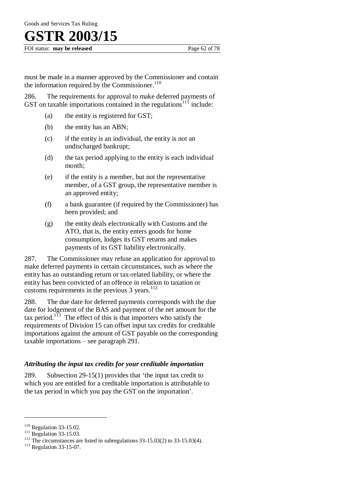FOI status: **may be released** Page 62 of 78

must be made in a manner approved by the Commissioner and contain the information required by the Commissioner. $110$ 

286. The requirements for approval to make deferred payments of GST on taxable importations contained in the regulations<sup> $111$ </sup> include:

- (a) the entity is registered for GST;
- (b) the entity has an ABN;
- (c) if the entity is an individual, the entity is not an undischarged bankrupt;
- (d) the tax period applying to the entity is each individual month;
- (e) if the entity is a member, but not the representative member, of a GST group, the representative member is an approved entity;
- (f) a bank guarantee (if required by the Commissioner) has been provided; and
- (g) the entity deals electronically with Customs and the ATO, that is, the entity enters goods for home consumption, lodges its GST returns and makes payments of its GST liability electronically.

287. The Commissioner may refuse an application for approval to make deferred payments in certain circumstances, such as where the entity has an outstanding return or tax-related liability, or where the entity has been convicted of an offence in relation to taxation or customs requirements in the previous  $3$  years.<sup>112</sup>

288. The due date for deferred payments corresponds with the due date for lodgement of the BAS and payment of the net amount for the tax period.<sup>113</sup> The effect of this is that importers who satisfy the requirements of Division 15 can offset input tax credits for creditable importations against the amount of GST payable on the corresponding taxable importations – see paragraph 291.

### *Attributing the input tax credits for your creditable importation*

289. Subsection 29-15(1) provides that 'the input tax credit to which you are entitled for a creditable importation is attributable to the tax period in which you pay the GST on the importation'.

<sup>&</sup>lt;sup>110</sup> Regulation 33-15.02.

 $^{111}$  Regulation 33-15.03.

 $112$  The circumstances are listed in subregulations 33-15.03(2) to 33-15.03(4).

<sup>&</sup>lt;sup>113</sup> Regulation 33-15-07.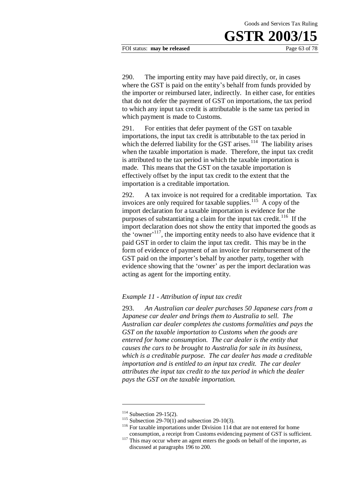FOI status: **may be released** Page 63 of 78

290. The importing entity may have paid directly, or, in cases where the GST is paid on the entity's behalf from funds provided by the importer or reimbursed later, indirectly. In either case, for entities that do not defer the payment of GST on importations, the tax period to which any input tax credit is attributable is the same tax period in which payment is made to Customs.

291. For entities that defer payment of the GST on taxable importations, the input tax credit is attributable to the tax period in which the deferred liability for the GST arises.<sup>114</sup> The liability arises when the taxable importation is made. Therefore, the input tax credit is attributed to the tax period in which the taxable importation is made. This means that the GST on the taxable importation is effectively offset by the input tax credit to the extent that the importation is a creditable importation.

292. A tax invoice is not required for a creditable importation. Tax invoices are only required for taxable supplies.<sup>115</sup> A copy of the import declaration for a taxable importation is evidence for the purposes of substantiating a claim for the input tax credit.<sup>116</sup> If the import declaration does not show the entity that imported the goods as the 'owner' <sup>117</sup>, the importing entity needs to also have evidence that it paid GST in order to claim the input tax credit. This may be in the form of evidence of payment of an invoice for reimbursement of the GST paid on the importer's behalf by another party, together with evidence showing that the 'owner' as per the import declaration was acting as agent for the importing entity.

#### *Example 11 - Attribution of input tax credit*

293. *An Australian car dealer purchases 50 Japanese cars from a Japanese car dealer and brings them to Australia to sell. The Australian car dealer completes the customs formalities and pays the GST on the taxable importation to Customs when the goods are entered for home consumption. The car dealer is the entity that causes the cars to be brought to Australia for sale in its business, which is a creditable purpose. The car dealer has made a creditable importation and is entitled to an input tax credit. The car dealer attributes the input tax credit to the tax period in which the dealer pays the GST on the taxable importation.* 

 $114$  Subsection 29-15(2).

<sup>&</sup>lt;sup>115</sup> Subsection 29-70(1) and subsection 29-10(3).

<sup>&</sup>lt;sup>116</sup> For taxable importations under Division 114 that are not entered for home consumption, a receipt from Customs evidencing payment of GST is sufficient.

<sup>&</sup>lt;sup>117</sup> This may occur where an agent enters the goods on behalf of the importer, as discussed at paragraphs 196 to 200.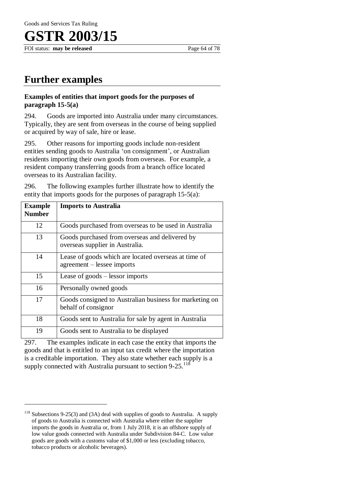FOI status: **may be released** Page 64 of 78

### **Further examples**

### **Examples of entities that import goods for the purposes of paragraph 15-5(a)**

294. Goods are imported into Australia under many circumstances. Typically, they are sent from overseas in the course of being supplied or acquired by way of sale, hire or lease.

295. Other reasons for importing goods include non-resident entities sending goods to Australia 'on consignment', or Australian residents importing their own goods from overseas. For example, a resident company transferring goods from a branch office located overseas to its Australian facility.

296. The following examples further illustrate how to identify the entity that imports goods for the purposes of paragraph 15-5(a):

| <b>Example</b><br><b>Number</b> | <b>Imports to Australia</b>                                                        |
|---------------------------------|------------------------------------------------------------------------------------|
| 12                              | Goods purchased from overseas to be used in Australia                              |
| 13                              | Goods purchased from overseas and delivered by<br>overseas supplier in Australia.  |
| 14                              | Lease of goods which are located overseas at time of<br>agreement – lessee imports |
| 15                              | Lease of goods – lessor imports                                                    |
| 16                              | Personally owned goods                                                             |
| 17                              | Goods consigned to Australian business for marketing on<br>behalf of consignor     |
| 18                              | Goods sent to Australia for sale by agent in Australia                             |
| 19                              | Goods sent to Australia to be displayed                                            |

297. The examples indicate in each case the entity that imports the goods and that is entitled to an input tax credit where the importation is a creditable importation. They also state whether each supply is a supply connected with Australia pursuant to section  $9-25$ .<sup>118</sup>

<sup>118</sup> Subsections 9-25(3) and (3A) deal with supplies of goods to Australia. A supply of goods to Australia is connected with Australia where either the supplier imports the goods in Australia or, from 1 July 2018, it is an offshore supply of low value goods connected with Australia under Subdivision 84-C. Low value goods are goods with a customs value of \$1,000 or less (excluding tobacco, tobacco products or alcoholic beverages).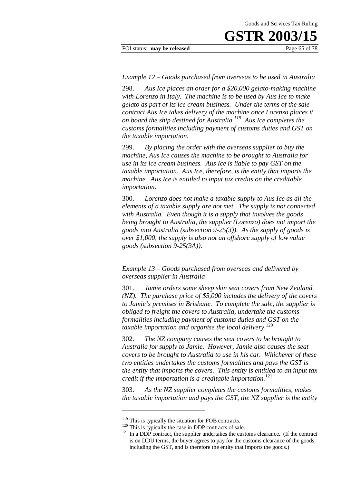#### FOI status: **may be released** Page 65 of 78

#### *Example 12 – Goods purchased from overseas to be used in Australia*

298. *Aus Ice places an order for a \$20,000 gelato-making machine with Lorenzo in Italy. The machine is to be used by Aus Ice to make gelato as part of its ice cream business. Under the terms of the sale contract Aus Ice takes delivery of the machine once Lorenzo places it on board the ship destined for Australia.<sup>119</sup> Aus Ice completes the customs formalities including payment of customs duties and GST on the taxable importation.* 

299. *By placing the order with the overseas supplier to buy the machine, Aus Ice causes the machine to be brought to Australia for use in its ice cream business. Aus Ice is liable to pay GST on the taxable importation. Aus Ice, therefore, is the entity that imports the machine. Aus Ice is entitled to input tax credits on the creditable importation*.

300. *Lorenzo does not make a taxable supply to Aus Ice as all the elements of a taxable supply are not met. The supply is not connected with Australia. Even though it is a supply that involves the goods being brought to Australia, the supplier (Lorenzo) does not import the goods into Australia (subsection 9-25(3)). As the supply of goods is over \$1,000, the supply is also not an offshore supply of low value goods (subsection 9-25(3A)).*

*Example 13 – Goods purchased from overseas and delivered by overseas supplier in Australia* 

301. *Jamie orders some sheep skin seat covers from New Zealand (NZ). The purchase price of \$5,000 includes the delivery of the covers to Jamie's premises in Brisbane. To complete the sale, the supplier is obliged to freight the covers to Australia, undertake the customs formalities including payment of customs duties and GST on the taxable importation and organise the local delivery.*<sup>120</sup>

302. *The NZ company causes the seat covers to be brought to Australia for supply to Jamie. However, Jamie also causes the seat covers to be brought to Australia to use in his car. Whichever of these two entities undertakes the customs formalities and pays the GST is the entity that imports the covers. This entity is entitled to an input tax credit if the importation is a creditable importation.*<sup>121</sup>

303. *As the NZ supplier completes the customs formalities, makes the taxable importation and pays the GST, the NZ supplier is the entity* 

<u>.</u>

<sup>&</sup>lt;sup>119</sup> This is typically the situation for FOB contracts.

 $120$  This is typically the case in DDP contracts of sale.

 $121$  In a DDP contract, the supplier undertakes the customs clearance. (If the contract is on DDU terms, the buyer agrees to pay for the customs clearance of the goods, including the GST, and is therefore the entity that imports the goods.)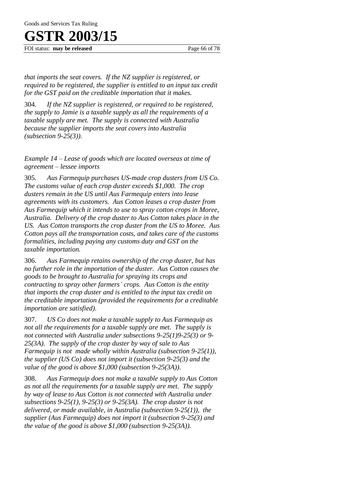FOI status: **may be released** Page 66 of 78

*that imports the seat covers. If the NZ supplier is registered, or required to be registered, the supplier is entitled to an input tax credit for the GST paid on the creditable importation that it makes.*

304. *If the NZ supplier is registered, or required to be registered, the supply to Jamie is a taxable supply as all the requirements of a taxable supply are met. The supply is connected with Australia because the supplier imports the seat covers into Australia (subsection 9-25(3)).*

*Example 14 – Lease of goods which are located overseas at time of agreement – lessee imports* 

305. *Aus Farmequip purchases US-made crop dusters from US Co. The customs value of each crop duster exceeds \$1,000. The crop dusters remain in the US until Aus Farmequip enters into lease agreements with its customers. Aus Cotton leases a crop duster from Aus Farmequip which it intends to use to spray cotton crops in Moree, Australia. Delivery of the crop duster to Aus Cotton takes place in the US. Aus Cotton transports the crop duster from the US to Moree. Aus Cotton pays all the transportation costs, and takes care of the customs formalities, including paying any customs duty and GST on the taxable importation.*

306. *Aus Farmequip retains ownership of the crop duster, but has no further role in the importation of the duster. Aus Cotton causes the goods to be brought to Australia for spraying its crops and contracting to spray other farmers' crops. Aus Cotton is the entity that imports the crop duster and is entitled to the input tax credit on the creditable importation (provided the requirements for a creditable importation are satisfied).*

307. *US Co does not make a taxable supply to Aus Farmequip as not all the requirements for a taxable supply are met. The supply is not connected with Australia under subsections 9-25(1)9-25(3) or 9- 25(3A). The supply of the crop duster by way of sale to Aus Farmequip is not made wholly within Australia (subsection 9-25(1)), the supplier (US Co) does not import it (subsection 9-25(3) and the value of the good is above \$1,000 (subsection 9-25(3A)).*

308. *Aus Farmequip does not make a taxable supply to Aus Cotton as not all the requirements for a taxable supply are met. The supply by way of lease to Aus Cotton is not connected with Australia under subsections 9-25(1), 9-25(3) or 9-25(3A). The crop duster is not delivered, or made available, in Australia (subsection 9-25(1)), the supplier (Aus Farmequip) does not import it (subsection 9-25(3) and the value of the good is above \$1,000 (subsection 9-25(3A)).*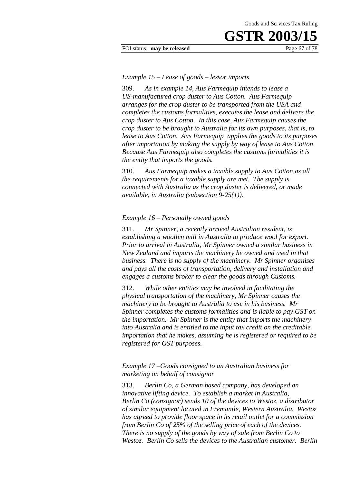FOI status: **may be released** Page 67 of 78

#### *Example 15 – Lease of goods – lessor imports*

309. *As in example 14, Aus Farmequip intends to lease a US-manufactured crop duster to Aus Cotton. Aus Farmequip arranges for the crop duster to be transported from the USA and completes the customs formalities, executes the lease and delivers the crop duster to Aus Cotton. In this case, Aus Farmequip causes the crop duster to be brought to Australia for its own purposes, that is, to lease to Aus Cotton. Aus Farmequip applies the goods to its purposes after importation by making the supply by way of lease to Aus Cotton. Because Aus Farmequip also completes the customs formalities it is the entity that imports the goods.*

310. *Aus Farmequip makes a taxable supply to Aus Cotton as all the requirements for a taxable supply are met. The supply is connected with Australia as the crop duster is delivered, or made available, in Australia (subsection 9-25(1)).*

#### *Example 16 – Personally owned goods*

311. *Mr Spinner, a recently arrived Australian resident, is establishing a woollen mill in Australia to produce wool for export. Prior to arrival in Australia, Mr Spinner owned a similar business in New Zealand and imports the machinery he owned and used in that business. There is no supply of the machinery. Mr Spinner organises and pays all the costs of transportation, delivery and installation and engages a customs broker to clear the goods through Customs.*

312. *While other entities may be involved in facilitating the physical transportation of the machinery, Mr Spinner causes the machinery to be brought to Australia to use in his business. Mr Spinner completes the customs formalities and is liable to pay GST on the importation. Mr Spinner is the entity that imports the machinery into Australia and is entitled to the input tax credit on the creditable importation that he makes, assuming he is registered or required to be registered for GST purposes.*

*Example 17 –Goods consigned to an Australian business for marketing on behalf of consignor* 

313. *Berlin Co, a German based company, has developed an innovative lifting device. To establish a market in Australia, Berlin Co (consignor) sends 10 of the devices to Westoz, a distributor of similar equipment located in Fremantle, Western Australia. Westoz has agreed to provide floor space in its retail outlet for a commission from Berlin Co of 25% of the selling price of each of the devices. There is no supply of the goods by way of sale from Berlin Co to Westoz. Berlin Co sells the devices to the Australian customer. Berlin*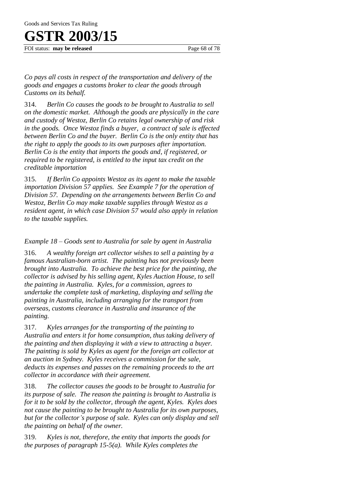FOI status: **may be released** Page 68 of 78

*Co pays all costs in respect of the transportation and delivery of the goods and engages a customs broker to clear the goods through Customs on its behalf.* 

314. *Berlin Co causes the goods to be brought to Australia to sell on the domestic market. Although the goods are physically in the care and custody of Westoz, Berlin Co retains legal ownership of and risk in the goods. Once Westoz finds a buyer, a contract of sale is effected between Berlin Co and the buyer. Berlin Co is the only entity that has the right to apply the goods to its own purposes after importation. Berlin Co is the entity that imports the goods and, if registered, or required to be registered, is entitled to the input tax credit on the creditable importation* 

315. *If Berlin Co appoints Westoz as its agent to make the taxable importation Division 57 applies. See Example 7 for the operation of Division 57. Depending on the arrangements between Berlin Co and Westoz, Berlin Co may make taxable supplies through Westoz as a resident agent, in which case Division 57 would also apply in relation to the taxable supplies.*

*Example 18 – Goods sent to Australia for sale by agent in Australia* 

316. *A wealthy foreign art collector wishes to sell a painting by a famous Australian-born artist. The painting has not previously been brought into Australia. To achieve the best price for the painting, the collector is advised by his selling agent, Kyles Auction House, to sell the painting in Australia. Kyles, for a commission, agrees to undertake the complete task of marketing, displaying and selling the painting in Australia, including arranging for the transport from overseas, customs clearance in Australia and insurance of the painting.*

317. *Kyles arranges for the transporting of the painting to Australia and enters it for home consumption, thus taking delivery of the painting and then displaying it with a view to attracting a buyer. The painting is sold by Kyles as agent for the foreign art collector at an auction in Sydney. Kyles receives a commission for the sale, deducts its expenses and passes on the remaining proceeds to the art collector in accordance with their agreement.*

318. *The collector causes the goods to be brought to Australia for its purpose of sale. The reason the painting is brought to Australia is for it to be sold by the collector, through the agent, Kyles. Kyles does not cause the painting to be brought to Australia for its own purposes, but for the collector's purpose of sale. Kyles can only display and sell the painting on behalf of the owner.* 

319. *Kyles is not, therefore, the entity that imports the goods for the purposes of paragraph 15-5(a). While Kyles completes the*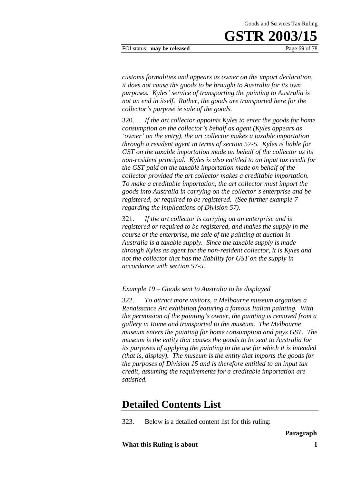FOI status: **may be released** Page 69 of 78

*customs formalities and appears as owner on the import declaration, it does not cause the goods to be brought to Australia for its own purposes. Kyles' service of transporting the painting to Australia is not an end in itself. Rather, the goods are transported here for the collector's purpose ie sale of the goods.*

320. *If the art collector appoints Kyles to enter the goods for home consumption on the collector's behalf as agent (Kyles appears as 'owner' on the entry), the art collector makes a taxable importation through a resident agent in terms of section 57-5. Kyles is liable for GST on the taxable importation made on behalf of the collector as its non-resident principal. Kyles is also entitled to an input tax credit for the GST paid on the taxable importation made on behalf of the collector provided the art collector makes a creditable importation. To make a creditable importation, the art collector must import the goods into Australia in carrying on the collector's enterprise and be registered, or required to be registered. (See further example 7 regarding the implications of Division 57).* 

321. *If the art collector is carrying on an enterprise and is registered or required to be registered, and makes the supply in the course of the enterprise, the sale of the painting at auction in Australia is a taxable supply. Since the taxable supply is made through Kyles as agent for the non-resident collector, it is Kyles and not the collector that has the liability for GST on the supply in accordance with section 57-5.*

*Example 19 – Goods sent to Australia to be displayed* 

322. *To attract more visitors, a Melbourne museum organises a Renaissance Art exhibition featuring a famous Italian painting. With the permission of the painting's owner, the painting is removed from a gallery in Rome and transported to the museum. The Melbourne museum enters the painting for home consumption and pays GST. The museum is the entity that causes the goods to be sent to Australia for its purposes of applying the painting to the use for which it is intended (that is, display). The museum is the entity that imports the goods for the purposes of Division 15 and is therefore entitled to an input tax credit, assuming the requirements for a creditable importation are satisfied.*

### **Detailed Contents List**

323. Below is a detailed content list for this ruling:

**What this Ruling is about 1**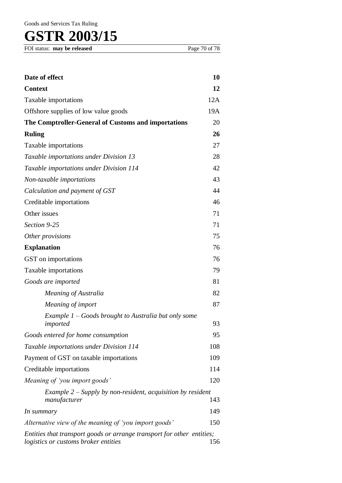Goods and Services Tax Ruling

# **GSTR 2003/15**

| Date of effect                                                                                                 | 10  |
|----------------------------------------------------------------------------------------------------------------|-----|
| <b>Context</b>                                                                                                 |     |
| Taxable importations                                                                                           |     |
| Offshore supplies of low value goods                                                                           |     |
| The Comptroller-General of Customs and importations                                                            | 20  |
| <b>Ruling</b>                                                                                                  | 26  |
| Taxable importations                                                                                           | 27  |
| Taxable importations under Division 13                                                                         |     |
| Taxable importations under Division 114                                                                        |     |
| Non-taxable importations                                                                                       |     |
| Calculation and payment of GST                                                                                 |     |
| Creditable importations                                                                                        |     |
| Other issues                                                                                                   |     |
| Section 9-25                                                                                                   |     |
| Other provisions                                                                                               |     |
| <b>Explanation</b>                                                                                             |     |
| GST on importations                                                                                            |     |
| Taxable importations                                                                                           |     |
| Goods are imported                                                                                             |     |
| Meaning of Australia                                                                                           | 82  |
| Meaning of import                                                                                              | 87  |
| Example $1 -$ Goods brought to Australia but only some<br>imported                                             | 93  |
| Goods entered for home consumption                                                                             | 95  |
| Taxable importations under Division 114                                                                        |     |
| Payment of GST on taxable importations                                                                         |     |
| Creditable importations                                                                                        |     |
| Meaning of 'you import goods'                                                                                  |     |
| Example $2$ – Supply by non-resident, acquisition by resident<br>manufacturer                                  | 143 |
| In summary                                                                                                     | 149 |
| Alternative view of the meaning of 'you import goods'                                                          |     |
| Entities that transport goods or arrange transport for other entities;<br>logistics or customs broker entities | 156 |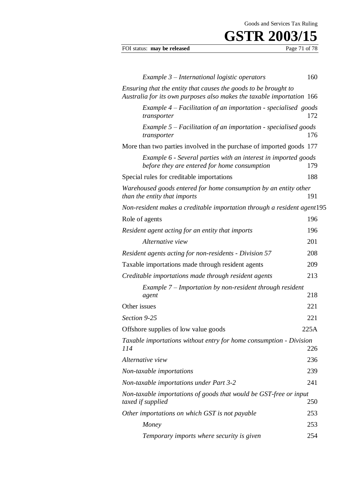Goods and Services Tax Ruling

# **GSTR 2003/15**<br>Page 71 of 78

### FOI status: may be released

| Example 3 - International logistic operators                                                                                             | 160        |  |
|------------------------------------------------------------------------------------------------------------------------------------------|------------|--|
| Ensuring that the entity that causes the goods to be brought to<br>Australia for its own purposes also makes the taxable importation 166 |            |  |
| Example $4$ – Facilitation of an importation - specialised goods<br>transporter                                                          | 172        |  |
| Example $5$ – Facilitation of an importation - specialised goods<br>transporter                                                          | 176        |  |
| More than two parties involved in the purchase of imported goods 177                                                                     |            |  |
| Example 6 - Several parties with an interest in imported goods<br>before they are entered for home consumption                           | 179        |  |
| Special rules for creditable importations                                                                                                | 188        |  |
| Warehoused goods entered for home consumption by an entity other<br>than the entity that imports                                         | 191        |  |
| Non-resident makes a creditable importation through a resident agent195                                                                  |            |  |
| Role of agents                                                                                                                           | 196        |  |
| Resident agent acting for an entity that imports                                                                                         | 196        |  |
| Alternative view                                                                                                                         | 201        |  |
| Resident agents acting for non-residents - Division 57                                                                                   | 208        |  |
| Taxable importations made through resident agents                                                                                        |            |  |
| Creditable importations made through resident agents                                                                                     |            |  |
| Example 7 – Importation by non-resident through resident                                                                                 |            |  |
| agent                                                                                                                                    | 218<br>221 |  |
| Other issues                                                                                                                             |            |  |
| Section 9-25                                                                                                                             |            |  |
| Offshore supplies of low value goods                                                                                                     | 225A       |  |
| Taxable importations without entry for home consumption - Division<br>114                                                                | 226        |  |
| Alternative view                                                                                                                         | 236        |  |
| Non-taxable importations                                                                                                                 | 239        |  |
| <b>Non-taxable importations under Part 3-2</b>                                                                                           | 241        |  |
| Non-taxable importations of goods that would be GST-free or input<br>taxed if supplied                                                   | 250        |  |
| Other importations on which GST is not payable                                                                                           | 253        |  |
| Money                                                                                                                                    | 253        |  |
| Temporary imports where security is given                                                                                                | 254        |  |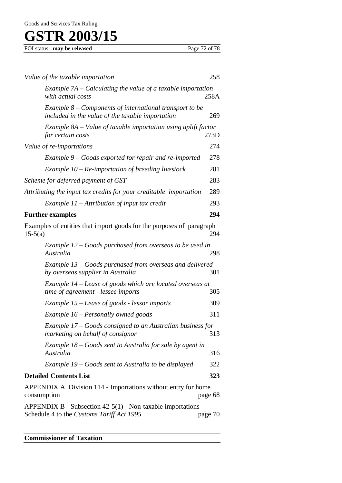| FOI status: may be released | Page 72 of 78 |
|-----------------------------|---------------|
|                             |               |

| Value of the taxable importation                                                                              | 258     |
|---------------------------------------------------------------------------------------------------------------|---------|
| Example $7A - Calculating the value of a taxable important$<br>with actual costs                              | 258A    |
| Example $8$ – Components of international transport to be<br>included in the value of the taxable importation | 269     |
| Example $8A$ – Value of taxable importation using uplift factor<br>for certain costs                          | 273D    |
| Value of re-importations                                                                                      | 274     |
| Example 9 – Goods exported for repair and re-imported                                                         | 278     |
| Example $10$ – Re-importation of breeding livestock                                                           | 281     |
| Scheme for deferred payment of GST                                                                            | 283     |
| Attributing the input tax credits for your creditable importation                                             | 289     |
| Example $11$ – Attribution of input tax credit                                                                | 293     |
| <b>Further examples</b>                                                                                       | 294     |
| Examples of entities that import goods for the purposes of paragraph<br>$15-5(a)$                             | 294     |
| Example $12$ – Goods purchased from overseas to be used in<br>Australia                                       | 298     |
| Example 13 – Goods purchased from overseas and delivered<br>by overseas supplier in Australia                 | 301     |
| Example 14 – Lease of goods which are located overseas at<br>time of agreement - lessee imports               | 305     |
| Example $15$ – Lease of goods - lessor imports                                                                | 309     |
| Example 16 – Personally owned goods                                                                           | 311     |
| Example 17 – Goods consigned to an Australian business for<br>marketing on behalf of consignor                | 313     |
| Example $18 - Goods$ sent to Australia for sale by agent in<br>Australia                                      | 316     |
| Example 19 – Goods sent to Australia to be displayed                                                          | 322     |
| <b>Detailed Contents List</b>                                                                                 | 323     |
| APPENDIX A Division 114 - Importations without entry for home<br>consumption                                  | page 68 |
| APPENDIX B - Subsection $42-5(1)$ - Non-taxable importations -<br>Schedule 4 to the Customs Tariff Act 1995   | page 70 |

## **Commissioner of Taxation**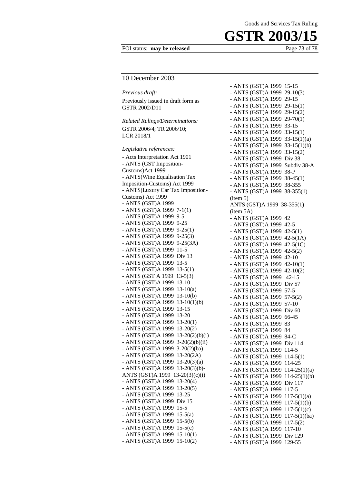#### FOI status: **may be released** Page 73 of 78

#### Goods and Services Tax Ruling

## **GSTR 2003/15**

#### 10 December 2003

*Previous draft:*  Previously issued in draft form as GSTR 2002/D11 *Related Rulings/Determinations:*  GSTR 2006/4; TR 2006/10; LCR 2018/1 *Legislative references:*  - Acts Interpretation Act 1901 - ANTS (GST Imposition-Customs)Act 1999 - ANTS(Wine Equalisation Tax Imposition-Customs) Act 1999 - ANTS(Luxury Car Tax Imposition-Customs) Act 1999 - ANTS (GST)A 1999 - ANTS (GST)A 1999 7-1(1) - ANTS (GST)A 1999 9-5 - ANTS (GST)A 1999 9-25 - ANTS (GST)A 1999 9-25(1) - ANTS (GST)A 1999 9-25(3) - ANTS (GST)A 1999 9-25(3A) - ANTS (GST)A 1999 11-5 - ANTS (GST)A 1999 Div 13 - ANTS (GST)A 1999 13-5 - ANTS (GST)A 1999 13-5(1) - ANTS (GST A 1999 13-5(3) - ANTS (GST)A 1999 13-10 - ANTS (GST)A 1999 13-10(a) - ANTS (GST)A 1999 13-10(b) - ANTS (GST)A 1999 13-10(1)(b) - ANTS (GST)A 1999 13-15 - ANTS (GST)A 1999 13-20 - ANTS (GST)A 1999 13-20(1) - ANTS (GST)A 1999 13-20(2) - ANTS (GST)A 1999 13-20(2)(b)(i) - ANTS (GST)A 1999 3-20(2)(b)(ii) - ANTS (GST)A 1999 3-20(2)(ba) - ANTS (GST)A 1999 13-20(2A) - ANTS (GST)A 1999 13-20(3)(a) - ANTS (GST)A 1999 13-20(3)(b)- ANTS (GST)A 1999 13-20(3)(c)(i) - ANTS (GST)A 1999 13-20(4) - ANTS (GST)A 1999 13-20(5) - ANTS (GST)A 1999 13-25 - ANTS (GST)A 1999 Div 15 - ANTS (GST)A 1999 15-5 - ANTS (GST)A 1999 15-5(a) - ANTS (GST)A 1999 15-5(b) - ANTS (GST)A 1999 15-5(c) - ANTS (GST)A 1999 15-10(1) - ANTS (GST)A 1999 15-10(2)

- ANTS (GST)A 1999 15-15 - ANTS (GST)A 1999 29-10(3) - ANTS (GST)A 1999 29-15 - ANTS (GST)A 1999 29-15(1) - ANTS (GST)A 1999 29-15(2) - ANTS (GST)A 1999 29-70(1) - ANTS (GST)A 1999 33-15 - ANTS (GST)A 1999 33-15(1) - ANTS (GST)A 1999 33-15(1)(a) - ANTS (GST)A 1999 33-15(1)(b) - ANTS (GST)A 1999 33-15(2) - ANTS (GST)A 1999 Div 38 - ANTS (GST)A 1999 Subdiv 38-A - ANTS (GST)A 1999 38-P - ANTS (GST)A 1999 38-45(1) - ANTS (GST)A 1999 38-355 - ANTS (GST)A 1999 38-355(1) (item 5) ANTS (GST)A 1999 38-355(1) (item 5A) - ANTS (GST)A 1999 42 - ANTS (GST)A 1999 42-5 - ANTS (GST)A 1999 42-5(1) - ANTS (GST)A 1999 42-5(1A) - ANTS (GST)A 1999 42-5(1C) - ANTS (GST)A 1999 42-5(2) - ANTS (GST)A 1999 42-10 - ANTS (GST)A 1999 42-10(1) - ANTS (GST)A 1999 42-10(2) - ANTS (GST)A 1999 42-15 - ANTS (GST)A 1999 Div 57 - ANTS (GST)A 1999 57-5 - ANTS (GST)A 1999 57-5(2) - ANTS (GST)A 1999 57-10 - ANTS (GST)A 1999 Div 60 - ANTS (GST)A 1999 66-45 - ANTS (GST)A 1999 83 - ANTS (GST)A 1999 84 - ANTS (GST)A 1999 84-C - ANTS (GST)A 1999 Div 114 - ANTS (GST)A 1999 114-5 - ANTS (GST)A 1999 114-5(1) - ANTS (GST)A 1999 114-25 - ANTS (GST)A 1999 114-25(1)(a) - ANTS (GST)A 1999 114-25(1)(b) - ANTS (GST)A 1999 Div 117 - ANTS (GST)A 1999 117-5 - ANTS (GST)A 1999 117-5(1)(a) - ANTS (GST)A 1999 117-5(1)(b) - ANTS (GST)A 1999 117-5(1)(c) - ANTS (GST)A 1999 117-5(1)(ba) - ANTS (GST)A 1999 117-5(2) - ANTS (GST)A 1999 117-10 - ANTS (GST)A 1999 Div 129 - ANTS (GST)A 1999 129-55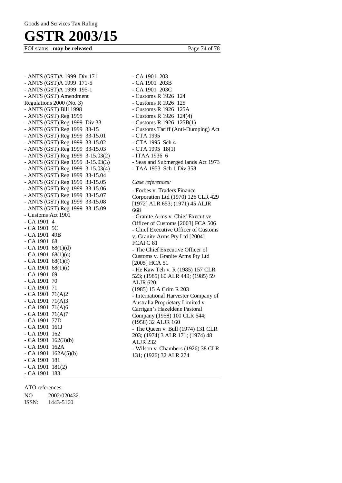FOI status: **may be released** Page 74 of 78

- ANTS (GST)A 1999 Div 171 - ANTS (GST)A 1999 171-5 - ANTS (GST)A 1999 195-1 - ANTS (GST) Amendment Regulations 2000 (No. 3) - ANTS (GST) Bill 1998 - ANTS (GST) Reg 1999 - ANTS (GST) Reg 1999 Div 33 - ANTS (GST) Reg 1999 33-15 - ANTS (GST) Reg 1999 33-15.01 - ANTS (GST) Reg 1999 33-15.02 - ANTS (GST) Reg 1999 33-15.03 - ANTS (GST) Reg 1999 3-15.03(2) - ANTS (GST) Reg 1999 3-15.03(3) - ANTS (GST) Reg 1999 3-15.03(4) - ANTS (GST) Reg 1999 33-15.04 - ANTS (GST) Reg 1999 33-15.05 - ANTS (GST) Reg 1999 33-15.06 - ANTS (GST) Reg 1999 33-15.07 - ANTS (GST) Reg 1999 33-15.08 - ANTS (GST) Reg 1999 33-15.09 - Customs Act 1901 - CA 1901 4 - CA 1901 5C - CA 1901 49B - CA 1901 68  $-$  CA 1901 68(1)(d)  $-$  CA 1901 68(1)(e)  $-$  CA 1901 68(1)(f)  $-$  CA 1901 68(1)(i) - CA 1901 69 - CA 1901 70 - CA 1901 71 - CA 1901 71(A)2  $-$  CA 1901 71(A)3 - CA 1901 71(A)6  $-$  CA 1901 71(A)7 - CA 1901 77D - CA 1901 161J - CA 1901 162 - CA 1901 162(3)(b) - CA 1901 162A  $-$  CA 1901 162A(5)(b) - CA 1901 181 - CA 1901 181(2) - CA 1901 183

- CA 1901 203B - CA 1901 203C - Customs R 1926 124 - Customs R 1926 125 - Customs R 1926 125A - Customs R 1926 124(4) - Customs R 1926 125B(1) - Customs Tariff (Anti-Dumping) Act - CTA 1995 - CTA 1995 Sch 4 - CTA 1995 18(1) - ITAA 1936 6 - Seas and Submerged lands Act 1973 - TAA 1953 Sch 1 Div 358 *Case references:*  - Forbes v. Traders Finance Corporation Ltd (1970) 126 CLR 429 [1972] ALR 653; (1971) 45 ALJR 668 - Granite Arms v. Chief Executive Officer of Customs [2003] FCA 506 - Chief Executive Officer of Customs v. Granite Arms Pty Ltd [2004] FCAFC 81 - The Chief Executive Officer of Customs v. Granite Arms Pty Ltd [2005] HCA 51 - He Kaw Teh v. R (1985) 157 CLR 523; (1985) 60 ALR 449; (1985) 59 ALJR 620; (1985) 15 A Crim R 203 - International Harvester Company of Australia Proprietary Limited v. Carrigan's Hazeldene Pastoral Company (1958) 100 CLR 644; (1958) 32 ALJR 160 - The Queen v. Bull (1974) 131 CLR 203; (1974) 3 ALR 171; (1974) 48 ALJR 232 - Wilson v. Chambers (1926) 38 CLR 131; (1926) 32 ALR 274

- CA 1901 203

#### ATO references:

NO 2002/020432 ISSN: 1443-5160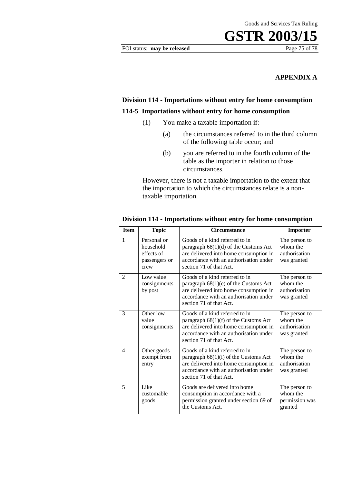### **APPENDIX A**

## **Division 114 - Importations without entry for home consumption**

### **114-5 Importations without entry for home consumption**

- (1) You make a taxable importation if:
	- (a) the circumstances referred to in the third column of the following table occur; and
	- (b) you are referred to in the fourth column of the table as the importer in relation to those circumstances.

However, there is not a taxable importation to the extent that the importation to which the circumstances relate is a nontaxable importation.

| <b>Item</b>              | <b>Topic</b>                                                    | <b>Circumstance</b>                                                                                                                                                                      | <b>Importer</b>                                           |
|--------------------------|-----------------------------------------------------------------|------------------------------------------------------------------------------------------------------------------------------------------------------------------------------------------|-----------------------------------------------------------|
| $\mathbf{1}$             | Personal or<br>household<br>effects of<br>passengers or<br>crew | Goods of a kind referred to in<br>paragraph $68(1)(d)$ of the Customs Act<br>are delivered into home consumption in<br>accordance with an authorisation under<br>section 71 of that Act. | The person to<br>whom the<br>authorisation<br>was granted |
| 2                        | Low value<br>consignments<br>by post                            | Goods of a kind referred to in<br>paragraph 68(1)(e) of the Customs Act<br>are delivered into home consumption in<br>accordance with an authorisation under<br>section 71 of that Act.   | The person to<br>whom the<br>authorisation<br>was granted |
| 3                        | Other low<br>value<br>consignments                              | Goods of a kind referred to in<br>paragraph $68(1)(f)$ of the Customs Act<br>are delivered into home consumption in<br>accordance with an authorisation under<br>section 71 of that Act. | The person to<br>whom the<br>authorisation<br>was granted |
| $\overline{\mathcal{A}}$ | Other goods<br>exempt from<br>entry                             | Goods of a kind referred to in<br>paragraph $68(1)(i)$ of the Customs Act<br>are delivered into home consumption in<br>accordance with an authorisation under<br>section 71 of that Act. | The person to<br>whom the<br>authorisation<br>was granted |
| 5                        | Like<br>customable<br>goods                                     | Goods are delivered into home<br>consumption in accordance with a<br>permission granted under section 69 of<br>the Customs Act.                                                          | The person to<br>whom the<br>permission was<br>granted    |

#### **Division 114 - Importations without entry for home consumption**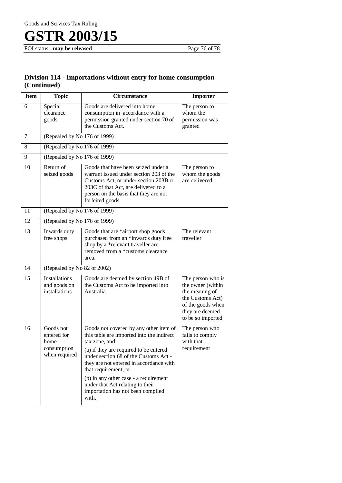FOI status: **may be released** Page 76 of 78

### **Division 114 - Importations without entry for home consumption (Continued)**

| <b>Item</b>     | <b>Topic</b>                                                     | <b>Circumstance</b>                                                                                                                                                                                                                                                                                                                                                                    | Importer                                                                                                                                  |  |
|-----------------|------------------------------------------------------------------|----------------------------------------------------------------------------------------------------------------------------------------------------------------------------------------------------------------------------------------------------------------------------------------------------------------------------------------------------------------------------------------|-------------------------------------------------------------------------------------------------------------------------------------------|--|
| 6               | Special<br>clearance<br>goods                                    | Goods are delivered into home<br>consumption in accordance with a<br>permission granted under section 70 of<br>the Customs Act.                                                                                                                                                                                                                                                        | The person to<br>whom the<br>permission was<br>granted                                                                                    |  |
| 7               | (Repealed by No 176 of 1999)                                     |                                                                                                                                                                                                                                                                                                                                                                                        |                                                                                                                                           |  |
| 8               |                                                                  | (Repealed by No 176 of 1999)                                                                                                                                                                                                                                                                                                                                                           |                                                                                                                                           |  |
| 9               | (Repealed by No 176 of 1999)                                     |                                                                                                                                                                                                                                                                                                                                                                                        |                                                                                                                                           |  |
| 10              | Return of<br>seized goods                                        | Goods that have been seized under a<br>warrant issued under section 203 of the<br>Customs Act, or under section 203B or<br>203C of that Act, are delivered to a<br>person on the basis that they are not<br>forfeited goods.                                                                                                                                                           | The person to<br>whom the goods<br>are delivered                                                                                          |  |
| 11              | (Repealed by No 176 of 1999)                                     |                                                                                                                                                                                                                                                                                                                                                                                        |                                                                                                                                           |  |
| 12              | (Repealed by No 176 of 1999)                                     |                                                                                                                                                                                                                                                                                                                                                                                        |                                                                                                                                           |  |
| 13              | Inwards duty<br>free shops                                       | Goods that are *airport shop goods<br>purchased from an *inwards duty free<br>shop by a *relevant traveller are<br>removed from a *customs clearance<br>area.                                                                                                                                                                                                                          | The relevant<br>traveller                                                                                                                 |  |
| 14              | (Repealed by No 82 of 2002)                                      |                                                                                                                                                                                                                                                                                                                                                                                        |                                                                                                                                           |  |
| $\overline{15}$ | <b>Installations</b><br>and goods on<br>installations            | Goods are deemed by section 49B of<br>the Customs Act to be imported into<br>Australia.                                                                                                                                                                                                                                                                                                | The person who is<br>the owner (within<br>the meaning of<br>the Customs Act)<br>of the goods when<br>they are deemed<br>to be so imported |  |
| 16              | Goods not<br>entered for<br>home<br>consumption<br>when required | Goods not covered by any other item of<br>this table are imported into the indirect<br>tax zone, and:<br>(a) if they are required to be entered<br>under section 68 of the Customs Act -<br>they are not entered in accordance with<br>that requirement; or<br>(b) in any other case - a requirement<br>under that Act relating to their<br>importation has not been complied<br>with. | The person who<br>fails to comply<br>with that<br>requirement                                                                             |  |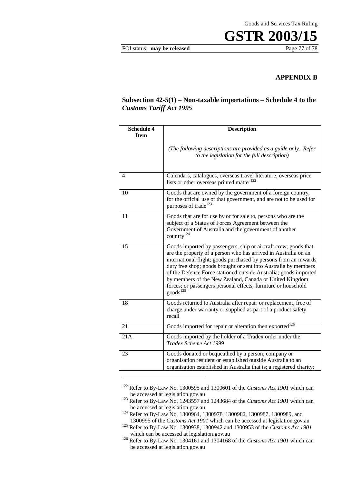FOI status: **may be released** Page 77 of 78

#### **APPENDIX B**

#### **Subsection 42-5(1) – Non-taxable importations – Schedule 4 to the** *Customs Tariff Act 1995*

| <b>Schedule 4</b><br><b>Item</b> | <b>Description</b>                                                                                                                                                                                                                                                                                                                                                                                                                                                                                 |
|----------------------------------|----------------------------------------------------------------------------------------------------------------------------------------------------------------------------------------------------------------------------------------------------------------------------------------------------------------------------------------------------------------------------------------------------------------------------------------------------------------------------------------------------|
|                                  | (The following descriptions are provided as a guide only. Refer<br>to the legislation for the full description)                                                                                                                                                                                                                                                                                                                                                                                    |
| 4                                | Calendars, catalogues, overseas travel literature, overseas price<br>lists or other overseas printed matter <sup>122</sup>                                                                                                                                                                                                                                                                                                                                                                         |
| 10                               | Goods that are owned by the government of a foreign country,<br>for the official use of that government, and are not to be used for<br>purposes of trade <sup>123</sup>                                                                                                                                                                                                                                                                                                                            |
| 11                               | Goods that are for use by or for sale to, persons who are the<br>subject of a Status of Forces Agreement between the<br>Government of Australia and the government of another<br>country $124$                                                                                                                                                                                                                                                                                                     |
| 15                               | Goods imported by passengers, ship or aircraft crew; goods that<br>are the property of a person who has arrived in Australia on an<br>international flight; goods purchased by persons from an inwards<br>duty free shop; goods brought or sent into Australia by members<br>of the Defence Force stationed outside Australia; goods imported<br>by members of the New Zealand, Canada or United Kingdom<br>forces; or passengers personal effects, furniture or household<br>goods <sup>125</sup> |
| 18                               | Goods returned to Australia after repair or replacement, free of<br>charge under warranty or supplied as part of a product safety<br>recall                                                                                                                                                                                                                                                                                                                                                        |
| 21                               | Goods imported for repair or alteration then exported <sup>126</sup>                                                                                                                                                                                                                                                                                                                                                                                                                               |
| 21A                              | Goods imported by the holder of a Tradex order under the<br>Tradex Scheme Act 1999                                                                                                                                                                                                                                                                                                                                                                                                                 |
| 23                               | Goods donated or bequeathed by a person, company or<br>organisation resident or established outside Australia to an<br>organisation established in Australia that is; a registered charity;                                                                                                                                                                                                                                                                                                        |

<sup>122</sup> Refer to By-Law No. 1300595 and 1300601 of the *Customs Act 1901* which can be accessed at legislation.gov.au

1

<sup>123</sup> Refer to By-Law No. 1243557 and 1243684 of the *Customs Act 1901* which can be accessed at legislation.gov.au

<sup>124</sup> Refer to By-Law No. 1300964, 1300978, 1300982, 1300987, 1300989, and 1300995 of the *Customs Act 1901* which can be accessed at legislation.gov.au

<sup>&</sup>lt;sup>125</sup> Refer to By-Law No. 1300938, 1300942 and 1300953 of the *Customs Act 1901* which can be accessed at legislation.gov.au

<sup>126</sup> Refer to By-Law No. 1304161 and 1304168 of the *Customs Act 1901* which can be accessed at legislation.gov.au